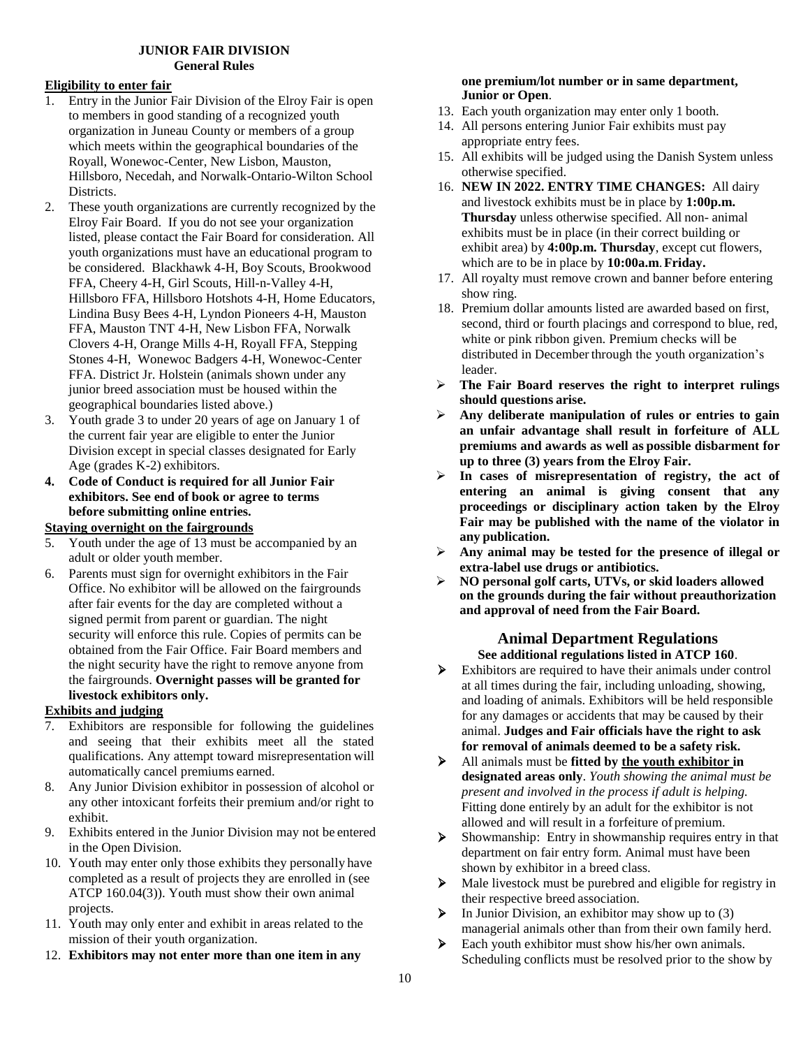### **JUNIOR FAIR DIVISION General Rules**

# **Eligibility to enter fair**

- 1. Entry in the Junior Fair Division of the Elroy Fair is open to members in good standing of a recognized youth organization in Juneau County or members of a group which meets within the geographical boundaries of the Royall, Wonewoc-Center, New Lisbon, Mauston, Hillsboro, Necedah, and Norwalk-Ontario-Wilton School Districts.
- 2. These youth organizations are currently recognized by the Elroy Fair Board. If you do not see your organization listed, please contact the Fair Board for consideration. All youth organizations must have an educational program to be considered. Blackhawk 4-H, Boy Scouts, Brookwood FFA, Cheery 4-H, Girl Scouts, Hill-n-Valley 4-H, Hillsboro FFA, Hillsboro Hotshots 4-H, Home Educators, Lindina Busy Bees 4-H, Lyndon Pioneers 4-H, Mauston FFA, Mauston TNT 4-H, New Lisbon FFA, Norwalk Clovers 4-H, Orange Mills 4-H, Royall FFA, Stepping Stones 4-H, Wonewoc Badgers 4-H, Wonewoc-Center FFA. District Jr. Holstein (animals shown under any junior breed association must be housed within the geographical boundaries listed above.)
- 3. Youth grade 3 to under 20 years of age on January 1 of the current fair year are eligible to enter the Junior Division except in special classes designated for Early Age (grades K-2) exhibitors.
- **4. Code of Conduct is required for all Junior Fair exhibitors. See end of book or agree to terms before submitting online entries.**

# **Staying overnight on the fairgrounds**

- 5. Youth under the age of 13 must be accompanied by an adult or older youth member.
- 6. Parents must sign for overnight exhibitors in the Fair Office. No exhibitor will be allowed on the fairgrounds after fair events for the day are completed without a signed permit from parent or guardian. The night security will enforce this rule. Copies of permits can be obtained from the Fair Office. Fair Board members and the night security have the right to remove anyone from the fairgrounds. **Overnight passes will be granted for livestock exhibitors only.**

# **Exhibits and judging**

- 7. Exhibitors are responsible for following the guidelines and seeing that their exhibits meet all the stated qualifications. Any attempt toward misrepresentation will automatically cancel premiums earned.
- 8. Any Junior Division exhibitor in possession of alcohol or any other intoxicant forfeits their premium and/or right to exhibit.
- 9. Exhibits entered in the Junior Division may not be entered in the Open Division.
- 10. Youth may enter only those exhibits they personally have completed as a result of projects they are enrolled in (see ATCP 160.04(3)). Youth must show their own animal projects.
- 11. Youth may only enter and exhibit in areas related to the mission of their youth organization.
- 12. **Exhibitors may not enter more than one item in any**

#### **one premium/lot number or in same department, Junior or Open**.

- 13. Each youth organization may enter only 1 booth.
- 14. All persons entering Junior Fair exhibits must pay appropriate entry fees.
- 15. All exhibits will be judged using the Danish System unless otherwise specified.
- 16. **NEW IN 2022. ENTRY TIME CHANGES:** All dairy and livestock exhibits must be in place by **1:00p.m. Thursday** unless otherwise specified. All non- animal exhibits must be in place (in their correct building or exhibit area) by **4:00p.m. Thursday**, except cut flowers, which are to be in place by **10:00a.m**.**Friday.**
- 17. All royalty must remove crown and banner before entering show ring.
- 18. Premium dollar amounts listed are awarded based on first, second, third or fourth placings and correspond to blue, red, white or pink ribbon given. Premium checks will be distributed in December through the youth organization's leader.
- **The Fair Board reserves the right to interpret rulings should questions arise.**
- **Any deliberate manipulation of rules or entries to gain an unfair advantage shall result in forfeiture of ALL premiums and awards as well as possible disbarment for up to three (3) years from the Elroy Fair.**
- **In cases of misrepresentation of registry, the act of entering an animal is giving consent that any proceedings or disciplinary action taken by the Elroy Fair may be published with the name of the violator in any publication.**
- **Any animal may be tested for the presence of illegal or extra-label use drugs or antibiotics.**
- **NO personal golf carts, UTVs, or skid loaders allowed on the grounds during the fair without preauthorization and approval of need from the Fair Board.**

# **Animal Department Regulations See additional regulations listed in ATCP 160**.

- Exhibitors are required to have their animals under control at all times during the fair, including unloading, showing, and loading of animals. Exhibitors will be held responsible for any damages or accidents that may be caused by their animal. **Judges and Fair officials have the right to ask for removal of animals deemed to be a safety risk.**
- All animals must be **fitted by the youth exhibitor in designated areas only**. *Youth showing the animal must be present and involved in the process if adult is helping.* Fitting done entirely by an adult for the exhibitor is not allowed and will result in a forfeiture of premium.
- Showmanship: Entry in showmanship requires entry in that department on fair entry form. Animal must have been shown by exhibitor in a breed class.
- $\triangleright$  Male livestock must be purebred and eligible for registry in their respective breed association.
- $\triangleright$  In Junior Division, an exhibitor may show up to (3) managerial animals other than from their own family herd.
- Each youth exhibitor must show his/her own animals. Scheduling conflicts must be resolved prior to the show by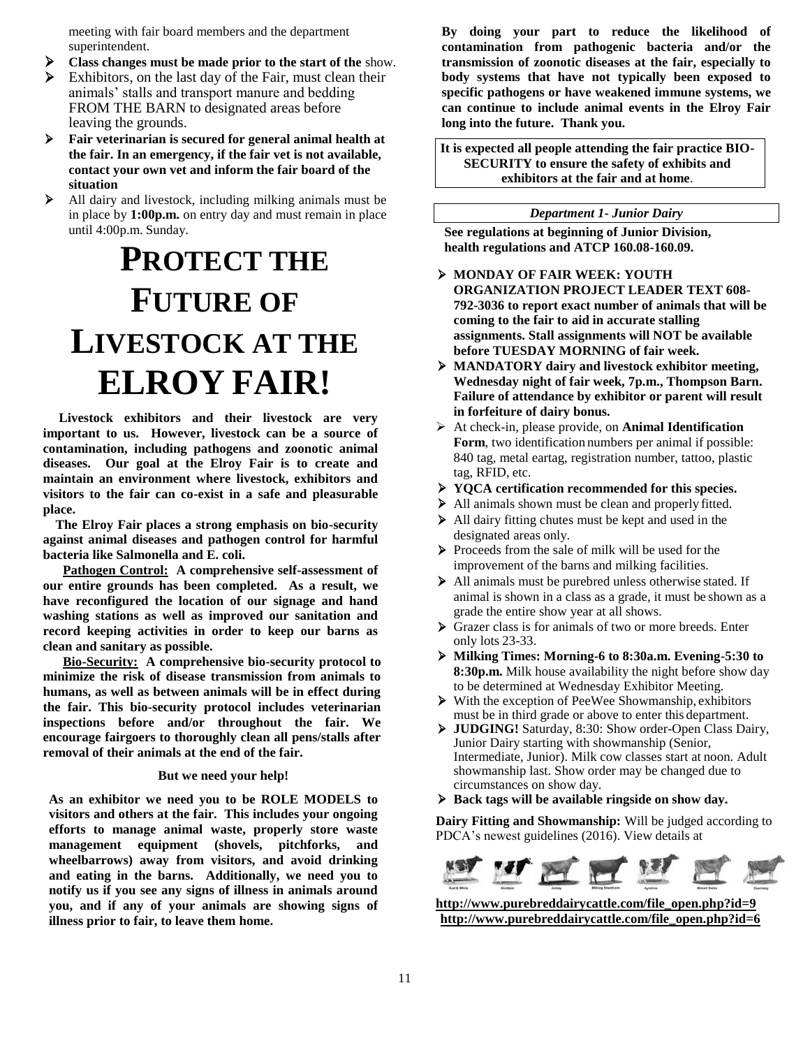meeting with fair board members and the department superintendent.

- **Class changes must be made prior to the start of the** show.
- Exhibitors, on the last day of the Fair, must clean their animals' stalls and transport manure and bedding FROM THE BARN to designated areas before leaving the grounds.
- **Fair veterinarian is secured for general animal health at the fair. In an emergency, if the fair vet is not available, contact your own vet and inform the fair board of the situation**
- All dairy and livestock, including milking animals must be in place by **1:00p.m.** on entry day and must remain in place until 4:00p.m. Sunday.

# **PROTECT THE FUTURE OF LIVESTOCK AT THE ELROY FAIR!**

 **Livestock exhibitors and their livestock are very important to us. However, livestock can be a source of contamination, including pathogens and zoonotic animal diseases. Our goal at the Elroy Fair is to create and maintain an environment where livestock, exhibitors and visitors to the fair can co-exist in a safe and pleasurable place.** 

 **The Elroy Fair places a strong emphasis on bio-security against animal diseases and pathogen control for harmful bacteria like Salmonella and E. coli.**

**Pathogen Control: A comprehensive self-assessment of our entire grounds has been completed. As a result, we have reconfigured the location of our signage and hand washing stations as well as improved our sanitation and record keeping activities in order to keep our barns as clean and sanitary as possible.**

**Bio-Security: A comprehensive bio-security protocol to minimize the risk of disease transmission from animals to humans, as well as between animals will be in effect during the fair. This bio-security protocol includes veterinarian inspections before and/or throughout the fair. We encourage fairgoers to thoroughly clean all pens/stalls after removal of their animals at the end of the fair.**

#### **But we need your help!**

**As an exhibitor we need you to be ROLE MODELS to visitors and others at the fair. This includes your ongoing efforts to manage animal waste, properly store waste management equipment (shovels, pitchforks, and wheelbarrows) away from visitors, and avoid drinking and eating in the barns. Additionally, we need you to notify us if you see any signs of illness in animals around you, and if any of your animals are showing signs of illness prior to fair, to leave them home.**

**By doing your part to reduce the likelihood of contamination from pathogenic bacteria and/or the transmission of zoonotic diseases at the fair, especially to body systems that have not typically been exposed to specific pathogens or have weakened immune systems, we can continue to include animal events in the Elroy Fair long into the future. Thank you.**

**It is expected all people attending the fair practice BIO-SECURITY to ensure the safety of exhibits and exhibitors at the fair and at home**.

#### *Department 1- Junior Dairy*

**See regulations at beginning of Junior Division, health regulations and ATCP 160.08-160.09.**

- **MONDAY OF FAIR WEEK: YOUTH ORGANIZATION PROJECT LEADER TEXT 608- 792-3036 to report exact number of animals that will be coming to the fair to aid in accurate stalling assignments. Stall assignments will NOT be available before TUESDAY MORNING of fair week.**
- **MANDATORY dairy and livestock exhibitor meeting, Wednesday night of fair week, 7p.m., Thompson Barn. Failure of attendance by exhibitor or parent will result in forfeiture of dairy bonus.**
- At check-in, please provide, on **Animal Identification Form**, two identification numbers per animal if possible: 840 tag, metal eartag, registration number, tattoo, plastic tag, RFID, etc.
- **YQCA certification recommended for this species.**
- All animals shown must be clean and properly fitted.
- All dairy fitting chutes must be kept and used in the designated areas only.
- Proceeds from the sale of milk will be used for the improvement of the barns and milking facilities.
- All animals must be purebred unless otherwise stated. If animal is shown in a class as a grade, it must be shown as a grade the entire show year at all shows.
- Grazer class is for animals of two or more breeds. Enter only lots 23-33.
- **Milking Times: Morning-6 to 8:30a.m. Evening-5:30 to 8:30p.m.** Milk house availability the night before show day to be determined at Wednesday Exhibitor Meeting.
- With the exception of PeeWee Showmanship, exhibitors must be in third grade or above to enter this department.
- **JUDGING!** Saturday, 8:30: Show order-Open Class Dairy, Junior Dairy starting with showmanship (Senior, Intermediate, Junior). Milk cow classes start at noon. Adult showmanship last. Show order may be changed due to circumstances on show day.
- **Back tags will be available ringside on show day.**

**Dairy Fitting and Showmanship:** Will be judged according to PDCA's newest guidelines (2016). View details at



**[http://www.purebreddairycattle.com/file\\_open.php?id=9](http://www.purebreddairycattle.com/file_open.php?id=9) [http://www.purebreddairycattle.com/file\\_open.php?id=6](http://www.purebreddairycattle.com/file_open.php?id=6)**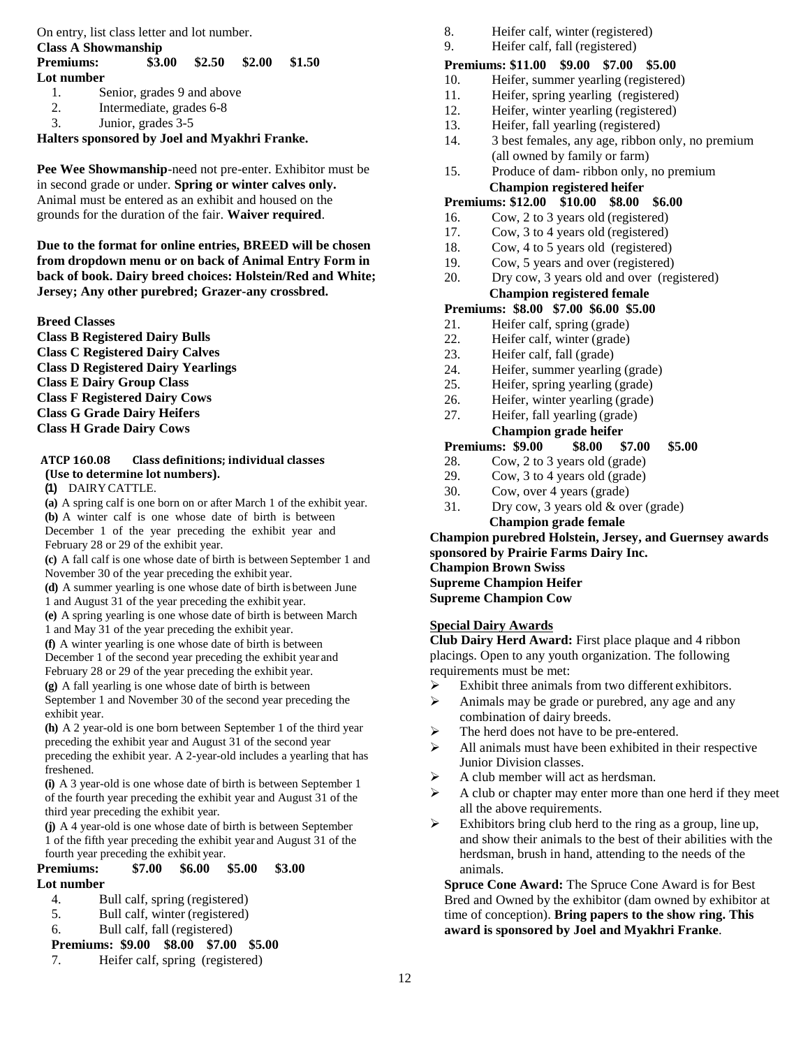On entry, list class letter and lot number.

#### **Class A Showmanship Premiums: \$3.00 \$2.50 \$2.00 \$1.50 Lot number**

- 1. Senior, grades 9 and above
- 2. Intermediate, grades 6-8
- 3. Junior, grades 3-5

**Halters sponsored by Joel and Myakhri Franke.** 

**Pee Wee Showmanship**-need not pre-enter. Exhibitor must be in second grade or under. **Spring or winter calves only.** Animal must be entered as an exhibit and housed on the grounds for the duration of the fair. **Waiver required**.

**Due to the format for online entries, BREED will be chosen from dropdown menu or on back of Animal Entry Form in back of book. Dairy breed choices: Holstein/Red and White; Jersey; Any other purebred; Grazer-any crossbred.**

**Breed Classes**

**Class B Registered Dairy Bulls Class C Registered Dairy Calves Class D Registered Dairy Yearlings Class E Dairy Group Class Class F Registered Dairy Cows Class G Grade Dairy Heifers Class H Grade Dairy Cows**

# **ATCP 160.08 Class definitions; individual classes (Use to determine lot numbers).**

#### **(1)** DAIRY CATTLE.

**(a)** A spring calf is one born on or after March 1 of the exhibit year. **(b)** A winter calf is one whose date of birth is between December 1 of the year preceding the exhibit year and February 28 or 29 of the exhibit year.

**(c)** A fall calf is one whose date of birth is between September 1 and November 30 of the year preceding the exhibit year.

**(d)** A summer yearling is one whose date of birth is between June 1 and August 31 of the year preceding the exhibit year.

**(e)** A spring yearling is one whose date of birth is between March 1 and May 31 of the year preceding the exhibit year.

**(f)** A winter yearling is one whose date of birth is between December 1 of the second year preceding the exhibit year and February 28 or 29 of the year preceding the exhibit year.

**(g)** A fall yearling is one whose date of birth is between September 1 and November 30 of the second year preceding the exhibit year.

**(h)** A 2 year-old is one born between September 1 of the third year preceding the exhibit year and August 31 of the second year preceding the exhibit year. A 2-year-old includes a yearling that has freshened.

**(i)** A 3 year-old is one whose date of birth is between September 1 of the fourth year preceding the exhibit year and August 31 of the third year preceding the exhibit year.

**(j)** A 4 year-old is one whose date of birth is between September 1 of the fifth year preceding the exhibit year and August 31 of the fourth year preceding the exhibit year.

# **Premiums: \$7.00 \$6.00 \$5.00 \$3.00 Lot number**

- 4. Bull calf, spring (registered)
- 5. Bull calf, winter (registered)
- 6. Bull calf, fall (registered)

### **Premiums: \$9.00 \$8.00 \$7.00 \$5.00**

7. Heifer calf, spring (registered)

- 8. Heifer calf, winter (registered)
- 9. Heifer calf, fall (registered)

# **Premiums: \$11.00 \$9.00 \$7.00 \$5.00**

- 10. Heifer, summer yearling (registered)
- 11. Heifer, spring yearling (registered)
- 12. Heifer, winter yearling (registered)
- 13. Heifer, fall yearling (registered)
- 14. 3 best females, any age, ribbon only, no premium (all owned by family or farm)
- 15. Produce of dam- ribbon only, no premium

#### **Champion registered heifer Premiums: \$12.00 \$10.00 \$8.00 \$6.00**

- 16. Cow, 2 to 3 years old (registered)
- 17. Cow, 3 to 4 years old (registered)
- 18. Cow, 4 to 5 years old (registered)
- 19. Cow, 5 years and over (registered)
- 20. Dry cow, 3 years old and over (registered)

# **Champion registered female**

# **Premiums: \$8.00 \$7.00 \$6.00 \$5.00**

- 21. Heifer calf, spring (grade)
- 22. Heifer calf, winter (grade)
- 23. Heifer calf, fall (grade)
- 24. Heifer, summer yearling (grade)
- 25. Heifer, spring yearling (grade)
- 26. Heifer, winter yearling (grade)
- 27. Heifer, fall yearling (grade)

# **Champion grade heifer**

# **Premiums: \$9.00 \$8.00 \$7.00 \$5.00**

- 28. Cow, 2 to 3 years old (grade)
- 29. Cow, 3 to 4 years old (grade)
- 30. Cow, over 4 years (grade)
- 31. Dry cow, 3 years old & over (grade) **Champion grade female**

### **Champion purebred Holstein, Jersey, and Guernsey awards sponsored by Prairie Farms Dairy Inc.**

# **Champion Brown Swiss**

**Supreme Champion Heifer**

**Supreme Champion Cow**

# **Special Dairy Awards**

**Club Dairy Herd Award:** First place plaque and 4 ribbon placings. Open to any youth organization. The following requirements must be met:

- $\triangleright$  Exhibit three animals from two different exhibitors.
- $\triangleright$  Animals may be grade or purebred, any age and any combination of dairy breeds.
- > The herd does not have to be pre-entered.
- $\triangleright$  All animals must have been exhibited in their respective Junior Division classes.
- $\triangleright$  A club member will act as herdsman.
- $\triangleright$  A club or chapter may enter more than one herd if they meet all the above requirements.
- $\triangleright$  Exhibitors bring club herd to the ring as a group, line up, and show their animals to the best of their abilities with the herdsman, brush in hand, attending to the needs of the animals.

**Spruce Cone Award:** The Spruce Cone Award is for Best Bred and Owned by the exhibitor (dam owned by exhibitor at time of conception). **Bring papers to the show ring. This award is sponsored by Joel and Myakhri Franke**.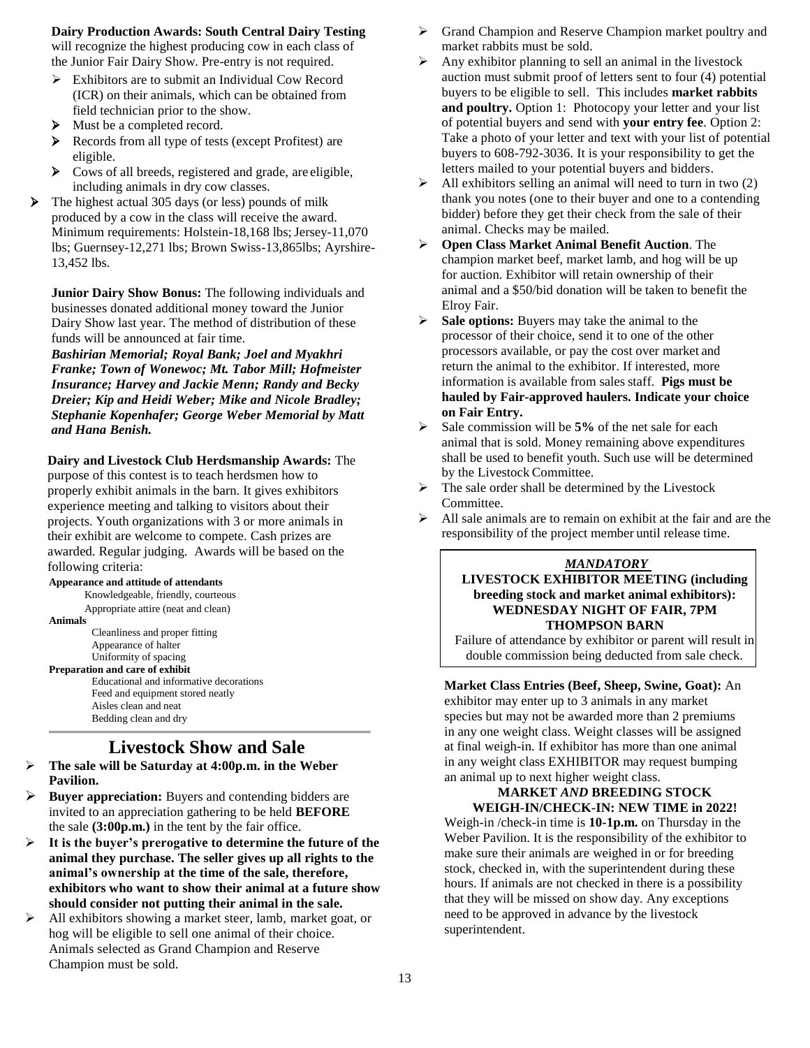### **Dairy Production Awards: South Central Dairy Testing**

will recognize the highest producing cow in each class of the Junior Fair Dairy Show. Pre-entry is not required.

- Exhibitors are to submit an Individual Cow Record (ICR) on their animals, which can be obtained from field technician prior to the show.
- $\blacktriangleright$  Must be a completed record.
- Records from all type of tests (except Profitest) are eligible.
- Cows of all breeds, registered and grade, are eligible, including animals in dry cow classes.
- $\triangleright$  The highest actual 305 days (or less) pounds of milk produced by a cow in the class will receive the award. Minimum requirements: Holstein-18,168 lbs; Jersey-11,070 lbs; Guernsey-12,271 lbs; Brown Swiss-13,865lbs; Ayrshire-13,452 lbs.

**Junior Dairy Show Bonus:** The following individuals and businesses donated additional money toward the Junior Dairy Show last year. The method of distribution of these funds will be announced at fair time.

*Bashirian Memorial; Royal Bank; Joel and Myakhri Franke; Town of Wonewoc; Mt. Tabor Mill; Hofmeister Insurance; Harvey and Jackie Menn; Randy and Becky Dreier; Kip and Heidi Weber; Mike and Nicole Bradley; Stephanie Kopenhafer; George Weber Memorial by Matt and Hana Benish.*

**Dairy and Livestock Club Herdsmanship Awards:** The

purpose of this contest is to teach herdsmen how to properly exhibit animals in the barn. It gives exhibitors experience meeting and talking to visitors about their projects. Youth organizations with 3 or more animals in their exhibit are welcome to compete. Cash prizes are awarded. Regular judging. Awards will be based on the following criteria:

#### **Appearance and attitude of attendants**

Knowledgeable, friendly, courteous Appropriate attire (neat and clean) **Animals**

Cleanliness and proper fitting Appearance of halter Uniformity of spacing **Preparation and care of exhibit**

Educational and informative decorations Feed and equipment stored neatly Aisles clean and neat Bedding clean and dry

# **Livestock Show and Sale**

- **The sale will be Saturday at 4:00p.m. in the Weber Pavilion.**
- **Buyer appreciation:** Buyers and contending bidders are invited to an appreciation gathering to be held **BEFORE** the sale **(3:00p.m.)** in the tent by the fair office.
- **It is the buyer's prerogative to determine the future of the animal they purchase. The seller gives up all rights to the animal's ownership at the time of the sale, therefore, exhibitors who want to show their animal at a future show should consider not putting their animal in the sale.**
- All exhibitors showing a market steer, lamb, market goat, or hog will be eligible to sell one animal of their choice. Animals selected as Grand Champion and Reserve Champion must be sold.
- Grand Champion and Reserve Champion market poultry and market rabbits must be sold.
- Any exhibitor planning to sell an animal in the livestock auction must submit proof of letters sent to four (4) potential buyers to be eligible to sell. This includes **market rabbits and poultry.** Option 1: Photocopy your letter and your list of potential buyers and send with **your entry fee**. Option 2: Take a photo of your letter and text with your list of potential buyers to 608-792-3036. It is your responsibility to get the letters mailed to your potential buyers and bidders.
- $\triangleright$  All exhibitors selling an animal will need to turn in two (2) thank you notes (one to their buyer and one to a contending bidder) before they get their check from the sale of their animal. Checks may be mailed.
- **Open Class Market Animal Benefit Auction**. The champion market beef, market lamb, and hog will be up for auction. Exhibitor will retain ownership of their animal and a \$50/bid donation will be taken to benefit the Elroy Fair.
- **Sale options:** Buyers may take the animal to the processor of their choice, send it to one of the other processors available, or pay the cost over market and return the animal to the exhibitor. If interested, more information is available from sales staff. **Pigs must be hauled by Fair-approved haulers. Indicate your choice on Fair Entry.**
- Sale commission will be **5%** of the net sale for each animal that is sold. Money remaining above expenditures shall be used to benefit youth. Such use will be determined by the Livestock Committee.
- The sale order shall be determined by the Livestock Committee.
- $\triangleright$  All sale animals are to remain on exhibit at the fair and are the responsibility of the project member until release time.

### *MANDATORY*

# **LIVESTOCK EXHIBITOR MEETING (including breeding stock and market animal exhibitors): WEDNESDAY NIGHT OF FAIR, 7PM THOMPSON BARN**

Failure of attendance by exhibitor or parent will result in double commission being deducted from sale check.

**Market Class Entries (Beef, Sheep, Swine, Goat):** An exhibitor may enter up to 3 animals in any market species but may not be awarded more than 2 premiums in any one weight class. Weight classes will be assigned at final weigh-in. If exhibitor has more than one animal in any weight class EXHIBITOR may request bumping an animal up to next higher weight class.

#### **MARKET** *AND* **BREEDING STOCK WEIGH-IN/CHECK-IN: NEW TIME in 2022!**

Weigh-in /check-in time is **10-1p.m.** on Thursday in the Weber Pavilion. It is the responsibility of the exhibitor to make sure their animals are weighed in or for breeding stock, checked in, with the superintendent during these hours. If animals are not checked in there is a possibility that they will be missed on show day. Any exceptions need to be approved in advance by the livestock superintendent.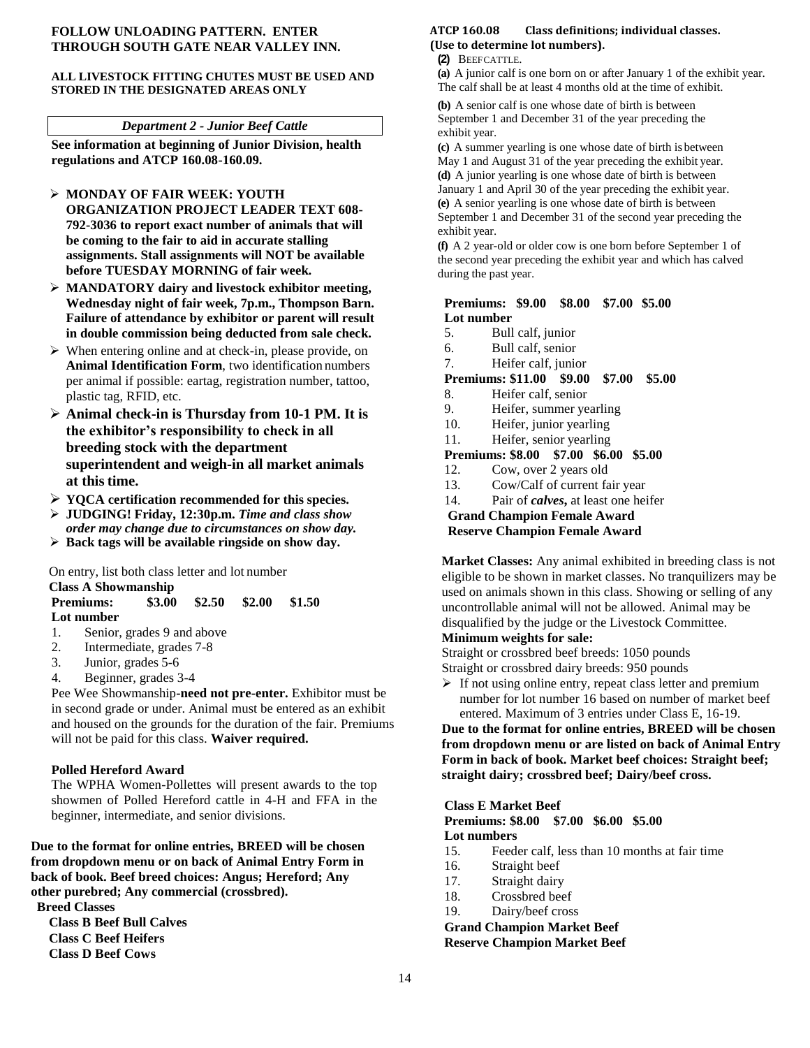#### **FOLLOW UNLOADING PATTERN. ENTER THROUGH SOUTH GATE NEAR VALLEY INN.**

#### **ALL LIVESTOCK FITTING CHUTES MUST BE USED AND STORED IN THE DESIGNATED AREAS ONLY**

#### *Department 2 - Junior Beef Cattle*

**See information at beginning of Junior Division, health regulations and ATCP 160.08-160.09.**

- **MONDAY OF FAIR WEEK: YOUTH ORGANIZATION PROJECT LEADER TEXT 608- 792-3036 to report exact number of animals that will be coming to the fair to aid in accurate stalling**
- **assignments. Stall assignments will NOT be available before TUESDAY MORNING of fair week.**
- **MANDATORY dairy and livestock exhibitor meeting, Wednesday night of fair week, 7p.m., Thompson Barn. Failure of attendance by exhibitor or parent will result in double commission being deducted from sale check.**
- $\triangleright$  When entering online and at check-in, please provide, on **Animal Identification Form**, two identification numbers per animal if possible: eartag, registration number, tattoo, plastic tag, RFID, etc.
- **Animal check-in is Thursday from 10-1 PM. It is the exhibitor's responsibility to check in all breeding stock with the department superintendent and weigh-in all market animals at this time.**
- **YQCA certification recommended for this species.**
- **JUDGING! Friday, 12:30p.m.** *Time and class show*
- *order may change due to circumstances on show day.* **Back tags will be available ringside on show day.**

On entry, list both class letter and lot number

- **Class A Showmanship Premiums: \$3.00 \$2.50 \$2.00 \$1.50 Lot number**
- 1. Senior, grades 9 and above
- 2. Intermediate, grades 7-8
- 3. Junior, grades 5-6
- 4. Beginner, grades 3-4

Pee Wee Showmanship**-need not pre-enter.** Exhibitor must be in second grade or under. Animal must be entered as an exhibit and housed on the grounds for the duration of the fair. Premiums will not be paid for this class. **Waiver required.**

### **Polled Hereford Award**

The WPHA Women-Pollettes will present awards to the top showmen of Polled Hereford cattle in 4-H and FFA in the beginner, intermediate, and senior divisions.

**Due to the format for online entries, BREED will be chosen from dropdown menu or on back of Animal Entry Form in back of book. Beef breed choices: Angus; Hereford; Any other purebred; Any commercial (crossbred). Breed Classes**

**Class B Beef Bull Calves Class C Beef Heifers Class D Beef Cows**

#### **ATCP 160.08 Class definitions; individual classes. (Use to determine lot numbers).**

#### **(2)** BEEFCATTLE.

**(a)** A junior calf is one born on or after January 1 of the exhibit year. The calf shall be at least 4 months old at the time of exhibit.

**(b)** A senior calf is one whose date of birth is between September 1 and December 31 of the year preceding the exhibit year.

**(c)** A summer yearling is one whose date of birth is between May 1 and August 31 of the year preceding the exhibit year. **(d)** A junior yearling is one whose date of birth is between January 1 and April 30 of the year preceding the exhibit year. **(e)** A senior yearling is one whose date of birth is between September 1 and December 31 of the second year preceding the exhibit year.

**(f)** A 2 year-old or older cow is one born before September 1 of the second year preceding the exhibit year and which has calved during the past year.

#### **Premiums: \$9.00 \$8.00 \$7.00 \$5.00 Lot number**

- 5. Bull calf, junior
- 6. Bull calf, senior
- 7. Heifer calf, junior

# **Premiums: \$11.00 \$9.00 \$7.00 \$5.00**

- 8. Heifer calf, senior
- 9. Heifer, summer yearling
- 10. Heifer, junior yearling
- 11. Heifer, senior yearling

### **Premiums: \$8.00 \$7.00 \$6.00 \$5.00**

- 12. Cow, over 2 years old
- 13. Cow/Calf of current fair year
- 14. Pair of *calves***,** at least one heifer

**Grand Champion Female Award** 

### **Reserve Champion Female Award**

**Market Classes:** Any animal exhibited in breeding class is not eligible to be shown in market classes. No tranquilizers may be used on animals shown in this class. Showing or selling of any uncontrollable animal will not be allowed. Animal may be disqualified by the judge or the Livestock Committee.

### **Minimum weights for sale:**

Straight or crossbred beef breeds: 1050 pounds Straight or crossbred dairy breeds: 950 pounds

 $\triangleright$  If not using online entry, repeat class letter and premium number for lot number 16 based on number of market beef entered. Maximum of 3 entries under Class E, 16-19.

**Due to the format for online entries, BREED will be chosen from dropdown menu or are listed on back of Animal Entry Form in back of book. Market beef choices: Straight beef; straight dairy; crossbred beef; Dairy/beef cross.**

### **Class E Market Beef**

**Premiums: \$8.00 \$7.00 \$6.00 \$5.00 Lot numbers**

- 15. Feeder calf, less than 10 months at fair time
- 16. Straight beef
- 17. Straight dairy
- 18. Crossbred beef
- 19. Dairy/beef cross

**Grand Champion Market Beef Reserve Champion Market Beef**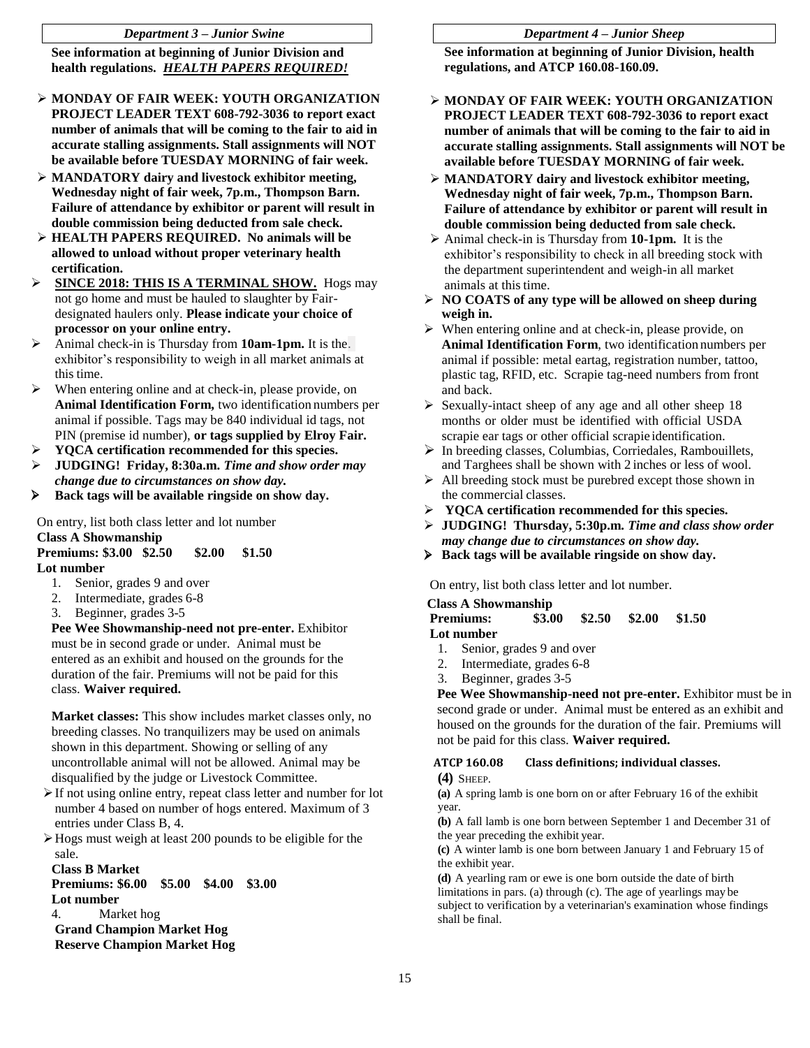#### *Department 3 – Junior Swine*

**See information at beginning of Junior Division and health regulations.** *HEALTH PAPERS REQUIRED!*

- **MONDAY OF FAIR WEEK: YOUTH ORGANIZATION PROJECT LEADER TEXT 608-792-3036 to report exact number of animals that will be coming to the fair to aid in accurate stalling assignments. Stall assignments will NOT be available before TUESDAY MORNING of fair week.**
- **MANDATORY dairy and livestock exhibitor meeting, Wednesday night of fair week, 7p.m., Thompson Barn. Failure of attendance by exhibitor or parent will result in double commission being deducted from sale check.**
- **HEALTH PAPERS REQUIRED. No animals will be allowed to unload without proper veterinary health certification.**
- **SINCE 2018: THIS IS A TERMINAL SHOW.** Hogs may not go home and must be hauled to slaughter by Fairdesignated haulers only. **Please indicate your choice of processor on your online entry.**
- Animal check-in is Thursday from **10am-1pm.** It is the. exhibitor's responsibility to weigh in all market animals at this time.
- $\triangleright$  When entering online and at check-in, please provide, on **Animal Identification Form,** two identification numbers per animal if possible. Tags may be 840 individual id tags, not PIN (premise id number), **or tags supplied by Elroy Fair.**
- **YQCA certification recommended for this species.**
- **JUDGING! Friday, 8:30a.m.** *Time and show order may change due to circumstances on show day.*
- **Back tags will be available ringside on show day.**

On entry, list both class letter and lot number

#### **Class A Showmanship**

**Premiums: \$3.00 \$2.50 \$2.00 \$1.50 Lot number**

- 1. Senior, grades 9 and over
- 2. Intermediate, grades 6-8
- 3. Beginner, grades 3-5

**Pee Wee Showmanship-need not pre-enter.** Exhibitor must be in second grade or under. Animal must be entered as an exhibit and housed on the grounds for the duration of the fair. Premiums will not be paid for this class. **Waiver required.**

**Market classes:** This show includes market classes only, no breeding classes. No tranquilizers may be used on animals shown in this department. Showing or selling of any uncontrollable animal will not be allowed. Animal may be disqualified by the judge or Livestock Committee.

- $\triangleright$  If not using online entry, repeat class letter and number for lot number 4 based on number of hogs entered. Maximum of 3 entries under Class B, 4.
- $\triangleright$  Hogs must weigh at least 200 pounds to be eligible for the sale.

**Class B Market Premiums: \$6.00 \$5.00 \$4.00 \$3.00 Lot number** 4. Market hog **Grand Champion Market Hog Reserve Champion Market Hog**

#### *Department 4 – Junior Sheep*

**See information at beginning of Junior Division, health regulations, and ATCP 160.08-160.09.**

- **MONDAY OF FAIR WEEK: YOUTH ORGANIZATION PROJECT LEADER TEXT 608-792-3036 to report exact number of animals that will be coming to the fair to aid in accurate stalling assignments. Stall assignments will NOT be available before TUESDAY MORNING of fair week.**
- **MANDATORY dairy and livestock exhibitor meeting, Wednesday night of fair week, 7p.m., Thompson Barn. Failure of attendance by exhibitor or parent will result in double commission being deducted from sale check.**
- Animal check-in is Thursday from **10-1pm.** It is the exhibitor's responsibility to check in all breeding stock with the department superintendent and weigh-in all market animals at this time.
- **NO COATS of any type will be allowed on sheep during weigh in.**
- $\triangleright$  When entering online and at check-in, please provide, on **Animal Identification Form**, two identification numbers per animal if possible: metal eartag, registration number, tattoo, plastic tag, RFID, etc. Scrapie tag-need numbers from front and back.
- $\triangleright$  Sexually-intact sheep of any age and all other sheep 18 months or older must be identified with official USDA scrapie ear tags or other official scrapie identification.
- In breeding classes, Columbias, Corriedales, Rambouillets, and Targhees shall be shown with 2 inches or less of wool.
- $\triangleright$  All breeding stock must be purebred except those shown in the commercial classes.
- **YQCA certification recommended for this species.**
- **JUDGING! Thursday, 5:30p.m.** *Time and class show order may change due to circumstances on show day.*
- **Back tags will be available ringside on show day.**

On entry, list both class letter and lot number.

#### **Class A Showmanship**

| <b>Premiums:</b> | \$3.00 | $$2.50$ $$2.00$ $$1.50$ |  |
|------------------|--------|-------------------------|--|
| Lot number       |        |                         |  |

- 1. Senior, grades 9 and over
- 2. Intermediate, grades 6-8
- 3. Beginner, grades 3-5

**Pee Wee Showmanship-need not pre-enter.** Exhibitor must be in second grade or under. Animal must be entered as an exhibit and housed on the grounds for the duration of the fair. Premiums will not be paid for this class. **Waiver required.**

# **ATCP 160.08 Class definitions; individual classes.**

**(4)** SHEEP.

**(a)** A spring lamb is one born on or after February 16 of the exhibit year.

**(b)** A fall lamb is one born between September 1 and December 31 of the year preceding the exhibit year.

**(c)** A winter lamb is one born between January 1 and February 15 of the exhibit year.

**(d)** A yearling ram or ewe is one born outside the date of birth limitations in pars. (a) through (c). The age of yearlings may be subject to verification by a veterinarian's examination whose findings shall be final.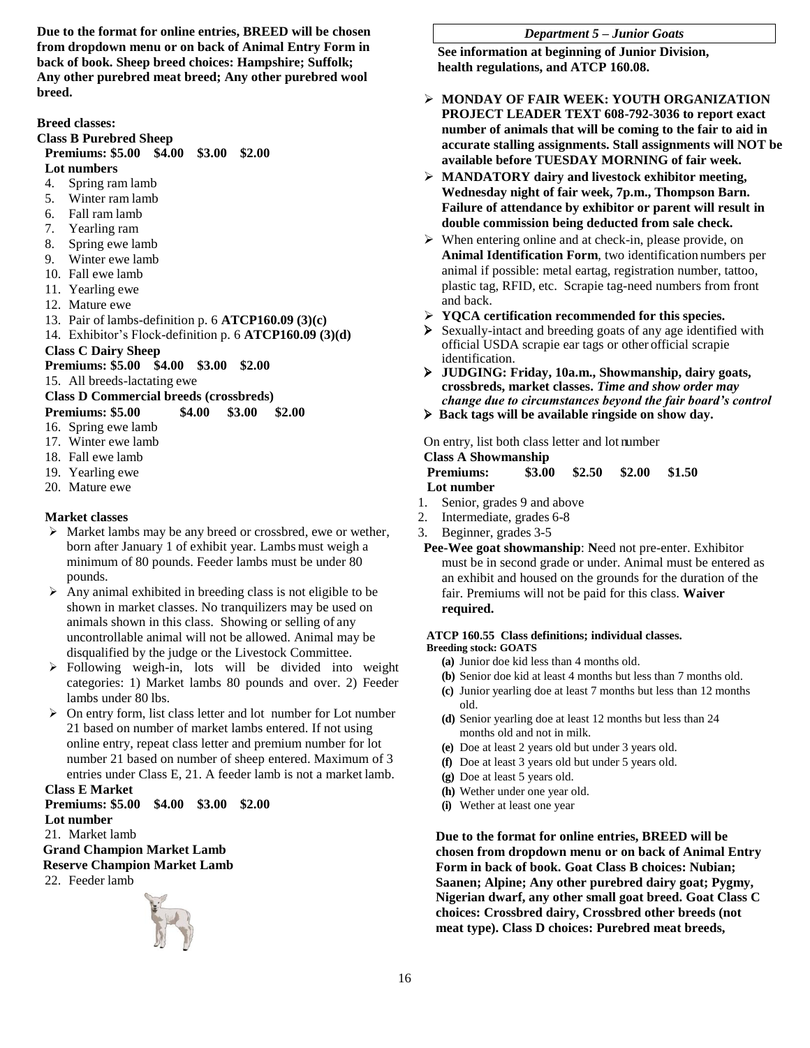**Due to the format for online entries, BREED will be chosen from dropdown menu or on back of Animal Entry Form in back of book. Sheep breed choices: Hampshire; Suffolk; Any other purebred meat breed; Any other purebred wool breed.**

**Breed classes:** 

#### **Class B Purebred Sheep**

# **Premiums: \$5.00 \$4.00 \$3.00 \$2.00**

- **Lot numbers**
- 4. Spring ram lamb
- 5. Winter ram lamb
- 6. Fall ram lamb
- 7. Yearling ram
- 8. Spring ewe lamb 9. Winter ewe lamb
- 
- 10. Fall ewe lamb
- 11. Yearling ewe
- 12. Mature ewe
- 13. Pair of lambs-definition p. 6 **ATCP160.09 (3)(c)**
- 14. Exhibitor's Flock-definition p. 6 **ATCP160.09 (3)(d)**

# **Class C Dairy Sheep**

#### **Premiums: \$5.00 \$4.00 \$3.00 \$2.00**

15. All breeds-lactating ewe

**Class D Commercial breeds (crossbreds) Premiums: \$5.00 \$4.00 \$3.00 \$2.00**

16. Spring ewe lamb

- 17. Winter ewe lamb
- 18. Fall ewe lamb
- 
- 19. Yearling ewe
- 20. Mature ewe

# **Market classes**

- Market lambs may be any breed or crossbred, ewe or wether, born after January 1 of exhibit year. Lambs must weigh a minimum of 80 pounds. Feeder lambs must be under 80 pounds.
- $\triangleright$  Any animal exhibited in breeding class is not eligible to be shown in market classes. No tranquilizers may be used on animals shown in this class. Showing or selling of any uncontrollable animal will not be allowed. Animal may be disqualified by the judge or the Livestock Committee.
- Following weigh-in, lots will be divided into weight categories: 1) Market lambs 80 pounds and over. 2) Feeder lambs under 80 lbs.
- $\triangleright$  On entry form, list class letter and lot number for Lot number 21 based on number of market lambs entered. If not using online entry, repeat class letter and premium number for lot number 21 based on number of sheep entered. Maximum of 3 entries under Class E, 21. A feeder lamb is not a market lamb. **Class E Market**

# **Premiums: \$5.00 \$4.00 \$3.00 \$2.00 Lot number**

21. Market lamb

#### **Grand Champion Market Lamb Reserve Champion Market Lamb**

22. Feeder lamb



#### *Department 5 – Junior Goats*

**See information at beginning of Junior Division, health regulations, and ATCP 160.08.**

- **MONDAY OF FAIR WEEK: YOUTH ORGANIZATION PROJECT LEADER TEXT 608-792-3036 to report exact number of animals that will be coming to the fair to aid in accurate stalling assignments. Stall assignments will NOT be available before TUESDAY MORNING of fair week.**
- **MANDATORY dairy and livestock exhibitor meeting, Wednesday night of fair week, 7p.m., Thompson Barn. Failure of attendance by exhibitor or parent will result in double commission being deducted from sale check.**
- When entering online and at check-in, please provide, on **Animal Identification Form**, two identification numbers per animal if possible: metal eartag, registration number, tattoo, plastic tag, RFID, etc. Scrapie tag-need numbers from front and back.
- **YQCA certification recommended for this species.**
- Sexually-intact and breeding goats of any age identified with official USDA scrapie ear tags or other official scrapie identification.
- **JUDGING: Friday, 10a.m., Showmanship, dairy goats, crossbreds, market classes.** *Time and show order may change due to circumstances beyond the fair board's control*
- **Back tags will be available ringside on show day.**

On entry, list both class letter and lot number

# **Class A Showmanship**

| <b>Premiums:</b> | \$3.00 | \$2.50 | \$2.00 | \$1.50 |
|------------------|--------|--------|--------|--------|
| Lot number       |        |        |        |        |

- 1. Senior, grades 9 and above
- 2. Intermediate, grades 6-8
- 3. Beginner, grades 3-5
- **Pee-Wee goat showmanship**: **N**eed not pre-enter. Exhibitor must be in second grade or under. Animal must be entered as an exhibit and housed on the grounds for the duration of the fair. Premiums will not be paid for this class. **Waiver required.**

#### **ATCP 160.55 Class definitions; individual classes. Breeding stock: GOATS**

- **(a)** Junior doe kid less than 4 months old.
- **(b)** Senior doe kid at least 4 months but less than 7 months old.
- **(c)** Junior yearling doe at least 7 months but less than 12 months old.
- **(d)** Senior yearling doe at least 12 months but less than 24 months old and not in milk.
- **(e)** Doe at least 2 years old but under 3 years old.
- **(f)** Doe at least 3 years old but under 5 years old.
- **(g)** Doe at least 5 years old.
- **(h)** Wether under one year old.
- **(i)** Wether at least one year

**Due to the format for online entries, BREED will be chosen from dropdown menu or on back of Animal Entry Form in back of book. Goat Class B choices: Nubian; Saanen; Alpine; Any other purebred dairy goat; Pygmy, Nigerian dwarf, any other small goat breed. Goat Class C choices: Crossbred dairy, Crossbred other breeds (not meat type). Class D choices: Purebred meat breeds,**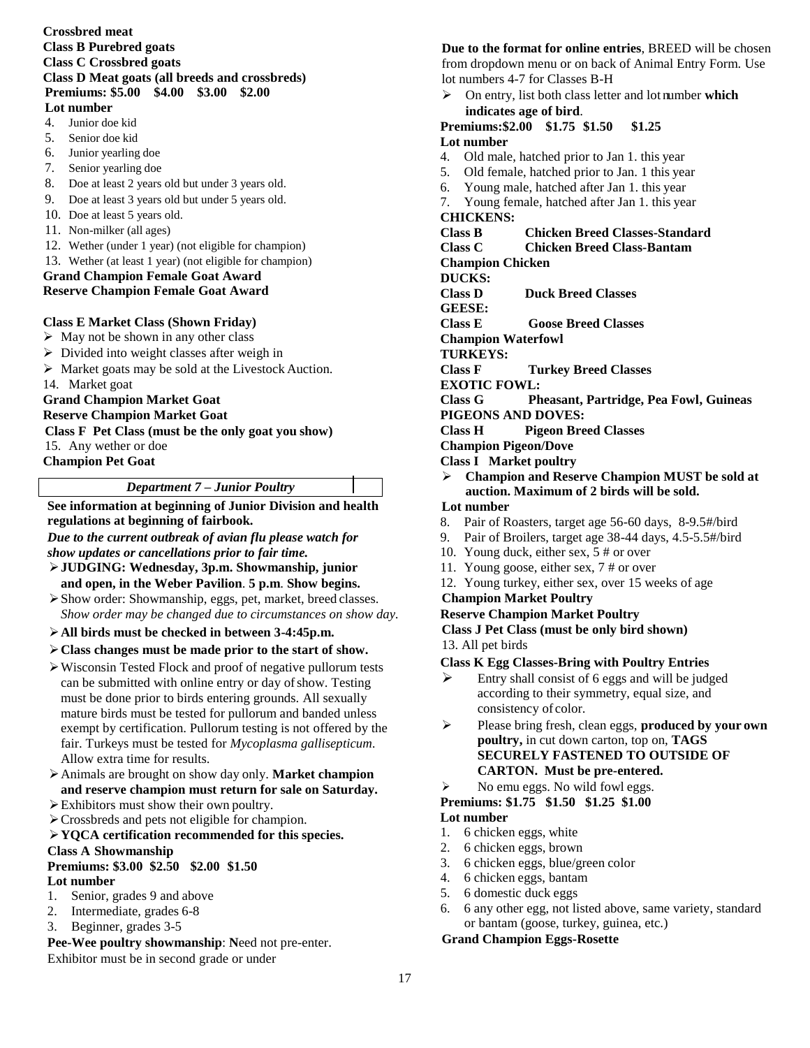#### **Crossbred meat Class B Purebred goats Class C Crossbred goats Class D Meat goats (all breeds and crossbreds) Premiums: \$5.00 \$4.00 \$3.00 \$2.00 Lot number**

- 4. Junior doe kid
- 5. Senior doe kid
- 6. Junior yearling doe
- 7. Senior yearling doe
- 8. Doe at least 2 years old but under 3 years old.
- 9. Doe at least 3 years old but under 5 years old.
- 10. Doe at least 5 years old.
- 11. Non-milker (all ages)
- 12. Wether (under 1 year) (not eligible for champion)
- 13. Wether (at least 1 year) (not eligible for champion)

# **Grand Champion Female Goat Award**

# **Reserve Champion Female Goat Award**

### **Class E Market Class (Shown Friday)**

- $\triangleright$  May not be shown in any other class
- $\triangleright$  Divided into weight classes after weigh in
- $\triangleright$  Market goats may be sold at the Livestock Auction.
- 14. Market goat

# **Grand Champion Market Goat**

**Reserve Champion Market Goat**

### **Class F Pet Class (must be the only goat you show)**

15. Any wether or doe

**Champion Pet Goat**

# *Department 7 – Junior Poultry*

**See information at beginning of Junior Division and health regulations at beginning of fairbook.**

*Due to the current outbreak of avian flu please watch for show updates or cancellations prior to fair time.*

- **JUDGING: Wednesday, 3p.m. Showmanship, junior and open, in the Weber Pavilion**. **5 p.m**. **Show begins.**
- Show order: Showmanship, eggs, pet, market, breed classes. *Show order may be changed due to circumstances on show day.*
- **All birds must be checked in between 3-4:45p.m.**
- **Class changes must be made prior to the start of show.**
- Wisconsin Tested Flock and proof of negative pullorum tests can be submitted with online entry or day of show. Testing must be done prior to birds entering grounds. All sexually mature birds must be tested for pullorum and banded unless exempt by certification. Pullorum testing is not offered by the fair. Turkeys must be tested for *Mycoplasma gallisepticum.*  Allow extra time for results.
- Animals are brought on show day only. **Market champion and reserve champion must return for sale on Saturday.**
- Exhibitors must show their own poultry.
- Crossbreds and pets not eligible for champion.

#### **YQCA certification recommended for this species. Class A Showmanship**

# **Premiums: \$3.00 \$2.50 \$2.00 \$1.50**

- **Lot number**
- 1. Senior, grades 9 and above
- 2. Intermediate, grades 6-8
- 3. Beginner, grades 3-5

#### **Pee-Wee poultry showmanship**: **N**eed not pre-enter. Exhibitor must be in second grade or under

# **Due to the format for online entries**, BREED will be chosen from dropdown menu or on back of Animal Entry Form. Use lot numbers 4-7 for Classes B-H

 On entry, list both class letter and lot number **which indicates age of bird**.

#### **Premiums:\$2.00 \$1.75 \$1.50 \$1.25 Lot number**

- 4. Old male, hatched prior to Jan 1. this year
- 5. Old female, hatched prior to Jan. 1 this year
- 6. Young male, hatched after Jan 1. this year
- 7. Young female, hatched after Jan 1. this year

# **CHICKENS:**

# **Class B Chicken Breed Classes-Standard**

**Class C Chicken Breed Class-Bantam**

**Champion Chicken**

- **DUCKS:**
- **Class D Duck Breed Classes**

**GEESE:**

- **Class E Goose Breed Classes**
- **Champion Waterfowl**
- **TURKEYS:**

**Class F Turkey Breed Classes**

**EXOTIC FOWL:**

**Class G Pheasant, Partridge, Pea Fowl, Guineas**

# **PIGEONS AND DOVES:**

- **Class H Pigeon Breed Classes**
- **Champion Pigeon/Dove**

# **Class I Market poultry**

- **Champion and Reserve Champion MUST be sold at auction. Maximum of 2 birds will be sold. Lot number**
- 8. Pair of Roasters, target age 56-60 days, 8-9.5#/bird
- 9. Pair of Broilers, target age 38-44 days, 4.5-5.5#/bird
- 10. Young duck, either sex, 5 # or over
- 11. Young goose, either sex, 7 # or over
- 12. Young turkey, either sex, over 15 weeks of age

### **Champion Market Poultry**

### **Reserve Champion Market Poultry**

### **Class J Pet Class (must be only bird shown)** 13. All pet birds

### **Class K Egg Classes-Bring with Poultry Entries**

- $\triangleright$  Entry shall consist of 6 eggs and will be judged according to their symmetry, equal size, and consistency of color.
- Please bring fresh, clean eggs, **produced by your own poultry,** in cut down carton, top on, **TAGS SECURELY FASTENED TO OUTSIDE OF CARTON. Must be pre-entered.**
- $\triangleright$  No emu eggs. No wild fowl eggs.
- **Premiums: \$1.75 \$1.50 \$1.25 \$1.00**

# **Lot number**

- 1. 6 chicken eggs, white
- 2. 6 chicken eggs, brown
- 3. 6 chicken eggs, blue/green color
- 4. 6 chicken eggs, bantam
- 5. 6 domestic duck eggs
- 6. 6 any other egg, not listed above, same variety, standard or bantam (goose, turkey, guinea, etc.)

### **Grand Champion Eggs-Rosette**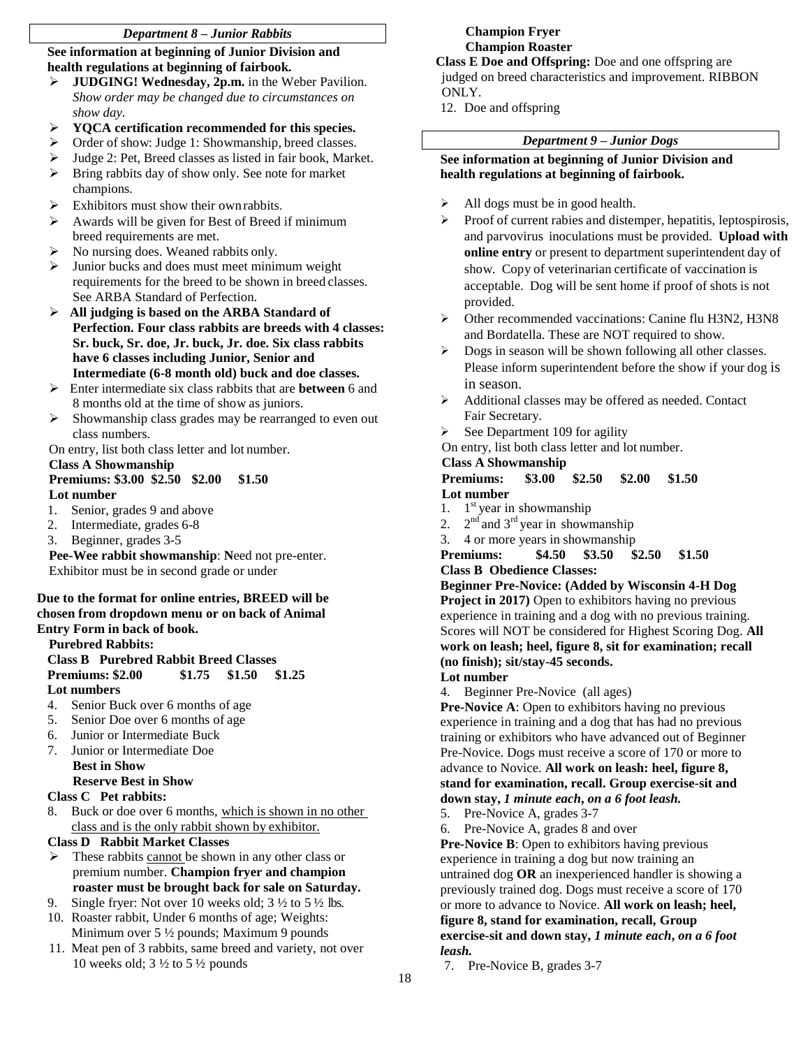# *Department 8 – Junior Rabbits*

**See information at beginning of Junior Division and health regulations at beginning of fairbook.**

- **JUDGING! Wednesday, 2p.m.** in the Weber Pavilion. *Show order may be changed due to circumstances on show day.*
- **YQCA certification recommended for this species.**
- $\triangleright$  Order of show: Judge 1: Showmanship, breed classes.
- Judge 2: Pet, Breed classes as listed in fair book, Market.
- $\triangleright$  Bring rabbits day of show only. See note for market champions.
- $\triangleright$  Exhibitors must show their own rabbits.
- $\triangleright$  Awards will be given for Best of Breed if minimum breed requirements are met.
- No nursing does. Weaned rabbits only.
- $\triangleright$  Junior bucks and does must meet minimum weight requirements for the breed to be shown in breed classes. See ARBA Standard of Perfection.
- **All judging is based on the ARBA Standard of Perfection. Four class rabbits are breeds with 4 classes: Sr. buck, Sr. doe, Jr. buck, Jr. doe. Six class rabbits have 6 classes including Junior, Senior and Intermediate (6-8 month old) buck and doe classes.**
- Enter intermediate six class rabbits that are **between** 6 and 8 months old at the time of show as juniors.
- $\triangleright$  Showmanship class grades may be rearranged to even out class numbers.

On entry, list both class letter and lot number.

#### **Class A Showmanship Premiums: \$3.00 \$2.50 \$2.00 \$1.50 Lot number**

- 1. Senior, grades 9 and above
- 2. Intermediate, grades 6-8
- 3. Beginner, grades 3-5

**Pee-Wee rabbit showmanship**: **N**eed not pre-enter. Exhibitor must be in second grade or under

#### **Due to the format for online entries, BREED will be chosen from dropdown menu or on back of Animal Entry Form in back of book.**

# **Purebred Rabbits:**

# **Class B Purebred Rabbit Breed Classes Premiums: \$2.00 \$1.75 \$1.50 \$1.25 Lot numbers**

- 4. Senior Buck over 6 months of age
- 5. Senior Doe over 6 months of age
- 6. Junior or Intermediate Buck
- 7. Junior or Intermediate Doe **Best in Show Reserve Best in Show**

# **Class C Pet rabbits:**

8. Buck or doe over 6 months, which is shown in no other class and is the only rabbit shown by exhibitor.

# **Class D Rabbit Market Classes**

- These rabbits cannot be shown in any other class or premium number. **Champion fryer and champion roaster must be brought back for sale on Saturday.**
- 9. Single fryer: Not over 10 weeks old;  $3\frac{1}{2}$  to  $5\frac{1}{2}$  lbs.
- 10. Roaster rabbit, Under 6 months of age; Weights: Minimum over 5 ½ pounds; Maximum 9 pounds
- 11. Meat pen of 3 rabbits, same breed and variety, not over 10 weeks old;  $3\frac{1}{2}$  to  $5\frac{1}{2}$  pounds

# **Champion Fryer Champion Roaster**

### **Class E Doe and Offspring:** Doe and one offspring are judged on breed characteristics and improvement. RIBBON ONLY.

12. Doe and offspring

# *Department 9 – Junior Dogs*

# **See information at beginning of Junior Division and health regulations at beginning of fairbook.**

- $\blacktriangleright$  All dogs must be in good health.
- Proof of current rabies and distemper, hepatitis, leptospirosis, and parvovirus inoculations must be provided. **Upload with online entry** or present to department superintendent day of show. Copy of veterinarian certificate of vaccination is acceptable. Dog will be sent home if proof of shots is not provided.
- Other recommended vaccinations: Canine flu H3N2, H3N8 and Bordatella. These are NOT required to show.
- $\triangleright$  Dogs in season will be shown following all other classes. Please inform superintendent before the show if your dog is in season.
- Additional classes may be offered as needed. Contact Fair Secretary.
- $\triangleright$  See Department 109 for agility
- On entry, list both class letter and lot number.

# **Class A Showmanship**

#### **Premiums: \$3.00 \$2.50 \$2.00 \$1.50 Lot number**

- 1. 1  $1<sup>st</sup>$  year in showmanship
- $2.$  $2<sup>nd</sup>$  and  $3<sup>rd</sup>$  year in showmanship
- 3. 4 or more years in showmanship

#### **Premiums: \$4.50 \$3.50 \$2.50 \$1.50 Class B Obedience Classes:**

**Beginner Pre-Novice: (Added by Wisconsin 4-H Dog Project in 2017)** Open to exhibitors having no previous experience in training and a dog with no previous training. Scores will NOT be considered for Highest Scoring Dog. **All work on leash; heel, figure 8, sit for examination; recall (no finish); sit/stay-45 seconds.**

# **Lot number**

4. Beginner Pre-Novice (all ages)

**Pre-Novice A**: Open to exhibitors having no previous experience in training and a dog that has had no previous training or exhibitors who have advanced out of Beginner Pre-Novice. Dogs must receive a score of 170 or more to advance to Novice. **All work on leash: heel, figure 8, stand for examination, recall. Group exercise-sit and down stay,** *1 minute each***,** *on a 6 foot leash.*

- 5. Pre-Novice A, grades 3-7
- 6. Pre-Novice A, grades 8 and over

**Pre-Novice B**: Open to exhibitors having previous experience in training a dog but now training an untrained dog **OR** an inexperienced handler is showing a previously trained dog. Dogs must receive a score of 170 or more to advance to Novice. **All work on leash; heel, figure 8, stand for examination, recall, Group exercise-sit and down stay,** *1 minute each***,** *on a 6 foot leash.*

7. Pre-Novice B, grades 3-7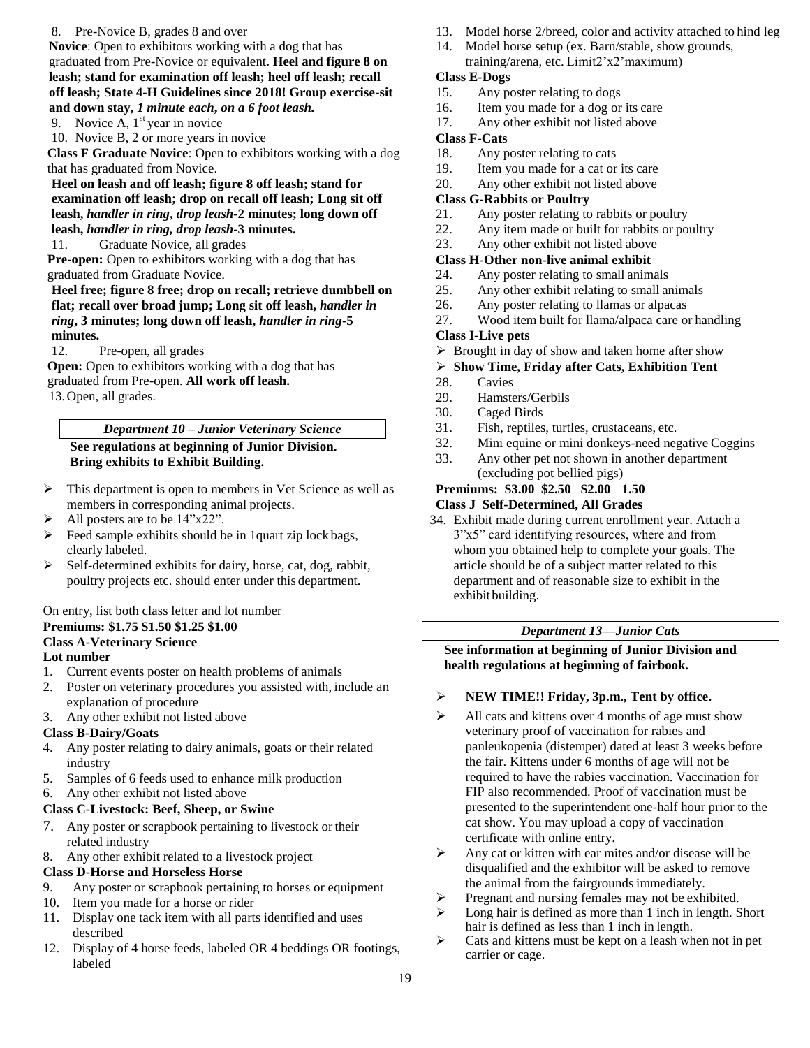#### 8. Pre-Novice B, grades 8 and over

**Novice**: Open to exhibitors working with a dog that has graduated from Pre-Novice or equivalent**. Heel and figure 8 on leash; stand for examination off leash; heel off leash; recall off leash; State 4-H Guidelines since 2018! Group exercise-sit and down stay,** *1 minute each***,** *on a 6 foot leash.*

9. Novice A,  $1<sup>st</sup>$  year in novice

10. Novice B, 2 or more years in novice

**Class F Graduate Novice**: Open to exhibitors working with a dog that has graduated from Novice.

**Heel on leash and off leash; figure 8 off leash; stand for examination off leash; drop on recall off leash; Long sit off leash,** *handler in ring***,** *drop leash-***2 minutes; long down off leash,** *handler in ring, drop leash***-3 minutes.**

11. Graduate Novice, all grades

**Pre-open:** Open to exhibitors working with a dog that has graduated from Graduate Novice.

### **Heel free; figure 8 free; drop on recall; retrieve dumbbell on flat; recall over broad jump; Long sit off leash,** *handler in ring***, 3 minutes; long down off leash,** *handler in ring***-5 minutes.**

12. Pre-open, all grades

**Open:** Open to exhibitors working with a dog that has graduated from Pre-open. **All work off leash.** 13.Open, all grades.

#### *Department 10 – Junior Veterinary Science* **See regulations at beginning of Junior Division. Bring exhibits to Exhibit Building.**

- $\triangleright$  This department is open to members in Vet Science as well as members in corresponding animal projects.
- $\triangleright$  All posters are to be 14"x22".
- $\triangleright$  Feed sample exhibits should be in 1quart zip lock bags, clearly labeled.
- $\triangleright$  Self-determined exhibits for dairy, horse, cat, dog, rabbit, poultry projects etc. should enter under this department.

#### On entry, list both class letter and lot number **Premiums: \$1.75 \$1.50 \$1.25 \$1.00 Class A-Veterinary Science**

### **Lot number**

- 1. Current events poster on health problems of animals
- 2. Poster on veterinary procedures you assisted with, include an explanation of procedure
- 3. Any other exhibit not listed above

### **Class B-Dairy/Goats**

- 4. Any poster relating to dairy animals, goats or their related industry
- 5. Samples of 6 feeds used to enhance milk production
- 6. Any other exhibit not listed above
- **Class C-Livestock: Beef, Sheep, or Swine**
- 7. Any poster or scrapbook pertaining to livestock or their related industry
- 8. Any other exhibit related to a livestock project

### **Class D-Horse and Horseless Horse**

- 9. Any poster or scrapbook pertaining to horses or equipment
- 10. Item you made for a horse or rider
- 11. Display one tack item with all parts identified and uses described
- 12. Display of 4 horse feeds, labeled OR 4 beddings OR footings, labeled
- 13. Model horse 2/breed, color and activity attached to hind leg
- 14. Model horse setup (ex. Barn/stable, show grounds, training/arena, etc. Limit2'x2'maximum)

### **Class E-Dogs**

- 15. Any poster relating to dogs
- 16. Item you made for a dog or its care
- 17. Any other exhibit not listed above

# **Class F-Cats**

- 18. Any poster relating to cats
- 19. Item you made for a cat or its care
- 20. Any other exhibit not listed above

# **Class G-Rabbits or Poultry**

- 21. Any poster relating to rabbits or poultry
- 22. Any item made or built for rabbits or poultry
- 23. Any other exhibit not listed above

### **Class H-Other non-live animal exhibit**

- 24. Any poster relating to small animals
- 25. Any other exhibit relating to small animals
- 26. Any poster relating to llamas or alpacas
- 27. Wood item built for llama/alpaca care or handling

### **Class I-Live pets**

 $\triangleright$  Brought in day of show and taken home after show

### **Show Time, Friday after Cats, Exhibition Tent**

- 28. Cavies
- 29. Hamsters/Gerbils
- 30. Caged Birds
- 31. Fish, reptiles, turtles, crustaceans, etc.
- 32. Mini equine or mini donkeys-need negative Coggins
- 33. Any other pet not shown in another department (excluding pot bellied pigs)

# **Premiums: \$3.00 \$2.50 \$2.00 1.50**

# **Class J Self-Determined, All Grades**

34. Exhibit made during current enrollment year. Attach a 3"x5" card identifying resources, where and from whom you obtained help to complete your goals. The article should be of a subject matter related to this department and of reasonable size to exhibit in the exhibit building.

### *Department 13—Junior Cats*

**See information at beginning of Junior Division and health regulations at beginning of fairbook.**

- **NEW TIME!! Friday, 3p.m., Tent by office.**
- $\triangleright$  All cats and kittens over 4 months of age must show veterinary proof of vaccination for rabies and panleukopenia (distemper) dated at least 3 weeks before the fair. Kittens under 6 months of age will not be required to have the rabies vaccination. Vaccination for FIP also recommended. Proof of vaccination must be presented to the superintendent one-half hour prior to the cat show. You may upload a copy of vaccination certificate with online entry.
- $\triangleright$  Any cat or kitten with ear mites and/or disease will be disqualified and the exhibitor will be asked to remove the animal from the fairgrounds immediately.
- Pregnant and nursing females may not be exhibited.
- $\triangleright$  Long hair is defined as more than 1 inch in length. Short hair is defined as less than 1 inch in length.
- $\triangleright$  Cats and kittens must be kept on a leash when not in pet carrier or cage.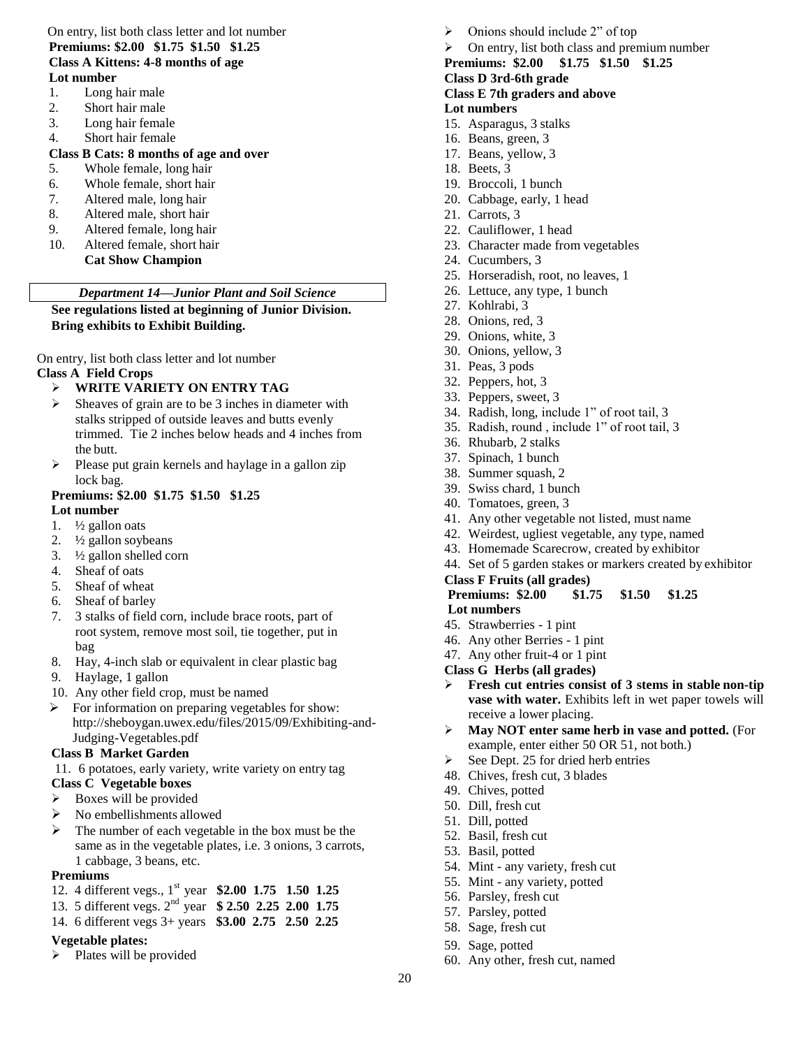# On entry, list both class letter and lot number **Premiums: \$2.00 \$1.75 \$1.50 \$1.25 Class A Kittens: 4-8 months of age**

- **Lot number**
- 1. Long hair male
- 2. Short hair male
- 3. Long hair female
- 4. Short hair female

# **Class B Cats: 8 months of age and over**

- 5. Whole female, long hair
- 6. Whole female, short hair
- 7. Altered male, long hair
- 8. Altered male, short hair
- 9. Altered female, long hair
- 10. Altered female, short hair **Cat Show Champion**

# *Department 14—Junior Plant and Soil Science*

**See regulations listed at beginning of Junior Division. Bring exhibits to Exhibit Building.**

On entry, list both class letter and lot number **Class A Field Crops**

# **WRITE VARIETY ON ENTRY TAG**

- $\triangleright$  Sheaves of grain are to be 3 inches in diameter with stalks stripped of outside leaves and butts evenly trimmed. Tie 2 inches below heads and 4 inches from the butt.
- $\triangleright$  Please put grain kernels and haylage in a gallon zip lock bag.

# **Premiums: \$2.00 \$1.75 \$1.50 \$1.25**

# **Lot number**

- 1.  $\frac{1}{2}$  gallon oats
- 2.  $\frac{1}{2}$  gallon soybeans
- 3. ½ gallon shelled corn
- 4. Sheaf of oats
- 5. Sheaf of wheat
- 6. Sheaf of barley
- 7. 3 stalks of field corn, include brace roots, part of root system, remove most soil, tie together, put in bag
- 8. Hay, 4-inch slab or equivalent in clear plastic bag
- 9. Haylage, 1 gallon
- 10. Any other field crop, must be named
- $\triangleright$  For information on preparing vegetables for show: http://sheboygan.uwex.edu/files/2015/09/Exhibiting-and-Judging-Vegetables.pdf

### **Class B Market Garden**

11. 6 potatoes, early variety, write variety on entry tag **Class C Vegetable boxes**

- $\triangleright$  Boxes will be provided
- $\triangleright$  No embellishments allowed
- $\triangleright$  The number of each vegetable in the box must be the same as in the vegetable plates, i.e. 3 onions, 3 carrots, 1 cabbage, 3 beans, etc.

### **Premiums**

- 12. 4 different vegs., 1st year **\$2.00 1.75 1.50 1.25**
- 13. 5 different vegs. 2nd year **\$ 2.50 2.25 2.00 1.75**
- 14. 6 different vegs 3+ years **\$3.00 2.75 2.50 2.25**

# **Vegetable plates:**

 $\triangleright$  Plates will be provided

- Onions should include 2" of top
- $\triangleright$  On entry, list both class and premium number

#### **Premiums: \$2.00 \$1.75 \$1.50 \$1.25 Class D 3rd-6th grade**

# **Class E 7th graders and above**

# **Lot numbers**

- 15. Asparagus, 3 stalks
- 16. Beans, green, 3
- 17. Beans, yellow, 3
- 18. Beets, 3
- 19. Broccoli, 1 bunch
- 20. Cabbage, early, 1 head
- 21. Carrots, 3
- 22. Cauliflower, 1 head
- 23. Character made from vegetables
- 24. Cucumbers, 3
- 25. Horseradish, root, no leaves, 1
- 26. Lettuce, any type, 1 bunch
- 27. Kohlrabi, 3
- 28. Onions, red, 3
- 29. Onions, white, 3
- 30. Onions, yellow, 3
- 31. Peas, 3 pods
- 32. Peppers, hot, 3
- 33. Peppers, sweet, 3
- 34. Radish, long, include 1" of root tail, 3
- 35. Radish, round , include 1" of root tail, 3
- 36. Rhubarb, 2 stalks
- 37. Spinach, 1 bunch
- 38. Summer squash, 2
- 39. Swiss chard, 1 bunch
- 40. Tomatoes, green, 3
- 41. Any other vegetable not listed, must name
- 42. Weirdest, ugliest vegetable, any type, named
- 43. Homemade Scarecrow, created by exhibitor
- 44. Set of 5 garden stakes or markers created by exhibitor

### **Class F Fruits (all grades)**

**Premiums: \$2.00 \$1.75 \$1.50 \$1.25 Lot numbers**

# 45. Strawberries - 1 pint

- 46. Any other Berries 1 pint
- 47. Any other fruit-4 or 1 pint
- **Class G Herbs (all grades)**
- **Fresh cut entries consist of 3 stems in stable non-tip vase with water.** Exhibits left in wet paper towels will receive a lower placing.
- **May NOT enter same herb in vase and potted.** (For example, enter either 50 OR 51, not both.)
- $\triangleright$  See Dept. 25 for dried herb entries
- 48. Chives, fresh cut, 3 blades
- 49. Chives, potted
- 50. Dill, fresh cut
- 51. Dill, potted
- 52. Basil, fresh cut
- 53. Basil, potted
- 54. Mint any variety, fresh cut
- 55. Mint any variety, potted
- 56. Parsley, fresh cut
- 57. Parsley, potted
- 58. Sage, fresh cut
- 59. Sage, potted

20

60. Any other, fresh cut, named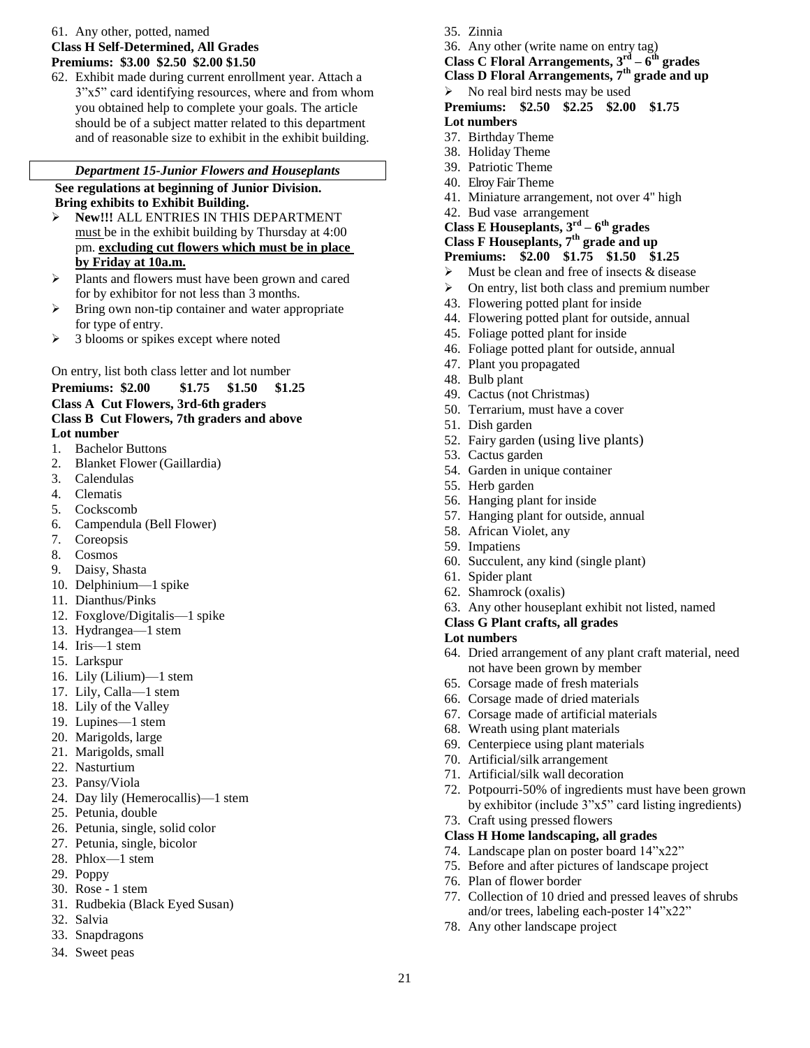# 61. Any other, potted, named **Class H Self-Determined, All Grades Premiums: \$3.00 \$2.50 \$2.00 \$1.50**

62. Exhibit made during current enrollment year. Attach a 3"x5" card identifying resources, where and from whom you obtained help to complete your goals. The article should be of a subject matter related to this department and of reasonable size to exhibit in the exhibit building.

#### *Department 15-Junior Flowers and Houseplants*

#### **See regulations at beginning of Junior Division. Bring exhibits to Exhibit Building.**

- **New!!!** ALL ENTRIES IN THIS DEPARTMENT must be in the exhibit building by Thursday at 4:00 pm. **excluding cut flowers which must be in place by Friday at 10a.m.**
- Plants and flowers must have been grown and cared for by exhibitor for not less than 3 months.
- $\triangleright$  Bring own non-tip container and water appropriate for type of entry.
- > 3 blooms or spikes except where noted

On entry, list both class letter and lot number

# **Premiums: \$2.00 \$1.75 \$1.50 \$1.25**

**Class A Cut Flowers, 3rd-6th graders Class B Cut Flowers, 7th graders and above**

# **Lot number**

- 1. Bachelor Buttons
- 2. Blanket Flower (Gaillardia)
- 3. Calendulas
- 4. Clematis
- 5. Cockscomb
- 6. Campendula (Bell Flower)
- 7. Coreopsis
- 8. Cosmos
- 9. Daisy, Shasta
- 10. Delphinium—1 spike
- 11. Dianthus/Pinks
- 12. Foxglove/Digitalis—1 spike
- 13. Hydrangea—1 stem
- 14. Iris—1 stem
- 15. Larkspur
- 16. Lily (Lilium)—1 stem
- 17. Lily, Calla—1 stem
- 18. Lily of the Valley
- 19. Lupines—1 stem
- 20. Marigolds, large
- 21. Marigolds, small
- 22. Nasturtium
- 23. Pansy/Viola
- 24. Day lily (Hemerocallis)—1 stem
- 25. Petunia, double
- 26. Petunia, single, solid color
- 27. Petunia, single, bicolor
- 28. Phlox—1 stem
- 29. Poppy
- 30. Rose 1 stem
- 31. Rudbekia (Black Eyed Susan)
- 32. Salvia
- 33. Snapdragons
- 34. Sweet peas
- 35. Zinnia
- 36. Any other (write name on entry tag)

**Class C Floral Arrangements, 3rd – 6 th grades**

- **Class D Floral Arrangements, 7th grade and up**
- $\triangleright$  No real bird nests may be used
- **Premiums: \$2.50 \$2.25 \$2.00 \$1.75 Lot numbers**
- 37. Birthday Theme
- 38. Holiday Theme
- 39. Patriotic Theme
- 40. Elroy Fair Theme
- 41. Miniature arrangement, not over 4" high
- 42. Bud vase arrangement
- **Class E Houseplants, 3rd – 6 th grades**

# **Class F Houseplants, 7th grade and up**

- **Premiums: \$2.00 \$1.75 \$1.50 \$1.25**
- $\triangleright$  Must be clean and free of insects & disease
- $\triangleright$  On entry, list both class and premium number
- 43. Flowering potted plant for inside
- 44. Flowering potted plant for outside, annual
- 45. Foliage potted plant for inside
- 46. Foliage potted plant for outside, annual
- 47. Plant you propagated
- 48. Bulb plant
- 49. Cactus (not Christmas)
- 50. Terrarium, must have a cover
- 51. Dish garden
- 52. Fairy garden (using live plants)
- 53. Cactus garden
- 54. Garden in unique container
- 55. Herb garden
- 56. Hanging plant for inside
- 57. Hanging plant for outside, annual
- 58. African Violet, any
- 59. Impatiens
- 60. Succulent, any kind (single plant)
- 61. Spider plant
- 62. Shamrock (oxalis)
- 63. Any other houseplant exhibit not listed, named

### **Class G Plant crafts, all grades**

### **Lot numbers**

- 64. Dried arrangement of any plant craft material, need not have been grown by member
- 65. Corsage made of fresh materials
- 66. Corsage made of dried materials
- 67. Corsage made of artificial materials
- 68. Wreath using plant materials
- 69. Centerpiece using plant materials
- 70. Artificial/silk arrangement
- 71. Artificial/silk wall decoration
- 72. Potpourri-50% of ingredients must have been grown by exhibitor (include 3"x5" card listing ingredients)
- 73. Craft using pressed flowers

78. Any other landscape project

### **Class H Home landscaping, all grades**

- 74. Landscape plan on poster board 14"x22"
- 75. Before and after pictures of landscape project

77. Collection of 10 dried and pressed leaves of shrubs and/or trees, labeling each-poster 14"x22"

76. Plan of flower border

21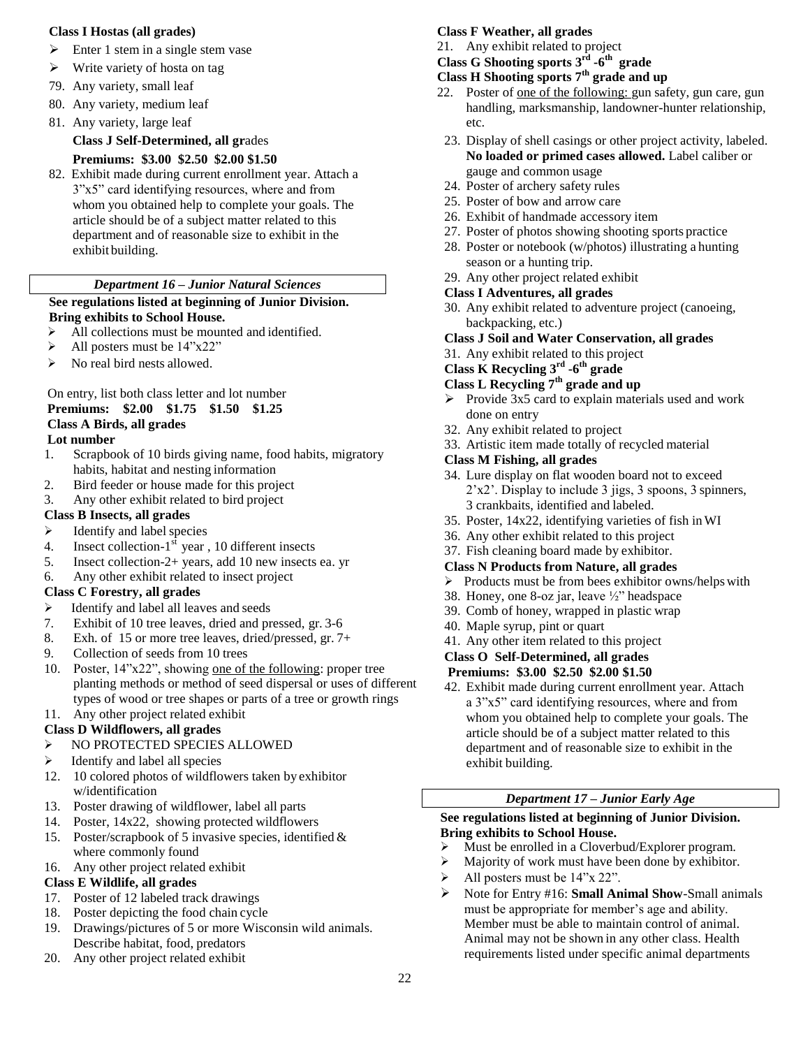#### **Class I Hostas (all grades)**

- $\triangleright$  Enter 1 stem in a single stem vase
- $\triangleright$  Write variety of hosta on tag
- 79. Any variety, small leaf
- 80. Any variety, medium leaf
- 81. Any variety, large leaf

**Class J Self-Determined, all gr**ades

# **Premiums: \$3.00 \$2.50 \$2.00 \$1.50**

82. Exhibit made during current enrollment year. Attach a 3"x5" card identifying resources, where and from whom you obtained help to complete your goals. The article should be of a subject matter related to this department and of reasonable size to exhibit in the exhibit building.

# *Department 16 – Junior Natural Sciences*

# **See regulations listed at beginning of Junior Division.**

# **Bring exhibits to School House.**

- All collections must be mounted and identified.
- $\blacktriangleright$  All posters must be 14"x22"
- $\triangleright$  No real bird nests allowed.

# On entry, list both class letter and lot number

# **Premiums: \$2.00 \$1.75 \$1.50 \$1.25**

# **Class A Birds, all grades**

- **Lot number**
- 1. Scrapbook of 10 birds giving name, food habits, migratory habits, habitat and nesting information
- 2. Bird feeder or house made for this project
- 3. Any other exhibit related to bird project

# **Class B Insects, all grades**

- $\triangleright$  Identify and label species
- 4. Insect collection- $1<sup>st</sup>$  year, 10 different insects
- 5. Insect collection-2+ years, add 10 new insects ea. yr
- 6. Any other exhibit related to insect project

# **Class C Forestry, all grades**

- $\triangleright$  Identify and label all leaves and seeds
- 7. Exhibit of 10 tree leaves, dried and pressed, gr. 3-6
- 8. Exh. of 15 or more tree leaves, dried/pressed, gr. 7+
- 9. Collection of seeds from 10 trees
- 10. Poster, 14"x22", showing one of the following: proper tree planting methods or method of seed dispersal or uses of different types of wood or tree shapes or parts of a tree or growth rings
- 11. Any other project related exhibit

# **Class D Wildflowers, all grades**

- NO PROTECTED SPECIES ALLOWED
- $\triangleright$  Identify and label all species
- 12. 10 colored photos of wildflowers taken by exhibitor w/identification
- 13. Poster drawing of wildflower, label all parts
- 14. Poster, 14x22, showing protected wildflowers
- 15. Poster/scrapbook of 5 invasive species, identified & where commonly found
- 16. Any other project related exhibit

# **Class E Wildlife, all grades**

- 17. Poster of 12 labeled track drawings
- 18. Poster depicting the food chain cycle
- 19. Drawings/pictures of 5 or more Wisconsin wild animals. Describe habitat, food, predators
- 20. Any other project related exhibit

# **Class F Weather, all grades**

21. Any exhibit related to project

#### **Class G Shooting sports 3 rd -6 th grade Class H Shooting sports 7th grade and up**

- 
- 22. Poster of one of the following: gun safety, gun care, gun handling, marksmanship, landowner-hunter relationship, etc.
- 23. Display of shell casings or other project activity, labeled. **No loaded or primed cases allowed.** Label caliber or gauge and common usage
- 24. Poster of archery safety rules
- 25. Poster of bow and arrow care
- 26. Exhibit of handmade accessory item
- 27. Poster of photos showing shooting sports practice
- 28. Poster or notebook (w/photos) illustrating a hunting season or a hunting trip.
- 29. Any other project related exhibit

# **Class I Adventures, all grades**

- 30. Any exhibit related to adventure project (canoeing, backpacking, etc.)
- **Class J Soil and Water Conservation, all grades**
- 31. Any exhibit related to this project

# **Class K Recycling 3 rd -6 th grade**

# **Class L Recycling 7th grade and up**

- Provide  $3x5$  card to explain materials used and work done on entry
- 32. Any exhibit related to project
- 33. Artistic item made totally of recycled material

# **Class M Fishing, all grades**

- 34. Lure display on flat wooden board not to exceed 2'x2'. Display to include 3 jigs, 3 spoons, 3 spinners, 3 crankbaits, identified and labeled.
- 35. Poster, 14x22, identifying varieties of fish inWI
- 36. Any other exhibit related to this project
- 37. Fish cleaning board made by exhibitor.

# **Class N Products from Nature, all grades**

- $\triangleright$  Products must be from bees exhibitor owns/helps with
- 38. Honey, one 8-oz jar, leave ½" headspace
- 39. Comb of honey, wrapped in plastic wrap
- 40. Maple syrup, pint or quart
- 41. Any other item related to this project

# **Class O Self-Determined, all grades**

- **Premiums: \$3.00 \$2.50 \$2.00 \$1.50**
- 42. Exhibit made during current enrollment year. Attach a 3"x5" card identifying resources, where and from whom you obtained help to complete your goals. The article should be of a subject matter related to this department and of reasonable size to exhibit in the exhibit building.

# *Department 17 – Junior Early Age*

# **See regulations listed at beginning of Junior Division. Bring exhibits to School House.**

- Must be enrolled in a Cloverbud/Explorer program.
- Majority of work must have been done by exhibitor.
- All posters must be  $14"x 22"$ .
- Note for Entry #16: **Small Animal Show**-Small animals must be appropriate for member's age and ability. Member must be able to maintain control of animal. Animal may not be shown in any other class. Health requirements listed under specific animal departments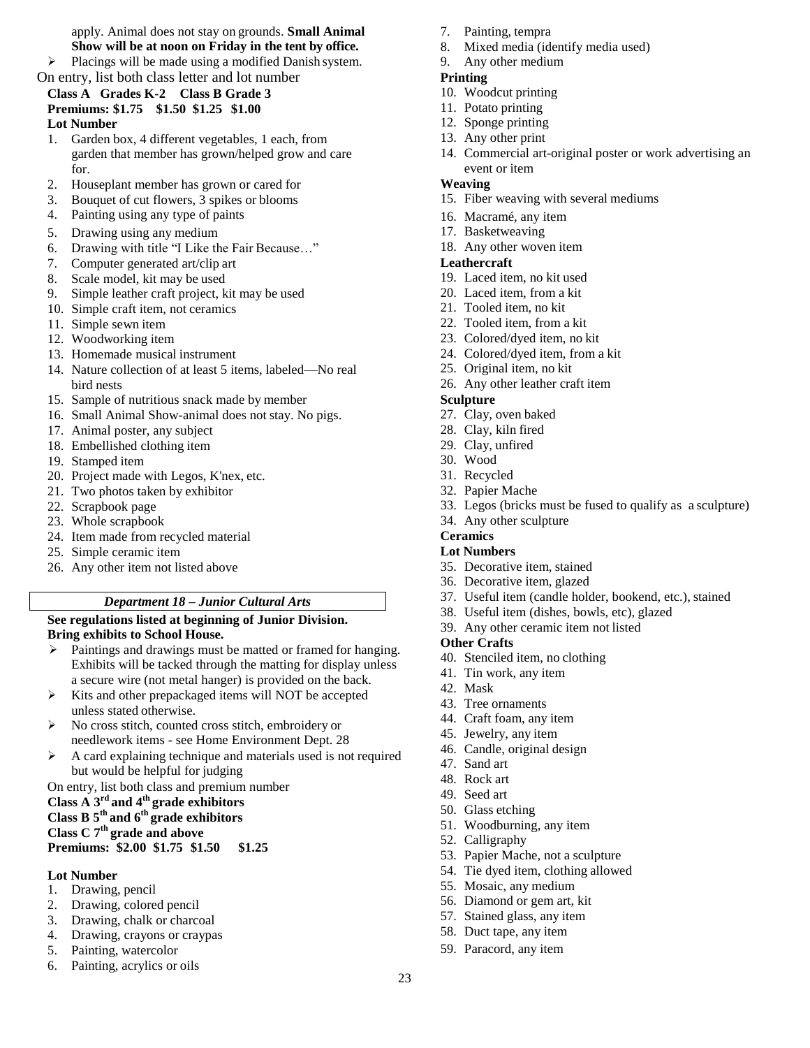apply. Animal does not stay on grounds. **Small Animal Show will be at noon on Friday in the tent by office.**

 $\triangleright$  Placings will be made using a modified Danish system.

On entry, list both class letter and lot number

#### **Class A Grades K-2 Class B Grade 3 Premiums: \$1.75 \$1.50 \$1.25 \$1.00 Lot Number**

- 1. Garden box, 4 different vegetables, 1 each, from garden that member has grown/helped grow and care for.
- 2. Houseplant member has grown or cared for
- 3. Bouquet of cut flowers, 3 spikes or blooms
- 4. Painting using any type of paints
- 5. Drawing using any medium
- 6. Drawing with title "I Like the Fair Because…"
- 7. Computer generated art/clip art
- 8. Scale model, kit may be used
- 9. Simple leather craft project, kit may be used
- 10. Simple craft item, not ceramics
- 11. Simple sewn item
- 12. Woodworking item
- 13. Homemade musical instrument
- 14. Nature collection of at least 5 items, labeled—No real bird nests
- 15. Sample of nutritious snack made by member
- 16. Small Animal Show-animal does not stay. No pigs.
- 17. Animal poster, any subject
- 18. Embellished clothing item
- 19. Stamped item
- 20. Project made with Legos, K'nex, etc.
- 21. Two photos taken by exhibitor
- 22. Scrapbook page
- 23. Whole scrapbook
- 24. Item made from recycled material
- 25. Simple ceramic item
- 26. Any other item not listed above

# *Department 18 – Junior Cultural Arts*

# **See regulations listed at beginning of Junior Division. Bring exhibits to School House.**

- $\triangleright$  Paintings and drawings must be matted or framed for hanging. Exhibits will be tacked through the matting for display unless a secure wire (not metal hanger) is provided on the back.
- $\triangleright$  Kits and other prepackaged items will NOT be accepted unless stated otherwise.
- No cross stitch, counted cross stitch, embroidery or needlework items - see Home Environment Dept. 28
- A card explaining technique and materials used is not required but would be helpful for judging

On entry, list both class and premium number

# **Class A 3rd and 4th grade exhibitors Class B 5th and 6th grade exhibitors**

**Class C 7th grade and above**

**Premiums: \$2.00 \$1.75 \$1.50 \$1.25**

# **Lot Number**

- 1. Drawing, pencil
- 2. Drawing, colored pencil
- 3. Drawing, chalk or charcoal
- 4. Drawing, crayons or craypas
- 5. Painting, watercolor
- 6. Painting, acrylics or oils
- 7. Painting, tempra
- 8. Mixed media (identify media used)
- 9. Any other medium

# **Printing**

- 10. Woodcut printing
- 11. Potato printing
- 12. Sponge printing
- 13. Any other print
- 14. Commercial art-original poster or work advertising an event or item

# **Weaving**

- 15. Fiber weaving with several mediums
- 16. Macramé, any item
- 17. Basketweaving
- 18. Any other woven item

# **Leathercraft**

- 19. Laced item, no kit used
- 20. Laced item, from a kit
- 21. Tooled item, no kit
- 22. Tooled item, from a kit
- 23. Colored/dyed item, no kit
- 24. Colored/dyed item, from a kit
- 25. Original item, no kit
- 26. Any other leather craft item

# **Sculpture**

- 27. Clay, oven baked
- 28. Clay, kiln fired
- 29. Clay, unfired
- 30. Wood
- 31. Recycled
- 32. Papier Mache
- 33. Legos (bricks must be fused to qualify as a sculpture)
- 34. Any other sculpture

# **Ceramics**

- **Lot Numbers**
- 35. Decorative item, stained
- 36. Decorative item, glazed
- 37. Useful item (candle holder, bookend, etc.), stained
- 38. Useful item (dishes, bowls, etc), glazed
- 39. Any other ceramic item not listed

# **Other Crafts**

- 40. Stenciled item, no clothing
- 41. Tin work, any item
- 42. Mask
- 43. Tree ornaments
- 44. Craft foam, any item
- 45. Jewelry, any item
- 46. Candle, original design
- 47. Sand art
- 48. Rock art
- 49. Seed art
- 50. Glass etching
- 51. Woodburning, any item

55. Mosaic, any medium 56. Diamond or gem art, kit 57. Stained glass, any item 58. Duct tape, any item 59. Paracord, any item

53. Papier Mache, not a sculpture 54. Tie dyed item, clothing allowed

52. Calligraphy

23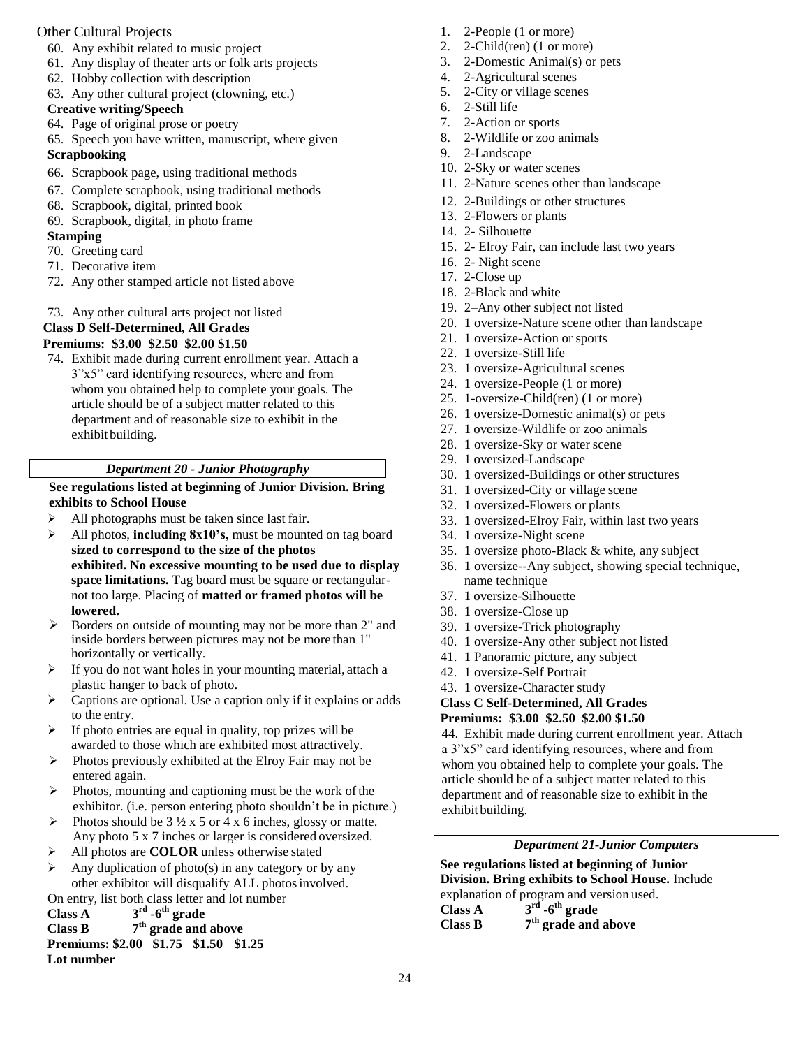# Other Cultural Projects

- 60. Any exhibit related to music project
- 61. Any display of theater arts or folk arts projects
- 62. Hobby collection with description
- 63. Any other cultural project (clowning, etc.)

# **Creative writing/Speech**

- 64. Page of original prose or poetry
- 65. Speech you have written, manuscript, where given

# **Scrapbooking**

- 66. Scrapbook page, using traditional methods
- 67. Complete scrapbook, using traditional methods
- 68. Scrapbook, digital, printed book
- 69. Scrapbook, digital, in photo frame

# **Stamping**

- 70. Greeting card
- 71. Decorative item
- 72. Any other stamped article not listed above
- 73. Any other cultural arts project not listed

# **Class D Self-Determined, All Grades**

# **Premiums: \$3.00 \$2.50 \$2.00 \$1.50**

74. Exhibit made during current enrollment year. Attach a 3"x5" card identifying resources, where and from whom you obtained help to complete your goals. The article should be of a subject matter related to this department and of reasonable size to exhibit in the exhibit building.

# *Department 20 - Junior Photography*

# **See regulations listed at beginning of Junior Division. Bring exhibits to School House**

- All photographs must be taken since last fair.
- All photos, **including 8x10's,** must be mounted on tag board **sized to correspond to the size of the photos exhibited. No excessive mounting to be used due to display space limitations.** Tag board must be square or rectangularnot too large. Placing of **matted or framed photos will be lowered.**
- $\triangleright$  Borders on outside of mounting may not be more than 2" and inside borders between pictures may not be more than 1" horizontally or vertically.
- If you do not want holes in your mounting material, attach a plastic hanger to back of photo.
- $\triangleright$  Captions are optional. Use a caption only if it explains or adds to the entry.
- $\triangleright$  If photo entries are equal in quality, top prizes will be awarded to those which are exhibited most attractively.
- $\triangleright$  Photos previously exhibited at the Elroy Fair may not be entered again.
- $\triangleright$  Photos, mounting and captioning must be the work of the exhibitor. (i.e. person entering photo shouldn't be in picture.)
- Photos should be  $3\frac{1}{2} \times 5$  or  $4 \times 6$  inches, glossy or matte. Any photo 5 x 7 inches or larger is considered oversized.
- All photos are **COLOR** unless otherwise stated
- Any duplication of photo(s) in any category or by any other exhibitor will disqualify ALL photosinvolved.

On entry, list both class letter and lot number

**Class A 3 rd -6 th grade**

#### **Class B 7 th grade and above**

#### **Premiums: \$2.00 \$1.75 \$1.50 \$1.25 Lot number**

- 1. 2-People (1 or more)
- 2. 2-Child(ren) (1 or more)
- 3. 2-Domestic Animal(s) or pets
- 4. 2-Agricultural scenes
- 5. 2-City or village scenes
- 6. 2-Still life
- 7. 2-Action or sports
- 8. 2-Wildlife or zoo animals
- 9. 2-Landscape
- 10. 2-Sky or water scenes
- 11. 2-Nature scenes other than landscape
- 12. 2-Buildings or other structures
- 13. 2-Flowers or plants
- 14. 2- Silhouette
- 15. 2- Elroy Fair, can include last two years
- 16. 2- Night scene
- 17. 2-Close up
- 18. 2-Black and white
- 19. 2–Any other subject not listed
- 20. 1 oversize-Nature scene other than landscape
- 21. 1 oversize-Action or sports
- 22. 1 oversize-Still life
- 23. 1 oversize-Agricultural scenes
- 24. 1 oversize-People (1 or more)
- 25. 1-oversize-Child(ren) (1 or more)
- 26. 1 oversize-Domestic animal(s) or pets
- 27. 1 oversize-Wildlife or zoo animals
- 28. 1 oversize-Sky or water scene
- 29. 1 oversized-Landscape
- 30. 1 oversized-Buildings or other structures
- 31. 1 oversized-City or village scene
- 32. 1 oversized-Flowers or plants
- 33. 1 oversized-Elroy Fair, within last two years
- 34. 1 oversize-Night scene
- 35. 1 oversize photo-Black & white, any subject
- 36. 1 oversize--Any subject, showing special technique, name technique
- 37. 1 oversize-Silhouette
- 38. 1 oversize-Close up
- 39. 1 oversize-Trick photography
- 40. 1 oversize-Any other subject not listed
- 41. 1 Panoramic picture, any subject
- 42. 1 oversize-Self Portrait
- 43. 1 oversize-Character study
- **Class C Self-Determined, All Grades**

# **Premiums: \$3.00 \$2.50 \$2.00 \$1.50**

44. Exhibit made during current enrollment year. Attach a 3"x5" card identifying resources, where and from whom you obtained help to complete your goals. The article should be of a subject matter related to this department and of reasonable size to exhibit in the exhibit building.

### *Department 21-Junior Computers*

**See regulations listed at beginning of Junior Division. Bring exhibits to School House.** Include explanation of program and version used. **Class A 3 rd -6 th grade Class B 7 th grade and above**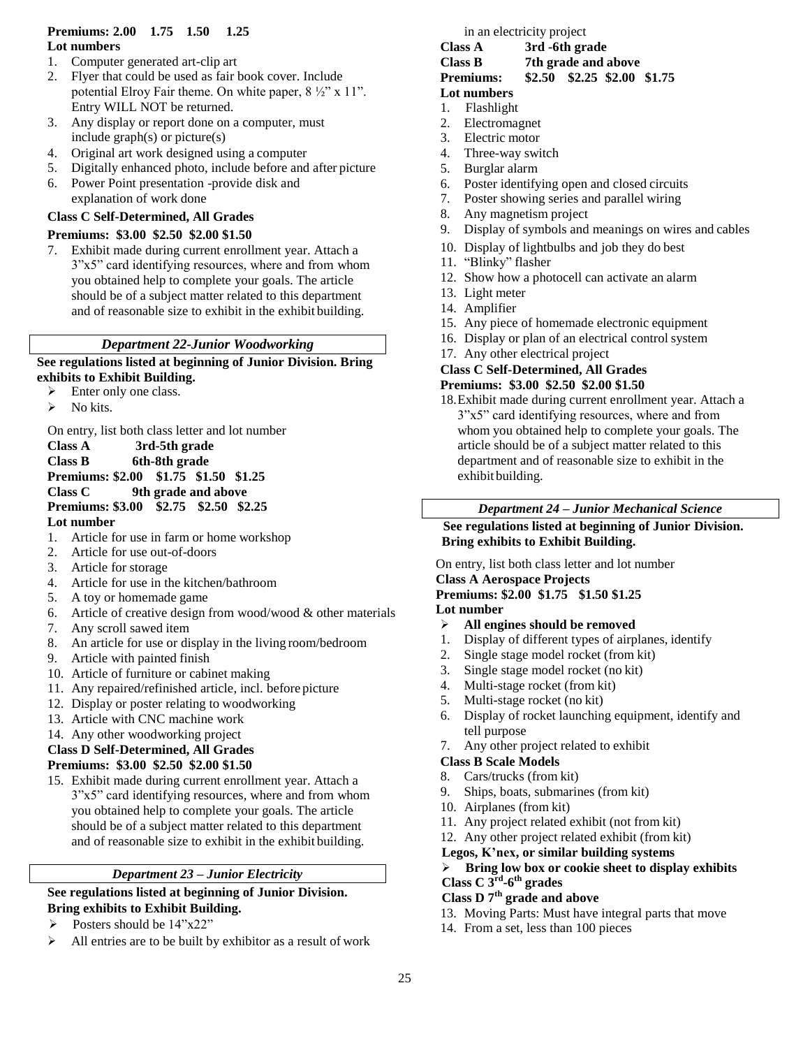# **Premiums: 2.00 1.75 1.50 1.25 Lot numbers**

- 1. Computer generated art-clip art
- 2. Flyer that could be used as fair book cover. Include potential Elroy Fair theme. On white paper, 8 ½" x 11". Entry WILL NOT be returned.
- 3. Any display or report done on a computer, must include graph(s) or picture(s)
- 4. Original art work designed using a computer
- 5. Digitally enhanced photo, include before and after picture
- 6. Power Point presentation -provide disk and explanation of work done

# **Class C Self-Determined, All Grades**

# **Premiums: \$3.00 \$2.50 \$2.00 \$1.50**

7. Exhibit made during current enrollment year. Attach a 3"x5" card identifying resources, where and from whom you obtained help to complete your goals. The article should be of a subject matter related to this department and of reasonable size to exhibit in the exhibit building.

# *Department 22-Junior Woodworking*

**See regulations listed at beginning of Junior Division. Bring exhibits to Exhibit Building.**

- > Enter only one class.
- $\triangleright$  No kits.

On entry, list both class letter and lot number

**Class A 3rd-5th grade Class B 6th-8th grade Premiums: \$2.00 \$1.75 \$1.50 \$1.25 Class C 9th grade and above Premiums: \$3.00 \$2.75 \$2.50 \$2.25 Lot number**

- 1. Article for use in farm or home workshop
- 2. Article for use out-of-doors
- 3. Article for storage
- 4. Article for use in the kitchen/bathroom
- 5. A toy or homemade game
- 6. Article of creative design from wood/wood  $\&$  other materials
- 7. Any scroll sawed item
- 8. An article for use or display in the living room/bedroom
- 9. Article with painted finish
- 10. Article of furniture or cabinet making
- 11. Any repaired/refinished article, incl. before picture
- 12. Display or poster relating to woodworking
- 13. Article with CNC machine work
- 14. Any other woodworking project

# **Class D Self-Determined, All Grades**

# **Premiums: \$3.00 \$2.50 \$2.00 \$1.50**

15. Exhibit made during current enrollment year. Attach a 3"x5" card identifying resources, where and from whom you obtained help to complete your goals. The article should be of a subject matter related to this department and of reasonable size to exhibit in the exhibit building.

# *Department 23 – Junior Electricity*

**See regulations listed at beginning of Junior Division. Bring exhibits to Exhibit Building.**

- $\triangleright$  Posters should be 14"x22"
- All entries are to be built by exhibitor as a result of work

# in an electricity project

**Class A 3rd -6th grade Class B 7th grade and above Premiums: \$2.50 \$2.25 \$2.00 \$1.75** 

# **Lot numbers**

- 1. Flashlight
- 2. Electromagnet
- 3. Electric motor
- 4. Three-way switch
- 5. Burglar alarm
- 6. Poster identifying open and closed circuits
- 7. Poster showing series and parallel wiring
- 8. Any magnetism project
- 9. Display of symbols and meanings on wires and cables
- 10. Display of lightbulbs and job they do best
- 11. "Blinky" flasher
- 12. Show how a photocell can activate an alarm
- 13. Light meter
- 14. Amplifier
- 15. Any piece of homemade electronic equipment
- 16. Display or plan of an electrical control system
- 17. Any other electrical project

#### **Class C Self-Determined, All Grades Premiums: \$3.00 \$2.50 \$2.00 \$1.50**

18.Exhibit made during current enrollment year. Attach a 3"x5" card identifying resources, where and from whom you obtained help to complete your goals. The article should be of a subject matter related to this department and of reasonable size to exhibit in the exhibit building.

# *Department 24 – Junior Mechanical Science*

**See regulations listed at beginning of Junior Division. Bring exhibits to Exhibit Building.**

On entry, list both class letter and lot number

**Class A Aerospace Projects**

#### **Premiums: \$2.00 \$1.75 \$1.50 \$1.25 Lot number**

- **All engines should be removed**
- 1. Display of different types of airplanes, identify
- 2. Single stage model rocket (from kit)
- 3. Single stage model rocket (no kit)
- 4. Multi-stage rocket (from kit)
- 5. Multi-stage rocket (no kit)
- 6. Display of rocket launching equipment, identify and tell purpose
- 7. Any other project related to exhibit

# **Class B Scale Models**

- 8. Cars/trucks (from kit)
- 9. Ships, boats, submarines (from kit)
- 10. Airplanes (from kit)
- 11. Any project related exhibit (not from kit)
- 12. Any other project related exhibit (from kit)
- **Legos, K'nex, or similar building systems**

# **Bring low box or cookie sheet to display exhibits Class C 3rd -6 th grades**

# **Class D 7th grade and above**

- 13. Moving Parts: Must have integral parts that move
- 14. From a set, less than 100 pieces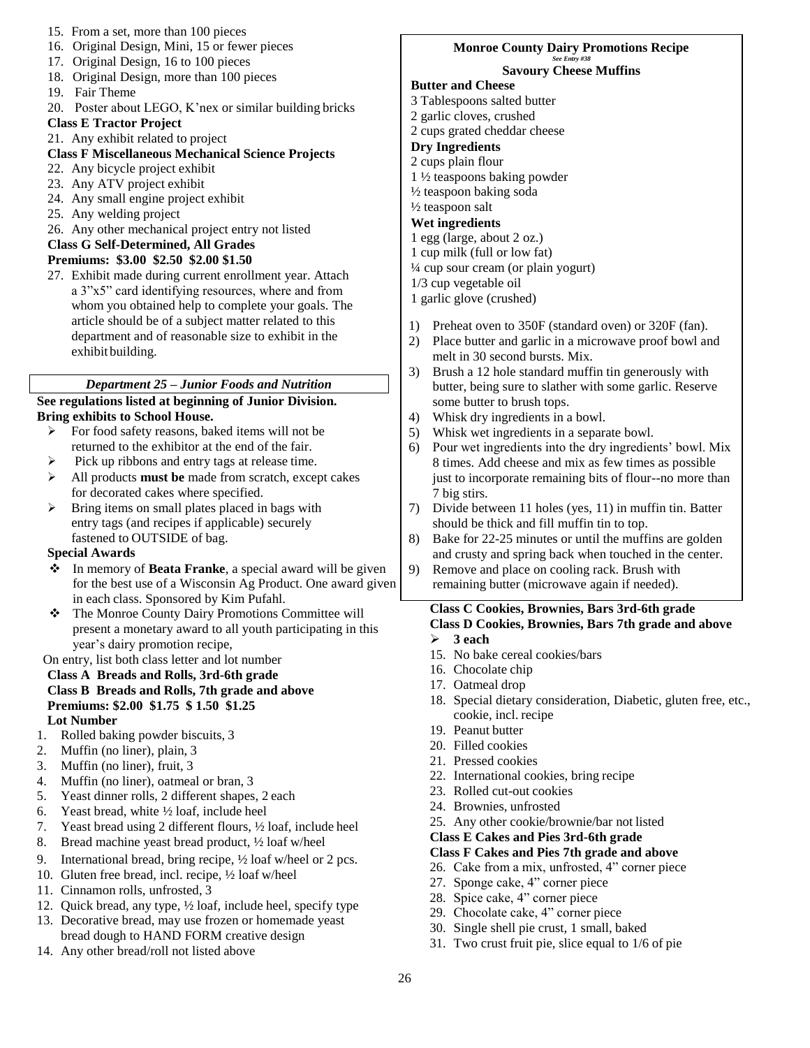- 15. From a set, more than 100 pieces
- 16. Original Design, Mini, 15 or fewer pieces
- 17. Original Design, 16 to 100 pieces
- 18. Original Design, more than 100 pieces
- 19. Fair Theme
- 20. Poster about LEGO, K'nex or similar building bricks

# **Class E Tractor Project**

21. Any exhibit related to project

# **Class F Miscellaneous Mechanical Science Projects**

- 22. Any bicycle project exhibit
- 23. Any ATV project exhibit
- 24. Any small engine project exhibit
- 25. Any welding project
- 26. Any other mechanical project entry not listed

# **Class G Self-Determined, All Grades**

# **Premiums: \$3.00 \$2.50 \$2.00 \$1.50**

27. Exhibit made during current enrollment year. Attach a 3"x5" card identifying resources, where and from whom you obtained help to complete your goals. The article should be of a subject matter related to this department and of reasonable size to exhibit in the exhibit building.

# *Department 25 – Junior Foods and Nutrition*

# **See regulations listed at beginning of Junior Division. Bring exhibits to School House.**

- For food safety reasons, baked items will not be returned to the exhibitor at the end of the fair.
- $\triangleright$  Pick up ribbons and entry tags at release time.
- All products **must be** made from scratch, except cakes for decorated cakes where specified.
- $\triangleright$  Bring items on small plates placed in bags with entry tags (and recipes if applicable) securely fastened to OUTSIDE of bag.

# **Special Awards**

- In memory of **Beata Franke**, a special award will be given for the best use of a Wisconsin Ag Product. One award given in each class. Sponsored by Kim Pufahl.
- The Monroe County Dairy Promotions Committee will present a monetary award to all youth participating in this year's dairy promotion recipe,

### On entry, list both class letter and lot number

- **Class A Breads and Rolls, 3rd-6th grade Class B Breads and Rolls, 7th grade and above Premiums: \$2.00 \$1.75 \$ 1.50 \$1.25 Lot Number**
- 1. Rolled baking powder biscuits, 3
- 2. Muffin (no liner), plain, 3
- 3. Muffin (no liner), fruit, 3
- 4. Muffin (no liner), oatmeal or bran, 3
- 5. Yeast dinner rolls, 2 different shapes, 2 each
- 6. Yeast bread, white ½ loaf, include heel
- 7. Yeast bread using 2 different flours, ½ loaf, include heel
- 8. Bread machine yeast bread product, ½ loaf w/heel
- 9. International bread, bring recipe, ½ loaf w/heel or 2 pcs.
- 10. Gluten free bread, incl. recipe, ½ loaf w/heel
- 11. Cinnamon rolls, unfrosted, 3
- 12. Quick bread, any type, ½ loaf, include heel, specify type
- 13. Decorative bread, may use frozen or homemade yeast bread dough to HAND FORM creative design
- 14. Any other bread/roll not listed above

#### **Monroe County Dairy Promotions Recipe** *See Entry #38* **Savoury Cheese Muffins**

# **Butter and Cheese**

- 3 Tablespoons salted butter
- 2 garlic cloves, crushed
- 2 cups grated cheddar cheese

# **Dry Ingredients**

- 2 cups plain flour
- 1 ½ teaspoons baking powder
- ½ teaspoon baking soda
- ½ teaspoon salt

# **Wet ingredients**

- 1 egg (large, about 2 oz.)
- 1 cup milk (full or low fat)
- ¼ cup sour cream (or plain yogurt)
- 1/3 cup vegetable oil
- 1 garlic glove (crushed)
- 1) Preheat oven to 350F (standard oven) or 320F (fan).
- 2) Place butter and garlic in a microwave proof bowl and melt in 30 second bursts. Mix.
- 3) Brush a 12 hole standard muffin tin generously with butter, being sure to slather with some garlic. Reserve some butter to brush tops.
- 4) Whisk dry ingredients in a bowl.
- 5) Whisk wet ingredients in a separate bowl.
- 6) Pour wet ingredients into the dry ingredients' bowl. Mix 8 times. Add cheese and mix as few times as possible just to incorporate remaining bits of flour--no more than 7 big stirs.
- 7) Divide between 11 holes (yes, 11) in muffin tin. Batter should be thick and fill muffin tin to top.
- 8) Bake for 22-25 minutes or until the muffins are golden and crusty and spring back when touched in the center.
- 9) Remove and place on cooling rack. Brush with remaining butter (microwave again if needed).

#### **Class C Cookies, Brownies, Bars 3rd-6th grade Class D Cookies, Brownies, Bars 7th grade and above 3 each**

- 15. No bake cereal cookies/bars
- 16. Chocolate chip
- 17. Oatmeal drop
- 18. Special dietary consideration, Diabetic, gluten free, etc., cookie, incl. recipe
- 19. Peanut butter
- 20. Filled cookies
- 21. Pressed cookies
	- 22. International cookies, bring recipe
	- 23. Rolled cut-out cookies
	- 24. Brownies, unfrosted
	- 25. Any other cookie/brownie/bar not listed

### **Class E Cakes and Pies 3rd-6th grade**

- **Class F Cakes and Pies 7th grade and above**
- 26. Cake from a mix, unfrosted, 4" corner piece
- 27. Sponge cake, 4" corner piece
- 28. Spice cake, 4" corner piece
- 29. Chocolate cake, 4" corner piece
- 30. Single shell pie crust, 1 small, baked
- 31. Two crust fruit pie, slice equal to 1/6 of pie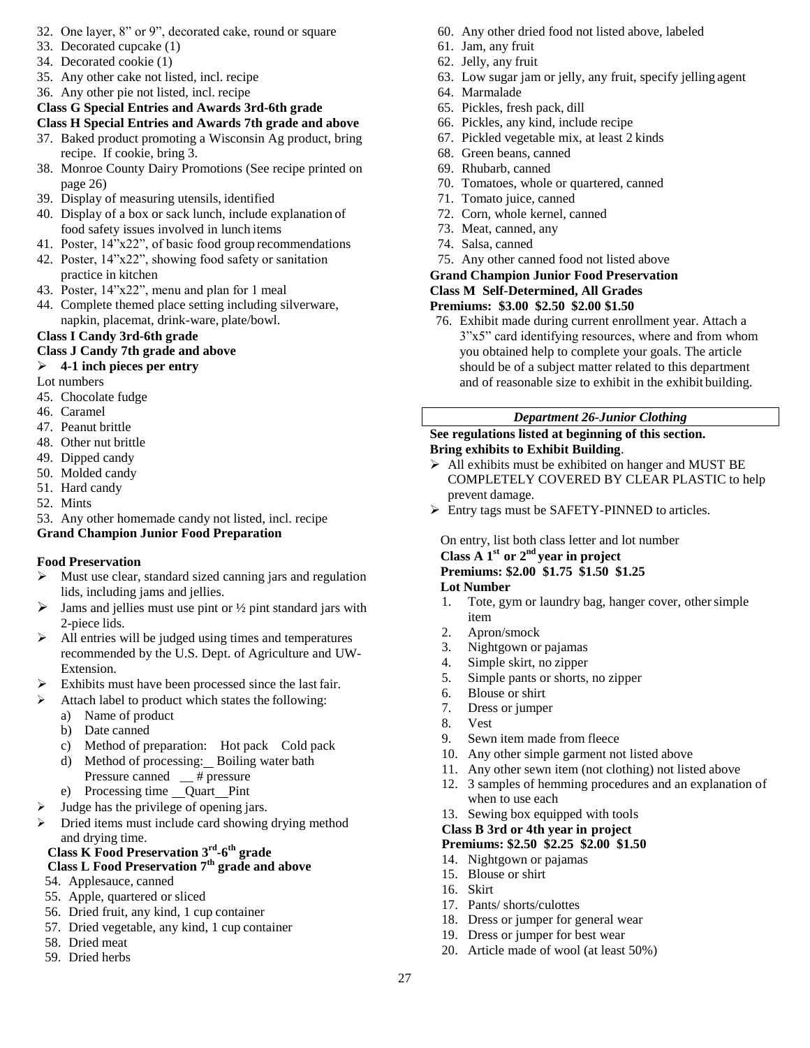- 32. One layer, 8" or 9", decorated cake, round or square
- 33. Decorated cupcake (1)
- 34. Decorated cookie (1)
- 35. Any other cake not listed, incl. recipe
- 36. Any other pie not listed, incl. recipe

# **Class G Special Entries and Awards 3rd-6th grade**

# **Class H Special Entries and Awards 7th grade and above**

- 37. Baked product promoting a Wisconsin Ag product, bring recipe. If cookie, bring 3.
- 38. Monroe County Dairy Promotions (See recipe printed on page 26)
- 39. Display of measuring utensils, identified
- 40. Display of a box or sack lunch, include explanation of food safety issues involved in lunch items
- 41. Poster, 14"x22", of basic food group recommendations
- 42. Poster, 14"x22", showing food safety or sanitation practice in kitchen
- 43. Poster, 14"x22", menu and plan for 1 meal
- 44. Complete themed place setting including silverware, napkin, placemat, drink-ware, plate/bowl.

# **Class I Candy 3rd-6th grade**

# **Class J Candy 7th grade and above**

# **4-1 inch pieces per entry**

- Lot numbers
- 45. Chocolate fudge
- 46. Caramel
- 47. Peanut brittle
- 48. Other nut brittle
- 49. Dipped candy
- 50. Molded candy
- 51. Hard candy
- 52. Mints

53. Any other homemade candy not listed, incl. recipe **Grand Champion Junior Food Preparation**

# **Food Preservation**

- $\triangleright$  Must use clear, standard sized canning jars and regulation lids, including jams and jellies.
- $\triangleright$  Jams and jellies must use pint or  $\frac{1}{2}$  pint standard jars with 2-piece lids.
- $\triangleright$  All entries will be judged using times and temperatures recommended by the U.S. Dept. of Agriculture and UW-Extension.
- $\triangleright$  Exhibits must have been processed since the last fair.
- $\blacktriangleright$  Attach label to product which states the following:
	- a) Name of product
		- b) Date canned
		- c) Method of preparation: Hot pack Cold pack
		- d) Method of processing: Boiling water bath Pressure canned \_\_ # pressure
	- e) Processing time \_\_ Quart \_\_ Pint
- $\triangleright$  Judge has the privilege of opening jars.
- Dried items must include card showing drying method and drying time.

#### **Class K Food Preservation 3rd -6 th grade Class L Food Preservation 7th grade and above**

- 54. Applesauce, canned
- 55. Apple, quartered or sliced
- 56. Dried fruit, any kind, 1 cup container
- 57. Dried vegetable, any kind, 1 cup container
- 58. Dried meat
- 59. Dried herbs
- 60. Any other dried food not listed above, labeled
- 61. Jam, any fruit 62. Jelly, any fruit
- 63. Low sugar jam or jelly, any fruit, specify jelling agent
- 64. Marmalade
- 65. Pickles, fresh pack, dill
- 66. Pickles, any kind, include recipe
- 67. Pickled vegetable mix, at least 2 kinds
- 68. Green beans, canned
- 69. Rhubarb, canned
- 70. Tomatoes, whole or quartered, canned
- 71. Tomato juice, canned
- 72. Corn, whole kernel, canned
- 73. Meat, canned, any
- 74. Salsa, canned
- 75. Any other canned food not listed above

### **Grand Champion Junior Food Preservation**

### **Class M Self-Determined, All Grades**

# **Premiums: \$3.00 \$2.50 \$2.00 \$1.50**

76. Exhibit made during current enrollment year. Attach a 3"x5" card identifying resources, where and from whom you obtained help to complete your goals. The article should be of a subject matter related to this department and of reasonable size to exhibit in the exhibit building.

# *Department 26-Junior Clothing*

# **See regulations listed at beginning of this section. Bring exhibits to Exhibit Building**.

- $\triangleright$  All exhibits must be exhibited on hanger and MUST BE COMPLETELY COVERED BY CLEAR PLASTIC to help prevent damage.
- Entry tags must be SAFETY-PINNED to articles.

# On entry, list both class letter and lot number

# **Class A 1st or 2nd year in project**

# **Premiums: \$2.00 \$1.75 \$1.50 \$1.25**

### **Lot Number**

- 1. Tote, gym or laundry bag, hanger cover, other simple item
- 2. Apron/smock
- 3. Nightgown or pajamas
- 4. Simple skirt, no zipper
- 5. Simple pants or shorts, no zipper
- 6. Blouse or shirt
- 7. Dress or jumper
- 8. Vest
- 9. Sewn item made from fleece
- 10. Any other simple garment not listed above
- 11. Any other sewn item (not clothing) not listed above
- 12. 3 samples of hemming procedures and an explanation of when to use each
- 13. Sewing box equipped with tools

# **Class B 3rd or 4th year in project**

# **Premiums: \$2.50 \$2.25 \$2.00 \$1.50**

- 14. Nightgown or pajamas
- 15. Blouse or shirt
- 16. Skirt
- 17. Pants/ shorts/culottes
- 18. Dress or jumper for general wear
- 19. Dress or jumper for best wear
- 20. Article made of wool (at least 50%)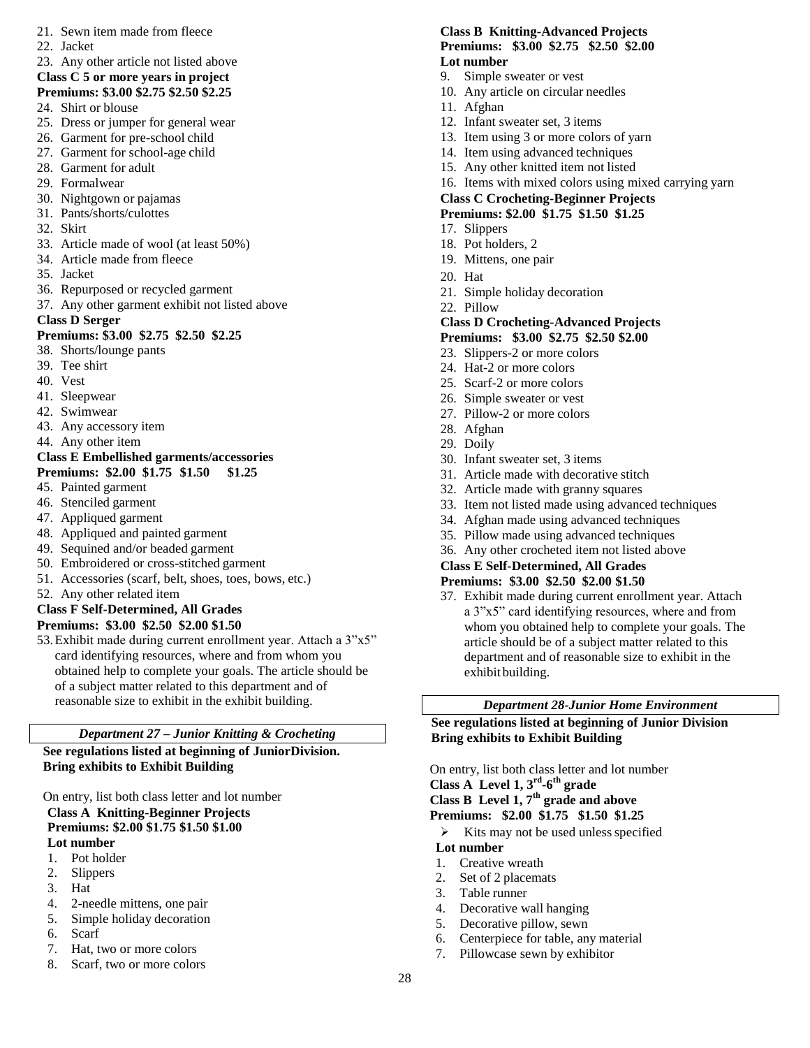- 21. Sewn item made from fleece
- 22. Jacket
- 23. Any other article not listed above **Class C 5 or more years in project**
- **Premiums: \$3.00 \$2.75 \$2.50 \$2.25**
- 24. Shirt or blouse
- 25. Dress or jumper for general wear
- 26. Garment for pre-school child
- 27. Garment for school-age child
- 28. Garment for adult
- 29. Formalwear
- 30. Nightgown or pajamas
- 31. Pants/shorts/culottes
- 32. Skirt
- 33. Article made of wool (at least 50%)
- 34. Article made from fleece
- 35. Jacket
- 36. Repurposed or recycled garment
- 37. Any other garment exhibit not listed above
- **Class D Serger**

### **Premiums: \$3.00 \$2.75 \$2.50 \$2.25**

- 38. Shorts/lounge pants
- 39. Tee shirt
- 40. Vest
- 41. Sleepwear
- 42. Swimwear
- 43. Any accessory item
- 44. Any other item

#### **Class E Embellished garments/accessories Premiums: \$2.00 \$1.75 \$1.50 \$1.25**

- 
- 45. Painted garment
- 46. Stenciled garment
- 47. Appliqued garment
- 48. Appliqued and painted garment
- 49. Sequined and/or beaded garment
- 50. Embroidered or cross-stitched garment
- 51. Accessories (scarf, belt, shoes, toes, bows, etc.)
- 52. Any other related item

#### **Class F Self-Determined, All Grades Premiums: \$3.00 \$2.50 \$2.00 \$1.50**

53.Exhibit made during current enrollment year. Attach a 3"x5" card identifying resources, where and from whom you obtained help to complete your goals. The article should be of a subject matter related to this department and of reasonable size to exhibit in the exhibit building.

### *Department 27 – Junior Knitting & Crocheting*

**See regulations listed at beginning of JuniorDivision. Bring exhibits to Exhibit Building**

On entry, list both class letter and lot number **Class A Knitting-Beginner Projects Premiums: \$2.00 \$1.75 \$1.50 \$1.00 Lot number**

- 1. Pot holder
- 2. Slippers
- 3. Hat
- 
- 4. 2-needle mittens, one pair
- 5. Simple holiday decoration
- 6. Scarf
- 7. Hat, two or more colors
- 8. Scarf, two or more colors

#### **Class B Knitting-Advanced Projects Premiums: \$3.00 \$2.75 \$2.50 \$2.00 Lot number**

- 9. Simple sweater or vest
- 10. Any article on circular needles
- 11. Afghan
- 12. Infant sweater set, 3 items
- 13. Item using 3 or more colors of yarn
- 14. Item using advanced techniques
- 15. Any other knitted item not listed
- 16. Items with mixed colors using mixed carrying yarn

#### **Class C Crocheting-Beginner Projects Premiums: \$2.00 \$1.75 \$1.50 \$1.25**

- 17. Slippers
- 18. Pot holders, 2
- 19. Mittens, one pair
	-
- 20. Hat
- 21. Simple holiday decoration
- 22. Pillow

# **Class D Crocheting-Advanced Projects**

- **Premiums: \$3.00 \$2.75 \$2.50 \$2.00**
- 23. Slippers-2 or more colors
- 24. Hat-2 or more colors
- 25. Scarf-2 or more colors
- 26. Simple sweater or vest
- 27. Pillow-2 or more colors
- 28. Afghan
- 29. Doily
- 30. Infant sweater set, 3 items
- 31. Article made with decorative stitch
- 32. Article made with granny squares
- 33. Item not listed made using advanced techniques
- 34. Afghan made using advanced techniques
- 35. Pillow made using advanced techniques
- 36. Any other crocheted item not listed above

#### **Class E Self-Determined, All Grades Premiums: \$3.00 \$2.50 \$2.00 \$1.50**

37. Exhibit made during current enrollment year. Attach a 3"x5" card identifying resources, where and from whom you obtained help to complete your goals. The article should be of a subject matter related to this department and of reasonable size to exhibit in the exhibit building.

# *Department 28-Junior Home Environment*

**See regulations listed at beginning of Junior Division Bring exhibits to Exhibit Building**

On entry, list both class letter and lot number **Class A Level 1, 3rd -6 th grade**

**Class B Level 1, 7th grade and above** 

**Premiums: \$2.00 \$1.75 \$1.50 \$1.25**

 $\triangleright$  Kits may not be used unless specified

#### **Lot number**

28

- 1. Creative wreath
- 2. Set of 2 placemats
- 3. Table runner
- 4. Decorative wall hanging
- 5. Decorative pillow, sewn
- 6. Centerpiece for table, any material
- 7. Pillowcase sewn by exhibitor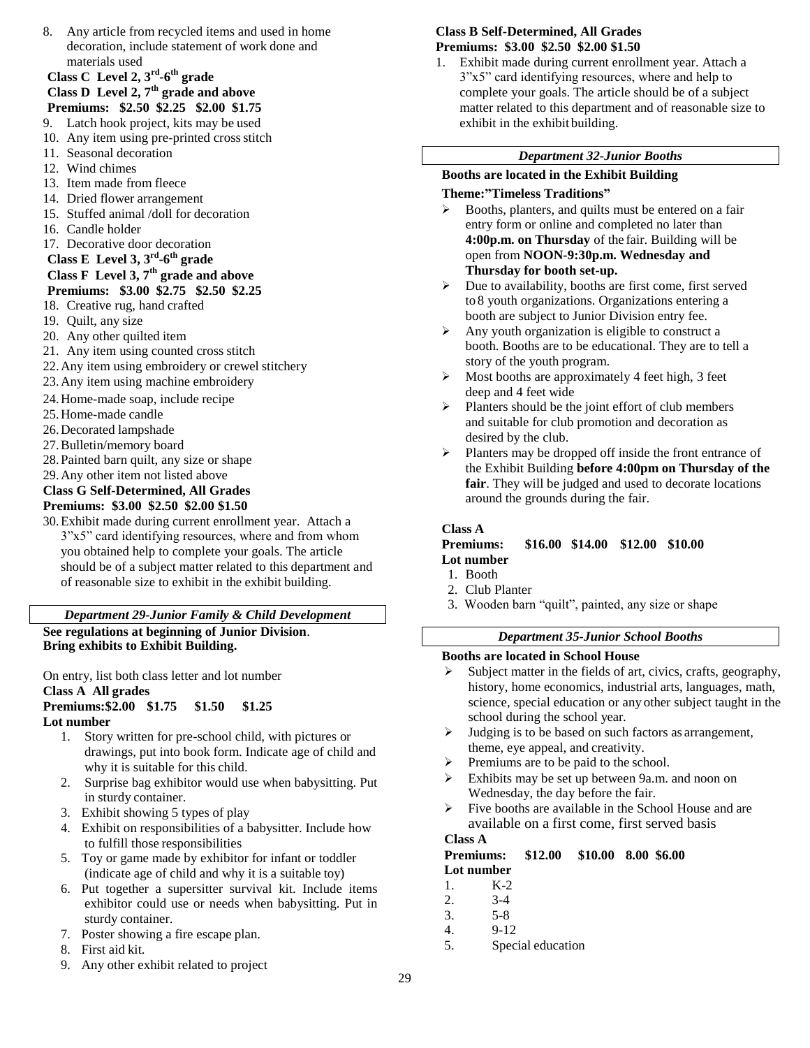8. Any article from recycled items and used in home decoration, include statement of work done and materials used

### **Class C Level 2, 3rd -6 th grade Class D Level 2, 7th grade and above**

# **Premiums: \$2.50 \$2.25 \$2.00 \$1.75**

- 9. Latch hook project, kits may be used
- 10. Any item using pre-printed cross stitch 11. Seasonal decoration
- 12. Wind chimes
- 
- 13. Item made from fleece
- 14. Dried flower arrangement
- 15. Stuffed animal /doll for decoration
- 16. Candle holder
- 17. Decorative door decoration
- **Class E Level 3, 3rd -6 th grade**

#### **Class F Level 3, 7th grade and above Premiums: \$3.00 \$2.75 \$2.50 \$2.25**

- 18. Creative rug, hand crafted
- 19. Quilt, any size
- 20. Any other quilted item
- 21. Any item using counted cross stitch
- 22.Any item using embroidery or crewel stitchery
- 23.Any item using machine embroidery
- 24.Home-made soap, include recipe
- 25.Home-made candle
- 26.Decorated lampshade
- 27.Bulletin/memory board
- 28.Painted barn quilt, any size or shape
- 29.Any other item not listed above

# **Class G Self-Determined, All Grades Premiums: \$3.00 \$2.50 \$2.00 \$1.50**

30.Exhibit made during current enrollment year. Attach a 3"x5" card identifying resources, where and from whom you obtained help to complete your goals. The article should be of a subject matter related to this department and of reasonable size to exhibit in the exhibit building.

# *Department 29-Junior Family & Child Development*

**See regulations at beginning of Junior Division**. **Bring exhibits to Exhibit Building.**

On entry, list both class letter and lot number

### **Class A All grades**

#### **Premiums:\$2.00 \$1.75 \$1.50 \$1.25 Lot number**

- 1. Story written for pre-school child, with pictures or drawings, put into book form. Indicate age of child and why it is suitable for this child.
- 2. Surprise bag exhibitor would use when babysitting. Put in sturdy container.
- 3. Exhibit showing 5 types of play
- 4. Exhibit on responsibilities of a babysitter. Include how to fulfill those responsibilities
- 5. Toy or game made by exhibitor for infant or toddler (indicate age of child and why it is a suitable toy)
- 6. Put together a supersitter survival kit. Include items exhibitor could use or needs when babysitting. Put in sturdy container.
- 7. Poster showing a fire escape plan.
- 8. First aid kit.
- 9. Any other exhibit related to project

# **Class B Self-Determined, All Grades Premiums: \$3.00 \$2.50 \$2.00 \$1.50**

1. Exhibit made during current enrollment year. Attach a 3"x5" card identifying resources, where and help to complete your goals. The article should be of a subject matter related to this department and of reasonable size to exhibit in the exhibit building.

# *Department 32-Junior Booths*

# **Booths are located in the Exhibit Building**

# **Theme:"Timeless Traditions"**

- Booths, planters, and quilts must be entered on a fair entry form or online and completed no later than **4:00p.m. on Thursday** of the fair. Building will be open from **NOON-9:30p.m. Wednesday and Thursday for booth set-up.**
- $\triangleright$  Due to availability, booths are first come, first served to 8 youth organizations. Organizations entering a booth are subject to Junior Division entry fee.
- $\triangleright$  Any youth organization is eligible to construct a booth. Booths are to be educational. They are to tell a story of the youth program.
- $\triangleright$  Most booths are approximately 4 feet high, 3 feet deep and 4 feet wide
- $\triangleright$  Planters should be the joint effort of club members and suitable for club promotion and decoration as desired by the club.
- $\triangleright$  Planters may be dropped off inside the front entrance of the Exhibit Building **before 4:00pm on Thursday of the fair**. They will be judged and used to decorate locations around the grounds during the fair.

# **Class A**

#### **Premiums: \$16.00 \$14.00 \$12.00 \$10.00 Lot number**

- 1. Booth
- 2. Club Planter
- 3. Wooden barn "quilt", painted, any size or shape

# *Department 35-Junior School Booths*

# **Booths are located in School House**

- $\triangleright$  Subject matter in the fields of art, civics, crafts, geography, history, home economics, industrial arts, languages, math, science, special education or any other subject taught in the school during the school year.
- Judging is to be based on such factors as arrangement, theme, eye appeal, and creativity.
- $\triangleright$  Premiums are to be paid to the school.
- Exhibits may be set up between 9a.m. and noon on Wednesday, the day before the fair.
- $\triangleright$  Five booths are available in the School House and are available on a first come, first served basis

# **Class A**

**Premiums: \$12.00 \$10.00 8.00 \$6.00 Lot number**

- 1. K-2
- 2. 3-4
- 3. 5-8
- 4. 9-12
- 5. Special education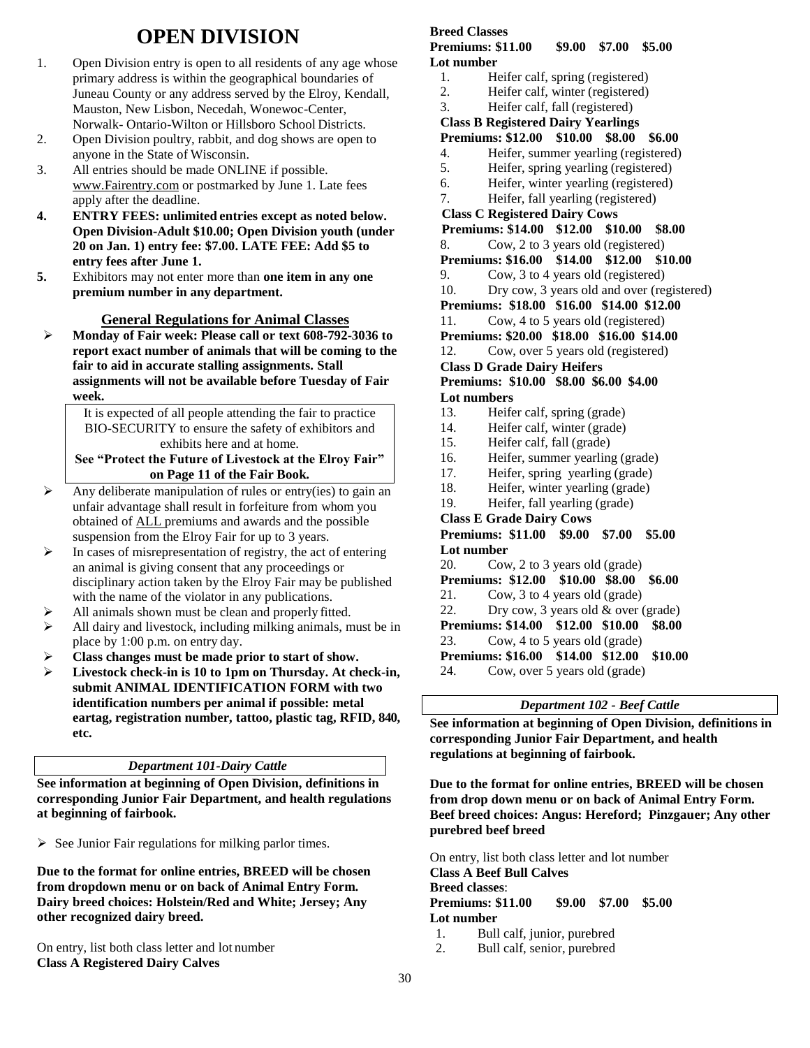# **OPEN DIVISION**

- 1. Open Division entry is open to all residents of any age whose primary address is within the geographical boundaries of Juneau County or any address served by the Elroy, Kendall, Mauston, New Lisbon, Necedah, Wonewoc-Center, Norwalk- Ontario-Wilton or Hillsboro School Districts.
- 2. Open Division poultry, rabbit, and dog shows are open to anyone in the State of Wisconsin.
- 3. All entries should be made ONLINE if possible. [www.Fairentry.com](http://www.fairentry.com/) or postmarked by June 1. Late fees apply after the deadline.
- **4. ENTRY FEES: unlimited entries except as noted below. Open Division-Adult \$10.00; Open Division youth (under 20 on Jan. 1) entry fee: \$7.00. LATE FEE: Add \$5 to entry fees after June 1.**
- **5.** Exhibitors may not enter more than **one item in any one premium number in any department.**

# **General Regulations for Animal Classes**

 **Monday of Fair week: Please call or text 608-792-3036 to report exact number of animals that will be coming to the fair to aid in accurate stalling assignments. Stall assignments will not be available before Tuesday of Fair week.**

> It is expected of all people attending the fair to practice BIO-SECURITY to ensure the safety of exhibitors and exhibits here and at home.

#### **See "Protect the Future of Livestock at the Elroy Fair" on Page 11 of the Fair Book.**

- $\triangleright$  Any deliberate manipulation of rules or entry(ies) to gain an unfair advantage shall result in forfeiture from whom you obtained of ALL premiums and awards and the possible suspension from the Elroy Fair for up to 3 years.
- $\triangleright$  In cases of misrepresentation of registry, the act of entering an animal is giving consent that any proceedings or disciplinary action taken by the Elroy Fair may be published with the name of the violator in any publications.
- $\triangleright$  All animals shown must be clean and properly fitted.
- $\triangleright$  All dairy and livestock, including milking animals, must be in place by 1:00 p.m. on entry day.
- **Class changes must be made prior to start of show.**
- **Livestock check-in is 10 to 1pm on Thursday. At check-in, submit ANIMAL IDENTIFICATION FORM with two identification numbers per animal if possible: metal eartag, registration number, tattoo, plastic tag, RFID, 840, etc.**

### *Department 101-Dairy Cattle*

**See information at beginning of Open Division, definitions in corresponding Junior Fair Department, and health regulations at beginning of fairbook.**

 $\triangleright$  See Junior Fair regulations for milking parlor times.

**Due to the format for online entries, BREED will be chosen from dropdown menu or on back of Animal Entry Form. Dairy breed choices: Holstein/Red and White; Jersey; Any other recognized dairy breed.**

On entry, list both class letter and lot number **Class A Registered Dairy Calves**

# **Breed Classes**

#### **Premiums: \$11.00 \$9.00 \$7.00 \$5.00 Lot number**

- 1. Heifer calf, spring (registered)
- 2. Heifer calf, winter (registered)
- 3. Heifer calf, fall (registered)
- **Class B Registered Dairy Yearlings**

# **Premiums: \$12.00 \$10.00 \$8.00 \$6.00**

- 4. Heifer, summer yearling (registered)
- 5. Heifer, spring yearling (registered)
- 6. Heifer, winter yearling (registered)
- 7. Heifer, fall yearling (registered)
- **Class C Registered Dairy Cows**

**Premiums: \$14.00 \$12.00 \$10.00 \$8.00**

- 8. Cow, 2 to 3 years old (registered)
- **Premiums: \$16.00 \$14.00 \$12.00 \$10.00**
- 9. Cow, 3 to 4 years old (registered)
- 10. Dry cow, 3 years old and over (registered)
- **Premiums: \$18.00 \$16.00 \$14.00 \$12.00**
- 11. Cow, 4 to 5 years old (registered)
- **Premiums: \$20.00 \$18.00 \$16.00 \$14.00**
- 12. Cow, over 5 years old (registered)
- **Class D Grade Dairy Heifers**

**Premiums: \$10.00 \$8.00 \$6.00 \$4.00 Lot numbers**

- 13. Heifer calf, spring (grade)
- 14. Heifer calf, winter (grade)
- 15. Heifer calf, fall (grade)
- 16. Heifer, summer yearling (grade)
- 17. Heifer, spring yearling (grade)
- 18. Heifer, winter yearling (grade)
- 19. Heifer, fall yearling (grade)
- **Class E Grade Dairy Cows**

**Premiums: \$11.00 \$9.00 \$7.00 \$5.00 Lot number**

20. Cow, 2 to 3 years old (grade)

**Premiums: \$12.00 \$10.00 \$8.00 \$6.00**

- 21. Cow, 3 to 4 years old (grade)
- 22. Dry cow, 3 years old & over (grade)
- **Premiums: \$14.00 \$12.00 \$10.00 \$8.00**
- 23. Cow, 4 to 5 years old (grade)
- **Premiums: \$16.00 \$14.00 \$12.00 \$10.00**
- 24. Cow, over 5 years old (grade)

#### *Department 102 - Beef Cattle*

**See information at beginning of Open Division, definitions in corresponding Junior Fair Department, and health regulations at beginning of fairbook.**

**Due to the format for online entries, BREED will be chosen from drop down menu or on back of Animal Entry Form. Beef breed choices: Angus: Hereford; Pinzgauer; Any other purebred beef breed**

On entry, list both class letter and lot number **Class A Beef Bull Calves Breed classes**: **Premiums: \$11.00 \$9.00 \$7.00 \$5.00 Lot number**

- 1. Bull calf, junior, purebred
- 2. Bull calf, senior, purebred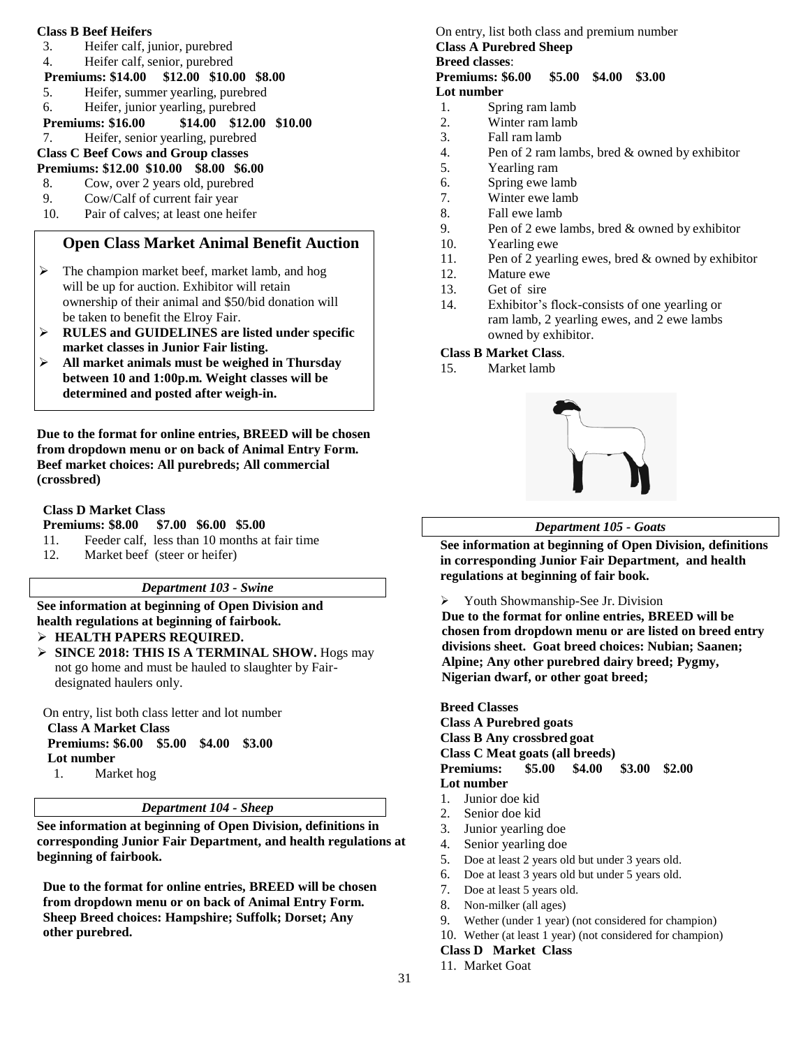#### **Class B Beef Heifers**

- 3. Heifer calf, junior, purebred
- 4. Heifer calf, senior, purebred
- **Premiums: \$14.00 \$12.00 \$10.00 \$8.00**
- 5. Heifer, summer yearling, purebred
- 6. Heifer, junior yearling, purebred
- **Premiums: \$16.00 \$14.00 \$12.00 \$10.00**
- 7. Heifer, senior yearling, purebred

#### **Class C Beef Cows and Group classes Premiums: \$12.00 \$10.00 \$8.00 \$6.00**

- 8. Cow, over 2 years old, purebred
- 9. Cow/Calf of current fair year
- 10. Pair of calves; at least one heifer

# **Open Class Market Animal Benefit Auction**

- $\triangleright$  The champion market beef, market lamb, and hog will be up for auction. Exhibitor will retain ownership of their animal and \$50/bid donation will be taken to benefit the Elroy Fair.
- **RULES and GUIDELINES are listed under specific market classes in Junior Fair listing.**
- **All market animals must be weighed in Thursday between 10 and 1:00p.m. Weight classes will be determined and posted after weigh-in.**

**Due to the format for online entries, BREED will be chosen from dropdown menu or on back of Animal Entry Form. Beef market choices: All purebreds; All commercial (crossbred)**

# **Class D Market Class**

# **Premiums: \$8.00 \$7.00 \$6.00 \$5.00**

- 11. Feeder calf, less than 10 months at fair time
- 12. Market beef (steer or heifer)

# *Department 103 - Swine*

**See information at beginning of Open Division and health regulations at beginning of fairbook.**

- **HEALTH PAPERS REQUIRED.**
- **SINCE 2018: THIS IS A TERMINAL SHOW.** Hogs may not go home and must be hauled to slaughter by Fairdesignated haulers only.

On entry, list both class letter and lot number **Class A Market Class Premiums: \$6.00 \$5.00 \$4.00 \$3.00**

**Lot number**

1. Market hog

# *Department 104 - Sheep*

**See information at beginning of Open Division, definitions in corresponding Junior Fair Department, and health regulations at beginning of fairbook.**

**Due to the format for online entries, BREED will be chosen from dropdown menu or on back of Animal Entry Form. Sheep Breed choices: Hampshire; Suffolk; Dorset; Any other purebred.**

#### On entry, list both class and premium number **Class A Purebred Sheep Breed classes**: **Premiums: \$6.00 \$5.00 \$4.00 \$3.00 Lot number**

- 1. Spring ram lamb
- 2. Winter ram lamb
- 3. Fall ram lamb<br>4. Pen of 2 ram l.
- 4. Pen of 2 ram lambs, bred  $&$  owned by exhibitor  $5.$  Yearling ram
- Yearling ram
- 6. Spring ewe lamb
- 7. Winter ewe lamb
- 8. Fall ewe lamb
- 9. Pen of 2 ewe lambs, bred & owned by exhibitor
- 10. Yearling ewe
- 11. Pen of 2 yearling ewes, bred & owned by exhibitor
- 12. Mature ewe
- 13. Get of sire
- 14. Exhibitor's flock-consists of one yearling or ram lamb, 2 yearling ewes, and 2 ewe lambs owned by exhibitor.

# **Class B Market Class**.

15. Market lamb



# *Department 105 - Goats*

**See information at beginning of Open Division, definitions in corresponding Junior Fair Department, and health regulations at beginning of fair book.**

Youth Showmanship-See Jr. Division

**Due to the format for online entries, BREED will be chosen from dropdown menu or are listed on breed entry divisions sheet. Goat breed choices: Nubian; Saanen; Alpine; Any other purebred dairy breed; Pygmy, Nigerian dwarf, or other goat breed;** 

**Breed Classes Class A Purebred goats Class B Any crossbred goat Class C Meat goats (all breeds) Premiums: \$5.00 \$4.00 \$3.00 \$2.00 Lot number** 1. Junior doe kid

- 2. Senior doe kid
- 
- 3. Junior yearling doe 4. Senior yearling doe
- 5. Doe at least 2 years old but under 3 years old.
- 6. Doe at least 3 years old but under 5 years old.
- 7. Doe at least 5 years old.
- 8. Non-milker (all ages)
- 9. Wether (under 1 year) (not considered for champion)
- 10. Wether (at least 1 year) (not considered for champion)

# **Class D Market Class**

11. Market Goat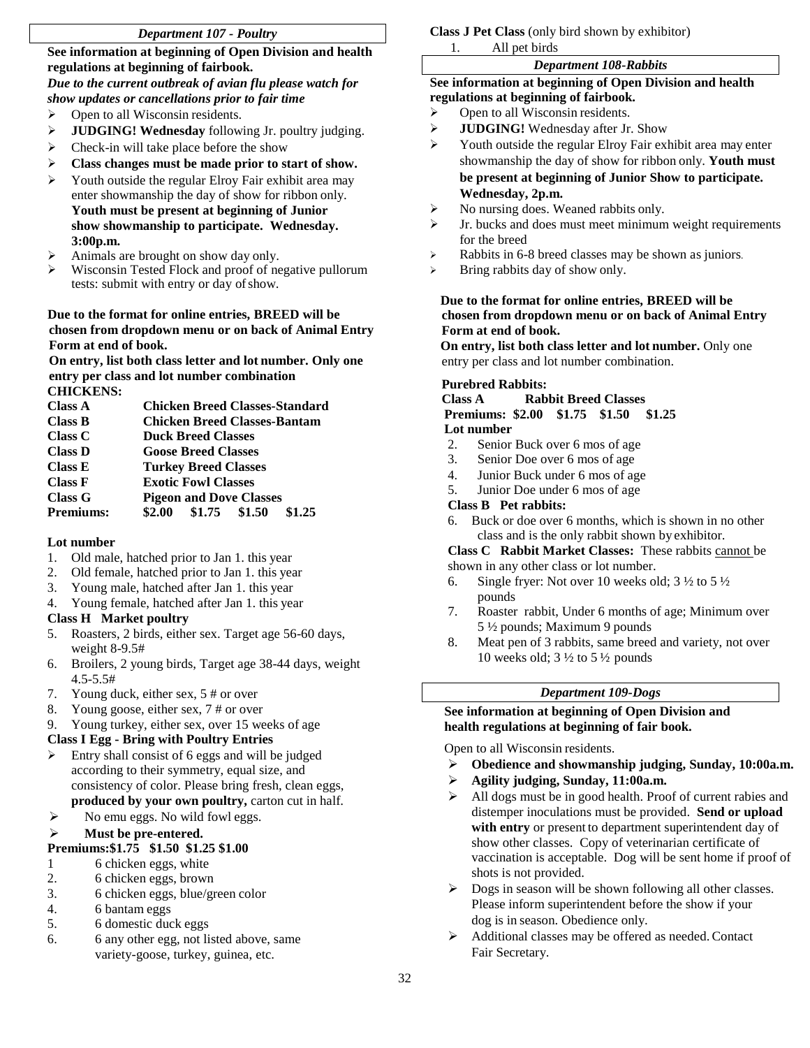# *Department 107 - Poultry*

**See information at beginning of Open Division and health regulations at beginning of fairbook.**

# *Due to the current outbreak of avian flu please watch for show updates or cancellations prior to fair time*

- Open to all Wisconsin residents.
- **JUDGING! Wednesday** following Jr. poultry judging.
- $\triangleright$  Check-in will take place before the show
- **Class changes must be made prior to start of show.**
- Youth outside the regular Elroy Fair exhibit area may enter showmanship the day of show for ribbon only. **Youth must be present at beginning of Junior show showmanship to participate. Wednesday. 3:00p.m.**
- Animals are brought on show day only.
- Wisconsin Tested Flock and proof of negative pullorum tests: submit with entry or day ofshow.

#### **Due to the format for online entries, BREED will be chosen from dropdown menu or on back of Animal Entry Form at end of book.**

**On entry, list both class letter and lot number. Only one entry per class and lot number combination CHICKENS:**

**Class A Chicken Breed Classes-Standard Class B Chicken Breed Classes-Bantam Class C Duck Breed Classes Class D Goose Breed Classes Class E Turkey Breed Classes Class F Exotic Fowl Classes Class G Pigeon and Dove Classes Premiums: \$2.00 \$1.75 \$1.50 \$1.25**

### **Lot number**

- 1. Old male, hatched prior to Jan 1. this year
- 2. Old female, hatched prior to Jan 1. this year
- 3. Young male, hatched after Jan 1. this year
- 4. Young female, hatched after Jan 1. this year

### **Class H Market poultry**

- 5. Roasters, 2 birds, either sex. Target age 56-60 days, weight 8-9.5#
- 6. Broilers, 2 young birds, Target age 38-44 days, weight 4.5-5.5#
- 7. Young duck, either sex, 5 # or over
- 8. Young goose, either sex, 7 # or over
- 9. Young turkey, either sex, over 15 weeks of age

### **Class I Egg - Bring with Poultry Entries**

- $\triangleright$  Entry shall consist of 6 eggs and will be judged according to their symmetry, equal size, and consistency of color. Please bring fresh, clean eggs, **produced by your own poultry,** carton cut in half.
- $\triangleright$  No emu eggs. No wild fowl eggs.

### **Must be pre-entered.**

### **Premiums:\$1.75 \$1.50 \$1.25 \$1.00**

- 1 6 chicken eggs, white
- 2. 6 chicken eggs, brown
- 3. 6 chicken eggs, blue/green color
- 4. 6 bantam eggs
- 5. 6 domestic duck eggs
- 6. 6 any other egg, not listed above, same variety-goose, turkey, guinea, etc.

#### **Class J Pet Class** (only bird shown by exhibitor)

All pet birds

#### *Department 108-Rabbits*

#### **See information at beginning of Open Division and health regulations at beginning of fairbook.**

- Open to all Wisconsin residents.
- **JUDGING!** Wednesday after Jr. Show
- Youth outside the regular Elroy Fair exhibit area may enter showmanship the day of show for ribbon only. **Youth must be present at beginning of Junior Show to participate. Wednesday, 2p.m.**
- $\triangleright$  No nursing does. Weaned rabbits only.
- $\triangleright$  Jr. bucks and does must meet minimum weight requirements for the breed
- Rabbits in 6-8 breed classes may be shown as juniors.
- Bring rabbits day of show only.

# **Due to the format for online entries, BREED will be chosen from dropdown menu or on back of Animal Entry Form at end of book.**

**On entry, list both class letter and lot number.** Only one entry per class and lot number combination.

#### **Purebred Rabbits:**

#### **Class A Rabbit Breed Classes Premiums: \$2.00 \$1.75 \$1.50 \$1.25 Lot number**

- 2. Senior Buck over 6 mos of age
- 3. Senior Doe over 6 mos of age
- 4. Junior Buck under 6 mos of age
- 5. Junior Doe under 6 mos of age

### **Class B Pet rabbits:**

6. Buck or doe over 6 months, which is shown in no other class and is the only rabbit shown by exhibitor.

#### **Class C Rabbit Market Classes:** These rabbits cannot be shown in any other class or lot number.

- 6. Single fryer: Not over 10 weeks old;  $3\frac{1}{2}$  to  $5\frac{1}{2}$ pounds
- 7. Roaster rabbit, Under 6 months of age; Minimum over 5 ½ pounds; Maximum 9 pounds
- 8. Meat pen of 3 rabbits, same breed and variety, not over 10 weeks old;  $3\frac{1}{2}$  to  $5\frac{1}{2}$  pounds

### *Department 109-Dogs*

#### **See information at beginning of Open Division and health regulations at beginning of fair book.**

Open to all Wisconsin residents.

- **Obedience and showmanship judging, Sunday, 10:00a.m.**
- **Agility judging, Sunday, 11:00a.m.**
- $\triangleright$  All dogs must be in good health. Proof of current rabies and distemper inoculations must be provided. **Send or upload with entry** or present to department superintendent day of show other classes. Copy of veterinarian certificate of vaccination is acceptable. Dog will be sent home if proof of shots is not provided.
- $\triangleright$  Dogs in season will be shown following all other classes. Please inform superintendent before the show if your dog is in season. Obedience only.
- $\triangleright$  Additional classes may be offered as needed. Contact Fair Secretary.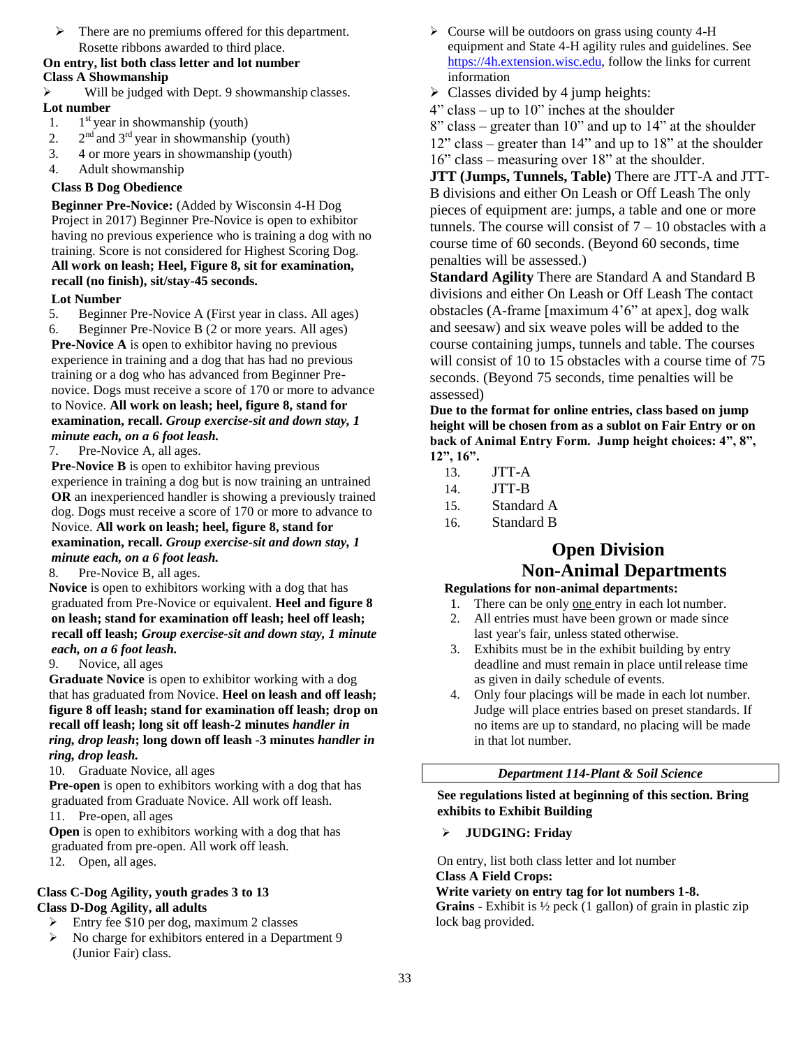$\triangleright$  There are no premiums offered for this department. Rosette ribbons awarded to third place.

# **On entry, list both class letter and lot number Class A Showmanship**

 Will be judged with Dept. 9 showmanship classes. **Lot number**

- 1. 1  $1<sup>st</sup>$  year in showmanship (youth)
- $2.$ <sup>nd</sup> and 3<sup>rd</sup> year in showmanship (youth)
- 3. 4 or more years in showmanship (youth)
- 4. Adult showmanship

# **Class B Dog Obedience**

**Beginner Pre-Novice:** (Added by Wisconsin 4-H Dog Project in 2017) Beginner Pre-Novice is open to exhibitor having no previous experience who is training a dog with no training. Score is not considered for Highest Scoring Dog. **All work on leash; Heel, Figure 8, sit for examination, recall (no finish), sit/stay-45 seconds.**

# **Lot Number**

5. Beginner Pre-Novice A (First year in class. All ages) 6. Beginner Pre-Novice B (2 or more years. All ages)

**Pre-Novice A** is open to exhibitor having no previous experience in training and a dog that has had no previous training or a dog who has advanced from Beginner Prenovice. Dogs must receive a score of 170 or more to advance to Novice. **All work on leash; heel, figure 8, stand for examination, recall.** *Group exercise-sit and down stay, 1 minute each, on a 6 foot leash.*

7. Pre-Novice A, all ages.

**Pre-Novice B** is open to exhibitor having previous experience in training a dog but is now training an untrained **OR** an inexperienced handler is showing a previously trained dog. Dogs must receive a score of 170 or more to advance to Novice. **All work on leash; heel, figure 8, stand for examination, recall.** *Group exercise-sit and down stay, 1 minute each, on a 6 foot leash.*

8. Pre-Novice B, all ages.

**Novice** is open to exhibitors working with a dog that has graduated from Pre-Novice or equivalent. **Heel and figure 8 on leash; stand for examination off leash; heel off leash; recall off leash;** *Group exercise-sit and down stay, 1 minute each, on a 6 foot leash.*

9. Novice, all ages

**Graduate Novice** is open to exhibitor working with a dog that has graduated from Novice. **Heel on leash and off leash; figure 8 off leash; stand for examination off leash; drop on recall off leash; long sit off leash-2 minutes** *handler in ring, drop leash***; long down off leash -3 minutes** *handler in ring, drop leash.*

10. Graduate Novice, all ages

**Pre-open** is open to exhibitors working with a dog that has graduated from Graduate Novice. All work off leash.

11. Pre-open, all ages

**Open** is open to exhibitors working with a dog that has graduated from pre-open. All work off leash.

12. Open, all ages.

# **Class C-Dog Agility, youth grades 3 to 13 Class D-Dog Agility, all adults**

- Entry fee \$10 per dog, maximum 2 classes
- No charge for exhibitors entered in a Department 9 (Junior Fair) class.
- $\triangleright$  Course will be outdoors on grass using county 4-H equipment and State 4-H agility rules and guidelines. See [https://4h.extension.wisc.edu,](https://4h.extension.wisc.edu/) follow the links for current information
- $\triangleright$  Classes divided by 4 jump heights:
- $4" class up to 10" inches at the shoulder$
- 8" class greater than 10" and up to 14" at the shoulder
- 12" class greater than 14" and up to 18" at the shoulder
- 16" class measuring over 18" at the shoulder.

**JTT (Jumps, Tunnels, Table)** There are JTT-A and JTT-B divisions and either On Leash or Off Leash The only pieces of equipment are: jumps, a table and one or more tunnels. The course will consist of  $7 - 10$  obstacles with a course time of 60 seconds. (Beyond 60 seconds, time penalties will be assessed.)

**Standard Agility** There are Standard A and Standard B divisions and either On Leash or Off Leash The contact obstacles (A-frame [maximum 4'6" at apex], dog walk and seesaw) and six weave poles will be added to the course containing jumps, tunnels and table. The courses will consist of 10 to 15 obstacles with a course time of 75 seconds. (Beyond 75 seconds, time penalties will be assessed)

**Due to the format for online entries, class based on jump height will be chosen from as a sublot on Fair Entry or on back of Animal Entry Form. Jump height choices: 4", 8", 12", 16".**

- 13. JTT-A
- 14. JTT-B
- 15. Standard A
- 16. Standard B

# **Open Division Non-Animal Departments**

# **Regulations for non-animal departments:**

- 1. There can be only one entry in each lot number. 2. All entries must have been grown or made since
- last year's fair, unless stated otherwise.
- 3. Exhibits must be in the exhibit building by entry deadline and must remain in place until release time as given in daily schedule of events.
- 4. Only four placings will be made in each lot number. Judge will place entries based on preset standards. If no items are up to standard, no placing will be made in that lot number.

# *Department 114-Plant & Soil Science*

# **See regulations listed at beginning of this section. Bring exhibits to Exhibit Building**

# **JUDGING: Friday**

On entry, list both class letter and lot number **Class A Field Crops:** 

### **Write variety on entry tag for lot numbers 1-8.**

**Grains** - Exhibit is ½ peck (1 gallon) of grain in plastic zip lock bag provided.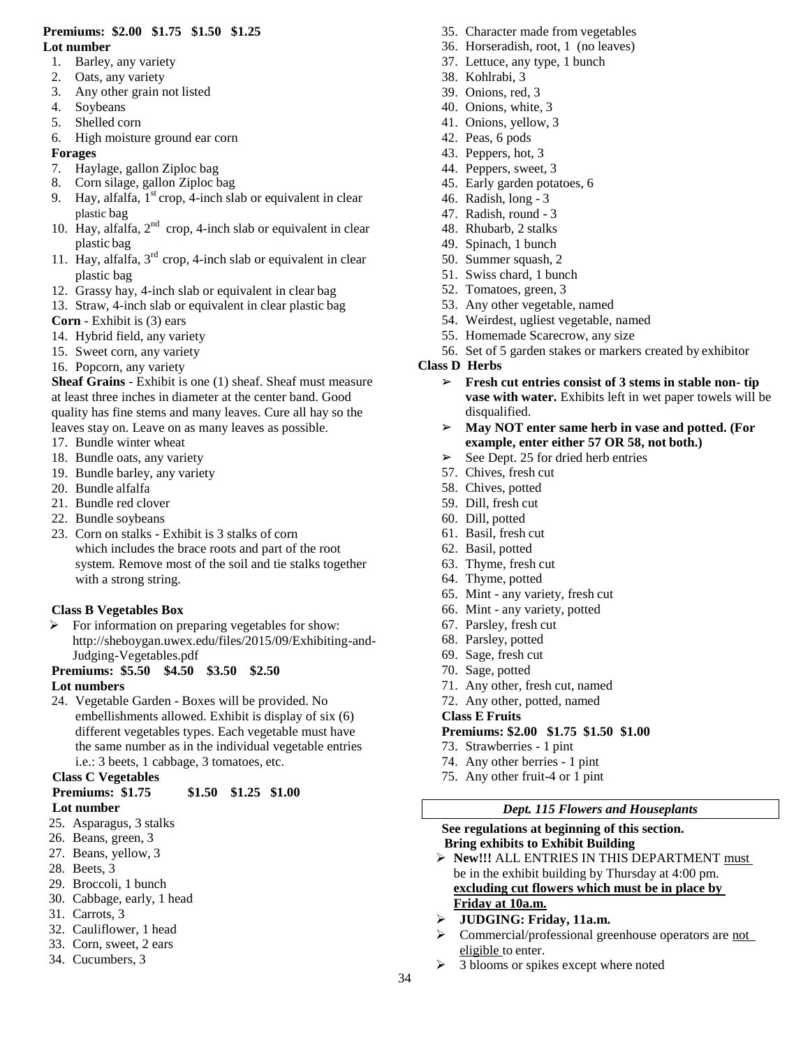#### **Premiums: \$2.00 \$1.75 \$1.50 \$1.25 Lot number**

- 1. Barley, any variety
- 2. Oats, any variety
- 3. Any other grain not listed
- 4. Soybeans
- 5. Shelled corn
- 6. High moisture ground ear corn

# **Forages**

- 7. Haylage, gallon Ziploc bag
- 8. Corn silage, gallon Ziploc bag
- 9. Hay, alfalfa,  $1<sup>st</sup>$  crop, 4-inch slab or equivalent in clear plastic bag
- 10. Hay, alfalfa,  $2<sup>nd</sup>$  crop, 4-inch slab or equivalent in clear plastic bag
- 11. Hay, alfalfa,  $3<sup>rd</sup>$  crop, 4-inch slab or equivalent in clear plastic bag
- 12. Grassy hay, 4-inch slab or equivalent in clear bag
- 13. Straw, 4-inch slab or equivalent in clear plastic bag
- **Corn**  Exhibit is (3) ears
- 14. Hybrid field, any variety
- 15. Sweet corn, any variety
- 16. Popcorn, any variety

**Sheaf Grains** - Exhibit is one (1) sheaf. Sheaf must measure at least three inches in diameter at the center band. Good quality has fine stems and many leaves. Cure all hay so the leaves stay on. Leave on as many leaves as possible.

- 17. Bundle winter wheat
- 18. Bundle oats, any variety
- 19. Bundle barley, any variety
- 20. Bundle alfalfa
- 21. Bundle red clover
- 22. Bundle soybeans
- 23. Corn on stalks Exhibit is 3 stalks of corn which includes the brace roots and part of the root system. Remove most of the soil and tie stalks together with a strong string.

# **Class B Vegetables Box**

 $\triangleright$  For information on preparing vegetables for show: http://sheboygan.uwex.edu/files/2015/09/Exhibiting-and-Judging-Vegetables.pdf

# **Premiums: \$5.50 \$4.50 \$3.50 \$2.50**

# **Lot numbers**

24. Vegetable Garden - Boxes will be provided. No embellishments allowed. Exhibit is display of six (6) different vegetables types. Each vegetable must have the same number as in the individual vegetable entries i.e.: 3 beets, 1 cabbage, 3 tomatoes, etc.

# **Class C Vegetables**

# **Premiums: \$1.75 \$1.50 \$1.25 \$1.00**

# **Lot number**

- 25. Asparagus, 3 stalks
- 26. Beans, green, 3
- 27. Beans, yellow, 3
- 28. Beets, 3
- 29. Broccoli, 1 bunch
- 30. Cabbage, early, 1 head
- 31. Carrots, 3
- 32. Cauliflower, 1 head
- 33. Corn, sweet, 2 ears
- 34. Cucumbers, 3
- 35. Character made from vegetables
- 36. Horseradish, root, 1 (no leaves)
- 37. Lettuce, any type, 1 bunch
- 38. Kohlrabi, 3
- 39. Onions, red, 3
- 40. Onions, white, 3
- 41. Onions, yellow, 3
- 42. Peas, 6 pods
- 43. Peppers, hot, 3
- 44. Peppers, sweet, 3
- 45. Early garden potatoes, 6
- 46. Radish, long 3
- 47. Radish, round 3
- 48. Rhubarb, 2 stalks
- 49. Spinach, 1 bunch
- 50. Summer squash, 2
- 51. Swiss chard, 1 bunch
- 52. Tomatoes, green, 3
- 53. Any other vegetable, named
- 54. Weirdest, ugliest vegetable, named
- 55. Homemade Scarecrow, any size
- 56. Set of 5 garden stakes or markers created by exhibitor

# **Class D Herbs**

- ➢ **Fresh cut entries consist of 3 stems in stable non- tip vase with water.** Exhibits left in wet paper towels will be disqualified.
- ➢ **May NOT enter same herb in vase and potted. (For example, enter either 57 OR 58, not both.)**
- $\geq$  See Dept. 25 for dried herb entries
- 57. Chives, fresh cut
- 58. Chives, potted
- 59. Dill, fresh cut
- 60. Dill, potted
- 61. Basil, fresh cut
- 62. Basil, potted
- 63. Thyme, fresh cut
- 64. Thyme, potted
- 65. Mint any variety, fresh cut
- 66. Mint any variety, potted
- 67. Parsley, fresh cut
- 68. Parsley, potted
- 69. Sage, fresh cut
- 70. Sage, potted
- 71. Any other, fresh cut, named
- 72. Any other, potted, named
- **Class E Fruits**

# **Premiums: \$2.00 \$1.75 \$1.50 \$1.00**

- 73. Strawberries 1 pint
- 74. Any other berries 1 pint
- 75. Any other fruit-4 or 1 pint

### *Dept. 115 Flowers and Houseplants*

#### **See regulations at beginning of this section. Bring exhibits to Exhibit Building**

- > New!!! ALL ENTRIES IN THIS DEPARTMENT must be in the exhibit building by Thursday at 4:00 pm. **excluding cut flowers which must be in place by Friday at 10a.m.**
- **JUDGING: Friday, 11a.m.**
- $\triangleright$  Commercial/professional greenhouse operators are not eligible to enter.
- $\geq$  3 blooms or spikes except where noted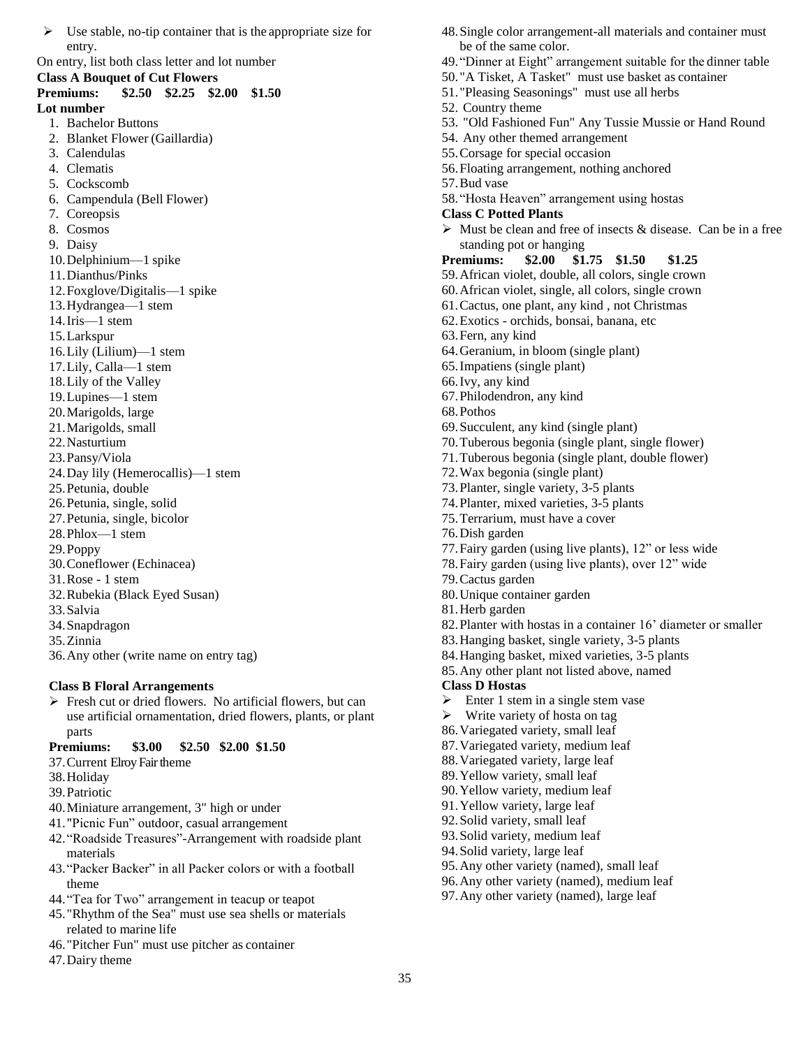$\triangleright$  Use stable, no-tip container that is the appropriate size for entry.

On entry, list both class letter and lot number

#### **Class A Bouquet of Cut Flowers**

- **Premiums: \$2.50 \$2.25 \$2.00 \$1.50 Lot number**
	- 1. Bachelor Buttons
	- 2. Blanket Flower (Gaillardia)
	- 3. Calendulas
	- 4. Clematis
	- 5. Cockscomb
	- 6. Campendula (Bell Flower)
	- 7. Coreopsis
	- 8. Cosmos
	- 9. Daisy
	- 10.Delphinium—1 spike
	- 11.Dianthus/Pinks
	- 12.Foxglove/Digitalis—1 spike
	- 13.Hydrangea—1 stem
	- 14.Iris—1 stem
	- 15.Larkspur
	- 16.Lily (Lilium)—1 stem
	- 17.Lily, Calla—1 stem
	- 18.Lily of the Valley
	- 19.Lupines—1 stem
	- 20.Marigolds, large
	- 21.Marigolds, small
	- 22.Nasturtium
	- 23.Pansy/Viola
	- 24.Day lily (Hemerocallis)—1 stem
	- 25.Petunia, double
	- 26.Petunia, single, solid
	- 27.Petunia, single, bicolor
	- 28.Phlox—1 stem
	- 29.Poppy
	- 30.Coneflower (Echinacea)
	- 31.Rose 1 stem
	- 32.Rubekia (Black Eyed Susan)
	- 33.Salvia
	- 34.Snapdragon
	- 35.Zinnia
	- 36.Any other (write name on entry tag)

# **Class B Floral Arrangements**

 $\triangleright$  Fresh cut or dried flowers. No artificial flowers, but can use artificial ornamentation, dried flowers, plants, or plant parts

# **Premiums: \$3.00 \$2.50 \$2.00 \$1.50**

- 37.Current Elroy Fair theme
- 38.Holiday
- 39.Patriotic
- 40.Miniature arrangement, 3" high or under
- 41."Picnic Fun" outdoor, casual arrangement
- 42."Roadside Treasures"-Arrangement with roadside plant materials
- 43."Packer Backer" in all Packer colors or with a football theme
- 44."Tea for Two" arrangement in teacup or teapot
- 45."Rhythm of the Sea" must use sea shells or materials related to marine life
- 46."Pitcher Fun" must use pitcher as container
- 47.Dairy theme
- 48.Single color arrangement-all materials and container must be of the same color.
- 49."Dinner at Eight" arrangement suitable for the dinner table
- 50."A Tisket, A Tasket" must use basket as container
- 51."Pleasing Seasonings" must use all herbs
- 52. Country theme
- 53. "Old Fashioned Fun" Any Tussie Mussie or Hand Round
- 54. Any other themed arrangement
- 55.Corsage for special occasion
- 56.Floating arrangement, nothing anchored
- 57.Bud vase
- 58."Hosta Heaven" arrangement using hostas
- **Class C Potted Plants**
- $\triangleright$  Must be clean and free of insects & disease. Can be in a free standing pot or hanging
- **Premiums: \$2.00 \$1.75 \$1.50 \$1.25**
- 59.African violet, double, all colors, single crown
- 60.African violet, single, all colors, single crown
- 61.Cactus, one plant, any kind , not Christmas
- 62.Exotics orchids, bonsai, banana, etc
- 63.Fern, any kind
- 64.Geranium, in bloom (single plant)
- 65.Impatiens (single plant)
- 66.Ivy, any kind
- 67.Philodendron, any kind
- 68.Pothos
- 69.Succulent, any kind (single plant)
- 70.Tuberous begonia (single plant, single flower)
- 71.Tuberous begonia (single plant, double flower)
- 72.Wax begonia (single plant)
- 73.Planter, single variety, 3-5 plants
- 74.Planter, mixed varieties, 3-5 plants
- 75.Terrarium, must have a cover
- 76.Dish garden
- 77.Fairy garden (using live plants), 12" or less wide
- 78.Fairy garden (using live plants), over 12" wide
- 79.Cactus garden
- 80.Unique container garden
- 81.Herb garden
- 82.Planter with hostas in a container 16' diameter or smaller
- 83.Hanging basket, single variety, 3-5 plants
- 84.Hanging basket, mixed varieties, 3-5 plants
- 85.Any other plant not listed above, named

# **Class D Hostas**

35

- $\triangleright$  Enter 1 stem in a single stem vase
- $\triangleright$  Write variety of hosta on tag
- 86.Variegated variety, small leaf

89.Yellow variety, small leaf 90.Yellow variety, medium leaf 91.Yellow variety, large leaf 92.Solid variety, small leaf 93.Solid variety, medium leaf 94.Solid variety, large leaf

87.Variegated variety, medium leaf 88.Variegated variety, large leaf

95.Any other variety (named), small leaf 96.Any other variety (named), medium leaf 97.Any other variety (named), large leaf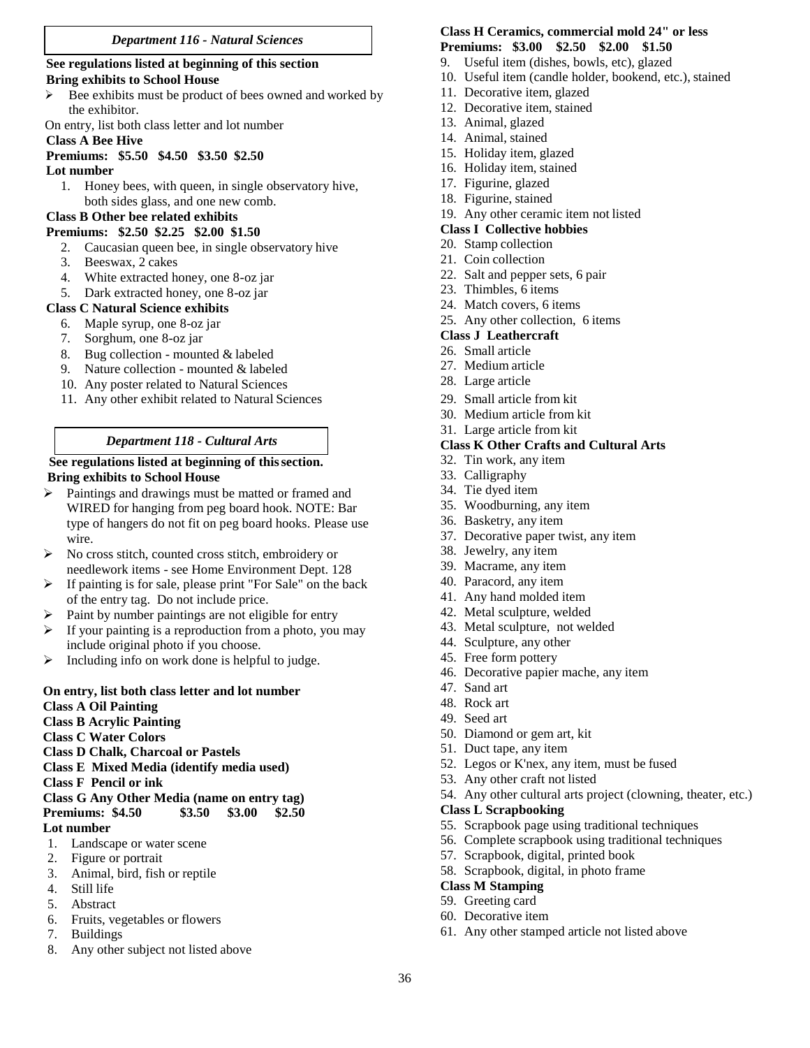#### *Department 116 - Natural Sciences*

#### **See regulations listed at beginning of this section Bring exhibits to School House**

- Bee exhibits must be product of bees owned and worked by the exhibitor.
- On entry, list both class letter and lot number

# **Class A Bee Hive**

### **Premiums: \$5.50 \$4.50 \$3.50 \$2.50**

#### **Lot number**

1. Honey bees, with queen, in single observatory hive, both sides glass, and one new comb.

# **Class B Other bee related exhibits**

# **Premiums: \$2.50 \$2.25 \$2.00 \$1.50**

- 2. Caucasian queen bee, in single observatory hive
- 3. Beeswax, 2 cakes
- 4. White extracted honey, one 8-oz jar
- 5. Dark extracted honey, one 8-oz jar

# **Class C Natural Science exhibits**

- 6. Maple syrup, one 8-oz jar
- 7. Sorghum, one 8-oz jar
- 8. Bug collection mounted & labeled
- 9. Nature collection mounted & labeled
- 10. Any poster related to Natural Sciences
- 11. Any other exhibit related to Natural Sciences

# *Department 118 - Cultural Arts*

#### **See regulations listed at beginning of thissection. Bring exhibits to School House**

- Paintings and drawings must be matted or framed and WIRED for hanging from peg board hook. NOTE: Bar type of hangers do not fit on peg board hooks. Please use wire.
- $\triangleright$  No cross stitch, counted cross stitch, embroidery or needlework items - see Home Environment Dept. 128
- $\triangleright$  If painting is for sale, please print "For Sale" on the back of the entry tag. Do not include price.
- $\triangleright$  Paint by number paintings are not eligible for entry
- $\triangleright$  If your painting is a reproduction from a photo, you may include original photo if you choose.
- $\triangleright$  Including info on work done is helpful to judge.

# **On entry, list both class letter and lot number**

- **Class A Oil Painting**
- **Class B Acrylic Painting**
- **Class C Water Colors**
- **Class D Chalk, Charcoal or Pastels**
- **Class E Mixed Media (identify media used)**
- **Class F Pencil or ink**
- **Class G Any Other Media (name on entry tag)**

### **Premiums: \$4.50 \$3.50 \$3.00 \$2.50**

# **Lot number**

- 1. Landscape or water scene
- 2. Figure or portrait
- 3. Animal, bird, fish or reptile
- 4. Still life
- 5. Abstract
- 6. Fruits, vegetables or flowers
- 7. Buildings
- 8. Any other subject not listed above

### **Class H Ceramics, commercial mold 24" or less Premiums: \$3.00 \$2.50 \$2.00 \$1.50**

- 9. Useful item (dishes, bowls, etc), glazed
- 10. Useful item (candle holder, bookend, etc.), stained
- 11. Decorative item, glazed
- 12. Decorative item, stained
- 13. Animal, glazed
- 14. Animal, stained
- 15. Holiday item, glazed
- 16. Holiday item, stained
- 17. Figurine, glazed
- 18. Figurine, stained
- 19. Any other ceramic item not listed

#### **Class I Collective hobbies**

- 20. Stamp collection
- 21. Coin collection
- 22. Salt and pepper sets, 6 pair
- 23. Thimbles, 6 items
- 24. Match covers, 6 items
- 25. Any other collection, 6 items

#### **Class J Leathercraft**

- 26. Small article
- 27. Medium article
- 28. Large article
- 29. Small article from kit
- 30. Medium article from kit
- 31. Large article from kit

### **Class K Other Crafts and Cultural Arts**

- 32. Tin work, any item
- 33. Calligraphy
- 34. Tie dyed item
- 35. Woodburning, any item
- 36. Basketry, any item
- 37. Decorative paper twist, any item
- 38. Jewelry, any item
- 39. Macrame, any item
- 40. Paracord, any item
- 41. Any hand molded item
- 42. Metal sculpture, welded
- 43. Metal sculpture, not welded
- 44. Sculpture, any other
- 45. Free form pottery
- 46. Decorative papier mache, any item
- 47. Sand art
- 48. Rock art
- 49. Seed art

36

- 50. Diamond or gem art, kit
- 51. Duct tape, any item
- 52. Legos or K'nex, any item, must be fused
- 53. Any other craft not listed

57. Scrapbook, digital, printed book 58. Scrapbook, digital, in photo frame

54. Any other cultural arts project (clowning, theater, etc.)

#### **Class L Scrapbooking**

**Class M Stamping** 59. Greeting card 60. Decorative item

55. Scrapbook page using traditional techniques

61. Any other stamped article not listed above

56. Complete scrapbook using traditional techniques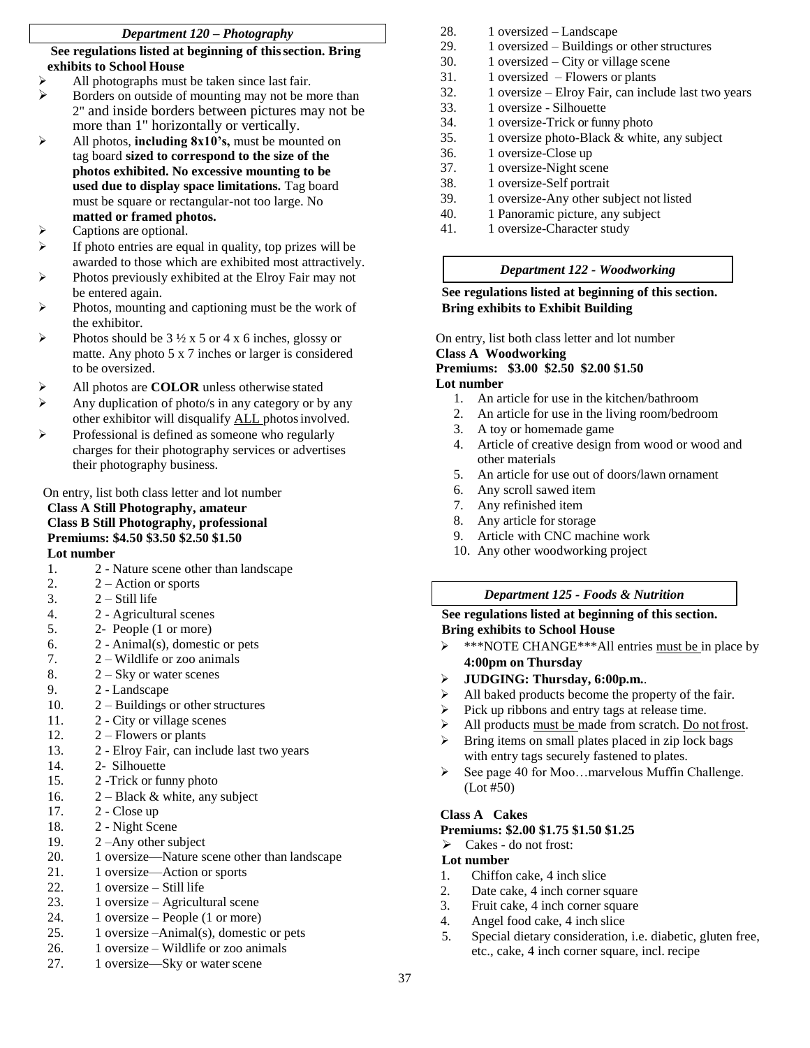# *Department 120 – Photography*

# **See regulations listed at beginning of thissection. Bring exhibits to School House**

- All photographs must be taken since last fair.
- $\triangleright$  Borders on outside of mounting may not be more than 2" and inside borders between pictures may not be more than 1" horizontally or vertically.
- All photos, **including 8x10's,** must be mounted on tag board **sized to correspond to the size of the photos exhibited. No excessive mounting to be used due to display space limitations.** Tag board must be square or rectangular-not too large. No **matted or framed photos.**
- > Captions are optional.
- $\triangleright$  If photo entries are equal in quality, top prizes will be awarded to those which are exhibited most attractively.
- Photos previously exhibited at the Elroy Fair may not be entered again.
- Photos, mounting and captioning must be the work of the exhibitor.
- Photos should be  $3\frac{1}{2} \times 5$  or  $4 \times 6$  inches, glossy or matte. Any photo 5 x 7 inches or larger is considered to be oversized.
- All photos are **COLOR** unless otherwise stated
- Any duplication of photo/s in any category or by any other exhibitor will disqualify ALL photosinvolved.
- Professional is defined as someone who regularly charges for their photography services or advertises their photography business.

On entry, list both class letter and lot number **Class A Still Photography, amateur Class B Still Photography, professional**

# **Premiums: \$4.50 \$3.50 \$2.50 \$1.50**

**Lot number**

- 1. 2 Nature scene other than landscape
- 2.  $2 -$  Action or sports
- 3.  $2 Still life$
- 4. 2 Agricultural scenes
- 5. 2- People (1 or more)
- 6. 2 Animal(s), domestic or pets
- 7.  $2 -$  Wildlife or zoo animals
- 8.  $2 Sky$  or water scenes
- 9. 2 Landscape
- 10. 2 Buildings or other structures
- 11. 2 City or village scenes
- 12.  $2 -$  Flowers or plants
- 13. 2 Elroy Fair, can include last two years
- 14. 2- Silhouette
- 15. 2 -Trick or funny photo
- 16.  $2 Black & white, any subject$
- 17. 2 Close up
- 18. 2 Night Scene
- 19. 2 –Any other subject
- 20. 1 oversize—Nature scene other than landscape
- 21. 1 oversize—Action or sports
- 22. 1 oversize Still life
- 23. 1 oversize Agricultural scene
- 24. 1 oversize People (1 or more)
- 25. 1 oversize –Animal(s), domestic or pets
- 26. 1 oversize Wildlife or zoo animals
- 27. 1 oversize—Sky or water scene
- 28. 1 oversized Landscape
- 29. 1 oversized Buildings or other structures
- 30. 1 oversized City or village scene
- 31. 1 oversized Flowers or plants
- 32. 1 oversize Elroy Fair, can include last two years
- 33. 1 oversize Silhouette
- 34. 1 oversize-Trick or funny photo
- 35. 1 oversize photo-Black & white, any subject
- 36. 1 oversize-Close up
- 37. 1 oversize-Night scene
- 38. 1 oversize-Self portrait
- 39. 1 oversize-Any other subject not listed
- 40. 1 Panoramic picture, any subject
- 41. 1 oversize-Character study

# *Department 122 - Woodworking*

# **See regulations listed at beginning of this section. Bring exhibits to Exhibit Building**

On entry, list both class letter and lot number **Class A Woodworking Premiums: \$3.00 \$2.50 \$2.00 \$1.50 Lot number**

- 1. An article for use in the kitchen/bathroom
- 2. An article for use in the living room/bedroom
- 3. A toy or homemade game
- 4. Article of creative design from wood or wood and other materials
- 5. An article for use out of doors/lawn ornament
- 6. Any scroll sawed item
- 7. Any refinished item
- 8. Any article for storage
- 9. Article with CNC machine work
- 10. Any other woodworking project

# *Department 125 - Foods & Nutrition*

# **See regulations listed at beginning of this section. Bring exhibits to School House**

- \*\*\*NOTE CHANGE\*\*\*All entries must be in place by **4:00pm on Thursday**
- **JUDGING: Thursday, 6:00p.m.**.
- $\triangleright$  All baked products become the property of the fair.
- $\triangleright$  Pick up ribbons and entry tags at release time.
- All products must be made from scratch. Do not frost.
- $\triangleright$  Bring items on small plates placed in zip lock bags with entry tags securely fastened to plates.
- $\triangleright$  See page 40 for Moo...marvelous Muffin Challenge. (Lot #50)

# **Class A Cakes**

# **Premiums: \$2.00 \$1.75 \$1.50 \$1.25**

Cakes - do not frost:

# **Lot number**

- 1. Chiffon cake, 4 inch slice
- 2. Date cake, 4 inch corner square
- 3. Fruit cake, 4 inch corner square
- 4. Angel food cake, 4 inch slice
- 5. Special dietary consideration, i.e. diabetic, gluten free, etc., cake, 4 inch corner square, incl. recipe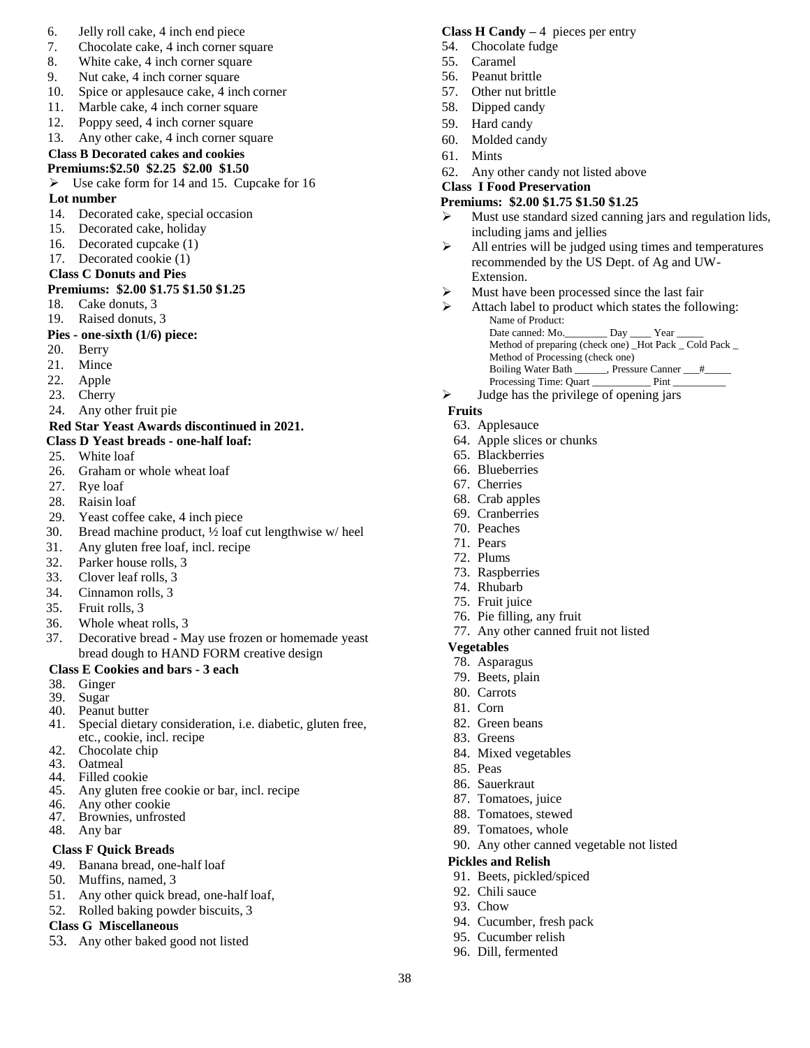#### 6. Jelly roll cake, 4 inch end piece

- 7. Chocolate cake, 4 inch corner square
- 8. White cake, 4 inch corner square
- 9. Nut cake, 4 inch corner square
- 10. Spice or applesauce cake, 4 inch corner
- 11. Marble cake, 4 inch corner square
- 12. Poppy seed, 4 inch corner square
- 13. Any other cake, 4 inch corner square

# **Class B Decorated cakes and cookies**

# **Premiums:\$2.50 \$2.25 \$2.00 \$1.50**

 $\triangleright$  Use cake form for 14 and 15. Cupcake for 16

# **Lot number**

- 14. Decorated cake, special occasion
- 15. Decorated cake, holiday
- 16. Decorated cupcake (1)
- 17. Decorated cookie (1)

# **Class C Donuts and Pies**

# **Premiums: \$2.00 \$1.75 \$1.50 \$1.25**

- 18. Cake donuts, 3
- 19. Raised donuts, 3

# **Pies - one-sixth (1/6) piece:**

- 20. Berry
- 21. Mince
- 22. Apple
- 23. Cherry
- 24. Any other fruit pie

# **Red Star Yeast Awards discontinued in 2021.**

# **Class D Yeast breads - one-half loaf:**

- 25. White loaf
- 26. Graham or whole wheat loaf
- 27. Rye loaf
- 28. Raisin loaf
- 29. Yeast coffee cake, 4 inch piece
- 30. Bread machine product, ½ loaf cut lengthwise w/ heel
- 31. Any gluten free loaf, incl. recipe
- 32. Parker house rolls, 3
- 33. Clover leaf rolls, 3
- 34. Cinnamon rolls, 3
- 35. Fruit rolls, 3
- 36. Whole wheat rolls, 3
- 37. Decorative bread May use frozen or homemade yeast bread dough to HAND FORM creative design

### **Class E Cookies and bars - 3 each**

- 38. Ginger
- 39. Sugar
- 40. Peanut butter
- 41. Special dietary consideration, i.e. diabetic, gluten free, etc., cookie, incl. recipe
- 42. Chocolate chip
- 43. Oatmeal
- 44. Filled cookie
- 45. Any gluten free cookie or bar, incl. recipe
- 46. Any other cookie
- 47. Brownies, unfrosted
- 48. Any bar

### **Class F Quick Breads**

- 49. Banana bread, one-half loaf
- 50. Muffins, named, 3
- 51. Any other quick bread, one-half loaf,
- 52. Rolled baking powder biscuits, 3

### **Class G Miscellaneous**

53. Any other baked good not listed

#### **Class H Candy –** 4 pieces per entry

- 54. Chocolate fudge
- 55. Caramel
- 56. Peanut brittle
- 57. Other nut brittle
- 58. Dipped candy
- 59. Hard candy
- 60. Molded candy
- 61. Mints
- 62. Any other candy not listed above

#### **Class I Food Preservation**

#### **Premiums: \$2.00 \$1.75 \$1.50 \$1.25**

- Must use standard sized canning jars and regulation lids, including jams and jellies
- $\triangleright$  All entries will be judged using times and temperatures recommended by the US Dept. of Ag and UW-Extension.
- $\triangleright$  Must have been processed since the last fair
- $\triangleright$  Attach label to product which states the following: Name of Product: Date canned: Mo.\_\_\_\_\_\_\_\_ Day \_\_\_\_\_ Year Method of preparing (check one) \_Hot Pack \_ Cold Pack \_
	- Method of Processing (check one) Boiling Water Bath \_\_\_\_\_\_, Pressure Canner \_\_\_#\_\_\_\_ Processing Time: Quart \_\_\_\_\_\_\_\_\_\_\_ Pint \_\_\_\_\_\_\_\_\_\_
- Judge has the privilege of opening jars

### **Fruits**

- 63. Applesauce
- 64. Apple slices or chunks
- 65. Blackberries
- 66. Blueberries
- 67. Cherries
- 68. Crab apples
- 69. Cranberries
- 70. Peaches
- 71. Pears
- 72. Plums
- 73. Raspberries
- 74. Rhubarb
- 75. Fruit juice
- 76. Pie filling, any fruit
- 77. Any other canned fruit not listed

90. Any other canned vegetable not listed

### **Vegetables**

- 78. Asparagus
- 79. Beets, plain
- 80. Carrots
- 81. Corn

83. Greens

85. Peas 86. Sauerkraut 87. Tomatoes, juice 88. Tomatoes, stewed 89. Tomatoes, whole

38

82. Green beans

**Pickles and Relish**

92. Chili sauce 93. Chow

91. Beets, pickled/spiced

94. Cucumber, fresh pack 95. Cucumber relish 96. Dill, fermented

84. Mixed vegetables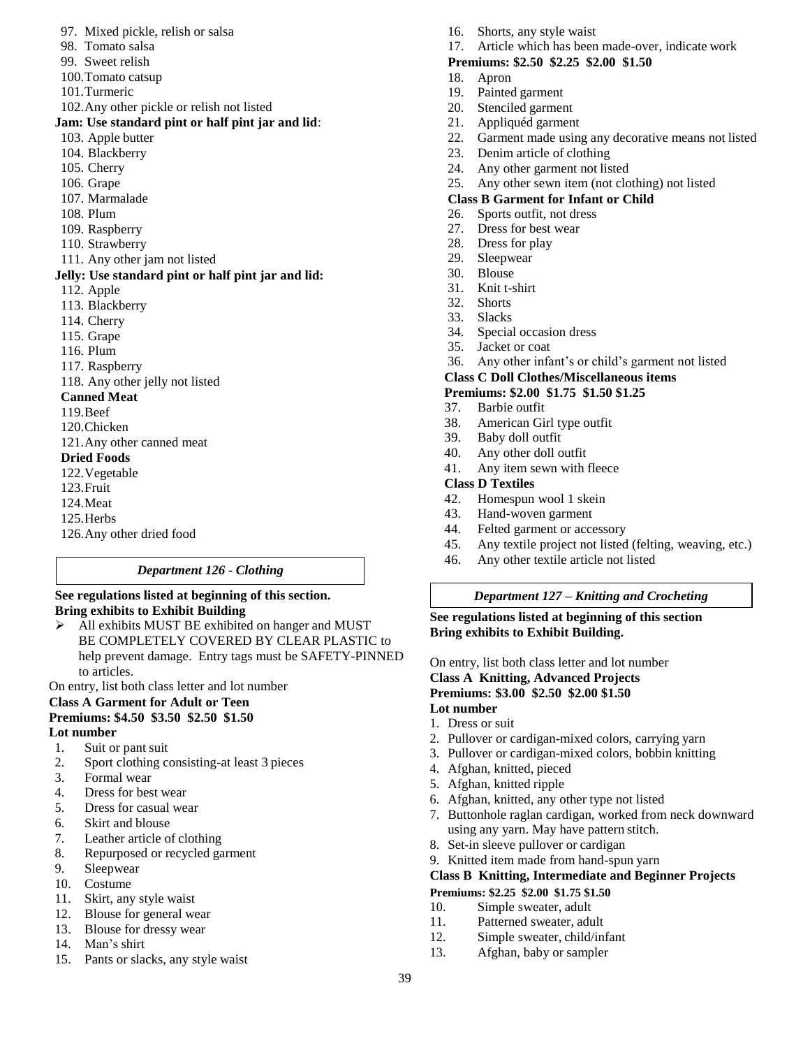- 97. Mixed pickle, relish or salsa
- 98. Tomato salsa
- 99. Sweet relish
- 100.Tomato catsup
- 101.Turmeric
- 102.Any other pickle or relish not listed

#### **Jam: Use standard pint or half pint jar and lid**:

- 103. Apple butter
- 104. Blackberry
- 105. Cherry
- 106. Grape
- 107. Marmalade
- 108. Plum
- 109. Raspberry
- 110. Strawberry
- 111. Any other jam not listed

#### **Jelly: Use standard pint or half pint jar and lid:**

- 112. Apple
- 113. Blackberry
- 114. Cherry
- 115. Grape
- 116. Plum
- 117. Raspberry

118. Any other jelly not listed

#### **Canned Meat**

- 119.Beef
- 120.Chicken
- 121.Any other canned meat

# **Dried Foods**

- 122.Vegetable
- 123.Fruit
- 124.Meat
- 125.Herbs
- 126.Any other dried food

### *Department 126 - Clothing*

#### **See regulations listed at beginning of this section. Bring exhibits to Exhibit Building**

 All exhibits MUST BE exhibited on hanger and MUST BE COMPLETELY COVERED BY CLEAR PLASTIC to help prevent damage. Entry tags must be SAFETY-PINNED to articles.

On entry, list both class letter and lot number

#### **Class A Garment for Adult or Teen Premiums: \$4.50 \$3.50 \$2.50 \$1.50 Lot number**

- 1. Suit or pant suit
- 2. Sport clothing consisting-at least 3 pieces
- 3. Formal wear
- 4. Dress for best wear
- 5. Dress for casual wear
- 6. Skirt and blouse
- 7. Leather article of clothing
- 8. Repurposed or recycled garment
- 9. Sleepwear
- 10. Costume
- 11. Skirt, any style waist
- 12. Blouse for general wear
- 13. Blouse for dressy wear
- 14. Man's shirt
- 15. Pants or slacks, any style waist
- 16. Shorts, any style waist
- 17. Article which has been made-over, indicate work

# **Premiums: \$2.50 \$2.25 \$2.00 \$1.50**

- 18. Apron
- 19. Painted garment
- 20. Stenciled garment
- 21. Appliquéd garment
- 22. Garment made using any decorative means not listed
- 23. Denim article of clothing
- 24. Any other garment not listed
- 25. Any other sewn item (not clothing) not listed

### **Class B Garment for Infant or Child**

- 26. Sports outfit, not dress
- 27. Dress for best wear
- 28. Dress for play
- 29. Sleepwear
- 30. Blouse
- 31. Knit t-shirt
- 32. Shorts
- 33. Slacks
- 34. Special occasion dress
- 35. Jacket or coat
- 36. Any other infant's or child's garment not listed

#### **Class C Doll Clothes/Miscellaneous items**

# **Premiums: \$2.00 \$1.75 \$1.50 \$1.25**

- 37. Barbie outfit
- 38. American Girl type outfit
- 39. Baby doll outfit
- 40. Any other doll outfit
- 41. Any item sewn with fleece

### **Class D Textiles**

- 42. Homespun wool 1 skein
- 43. Hand-woven garment
- 44. Felted garment or accessory
- 45. Any textile project not listed (felting, weaving, etc.)
- 46. Any other textile article not listed

# *Department 127 – Knitting and Crocheting*

**See regulations listed at beginning of this section Bring exhibits to Exhibit Building.**

On entry, list both class letter and lot number **Class A Knitting, Advanced Projects Premiums: \$3.00 \$2.50 \$2.00 \$1.50 Lot number**

1. Dress or suit

39

- 2. Pullover or cardigan-mixed colors, carrying yarn
- 3. Pullover or cardigan-mixed colors, bobbin knitting
- 4. Afghan, knitted, pieced
- 5. Afghan, knitted ripple
- 6. Afghan, knitted, any other type not listed

9. Knitted item made from hand-spun yarn

**Premiums: \$2.25 \$2.00 \$1.75 \$1.50** 10. Simple sweater, adult 11. Patterned sweater, adult 12. Simple sweater, child/infant 13. Afghan, baby or sampler

7. Buttonhole raglan cardigan, worked from neck downward using any yarn. May have pattern stitch. 8. Set-in sleeve pullover or cardigan

**Class B Knitting, Intermediate and Beginner Projects**